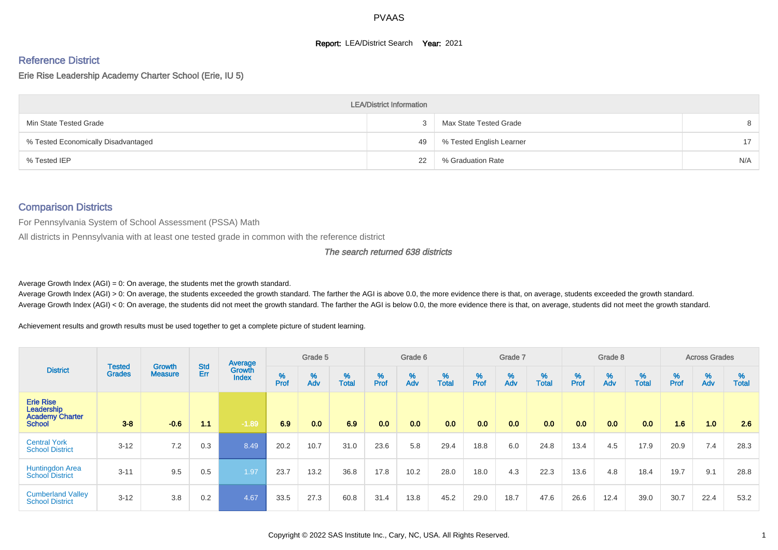#### **Report: LEA/District Search Year: 2021**

# Reference District

#### Erie Rise Leadership Academy Charter School (Erie, IU 5)

|                                     | <b>LEA/District Information</b> |                          |     |
|-------------------------------------|---------------------------------|--------------------------|-----|
| Min State Tested Grade              |                                 | Max State Tested Grade   | 8   |
| % Tested Economically Disadvantaged | 49                              | % Tested English Learner | 17  |
| % Tested IEP                        | 22                              | % Graduation Rate        | N/A |

#### Comparison Districts

For Pennsylvania System of School Assessment (PSSA) Math

All districts in Pennsylvania with at least one tested grade in common with the reference district

#### The search returned 638 districts

Average Growth Index  $(AGI) = 0$ : On average, the students met the growth standard.

Average Growth Index (AGI) > 0: On average, the students exceeded the growth standard. The farther the AGI is above 0.0, the more evidence there is that, on average, students exceeded the growth standard. Average Growth Index (AGI) < 0: On average, the students did not meet the growth standard. The farther the AGI is below 0.0, the more evidence there is that, on average, students did not meet the growth standard.

Achievement results and growth results must be used together to get a complete picture of student learning.

| <b>District</b>                                                           |                                |                                 |                   | Average                |           | Grade 5  |                   |           | Grade 6  |                   |           | Grade 7  |                   |           | Grade 8  |                   |           | <b>Across Grades</b> |                   |
|---------------------------------------------------------------------------|--------------------------------|---------------------------------|-------------------|------------------------|-----------|----------|-------------------|-----------|----------|-------------------|-----------|----------|-------------------|-----------|----------|-------------------|-----------|----------------------|-------------------|
|                                                                           | <b>Tested</b><br><b>Grades</b> | <b>Growth</b><br><b>Measure</b> | <b>Std</b><br>Err | Growth<br><b>Index</b> | %<br>Prof | %<br>Adv | %<br><b>Total</b> | %<br>Prof | %<br>Adv | %<br><b>Total</b> | %<br>Prof | %<br>Adv | %<br><b>Total</b> | %<br>Prof | %<br>Adv | %<br><b>Total</b> | %<br>Prof | %<br>Adv             | %<br><b>Total</b> |
| <b>Erie Rise</b><br>Leadership<br><b>Academy Charter</b><br><b>School</b> | $3 - 8$                        | $-0.6$                          | 11                | $-1.89$                | 6.9       | 0.0      | 6.9               | 0.0       | 0.0      | 0.0               | 0.0       | 0.0      | 0.0               | 0.0       | 0.0      | 0.0               | 1.6       | 1.0                  | 2.6               |
| <b>Central York</b><br><b>School District</b>                             | $3 - 12$                       | 7.2                             | 0.3               | 8.49                   | 20.2      | 10.7     | 31.0              | 23.6      | 5.8      | 29.4              | 18.8      | 6.0      | 24.8              | 13.4      | 4.5      | 17.9              | 20.9      | 7.4                  | 28.3              |
| Huntingdon Area<br><b>School District</b>                                 | $3 - 11$                       | 9.5                             | 0.5               | 1.97                   | 23.7      | 13.2     | 36.8              | 17.8      | 10.2     | 28.0              | 18.0      | 4.3      | 22.3              | 13.6      | 4.8      | 18.4              | 19.7      | 9.1                  | 28.8              |
| <b>Cumberland Valley</b><br><b>School District</b>                        | $3 - 12$                       | 3.8                             | 0.2               | 4.67                   | 33.5      | 27.3     | 60.8              | 31.4      | 13.8     | 45.2              | 29.0      | 18.7     | 47.6              | 26.6      | 12.4     | 39.0              | 30.7      | 22.4                 | 53.2              |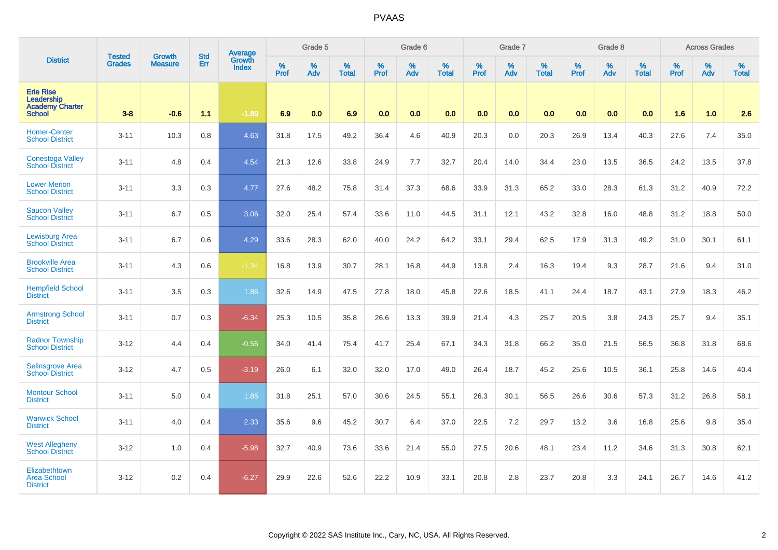|                                                                           | <b>Tested</b> | <b>Growth</b>  | <b>Std</b> | Average<br>Growth |                     | Grade 5  |                   |           | Grade 6  |                   |           | Grade 7  |                   |                     | Grade 8  |                   |                  | <b>Across Grades</b> |                   |
|---------------------------------------------------------------------------|---------------|----------------|------------|-------------------|---------------------|----------|-------------------|-----------|----------|-------------------|-----------|----------|-------------------|---------------------|----------|-------------------|------------------|----------------------|-------------------|
| <b>District</b>                                                           | <b>Grades</b> | <b>Measure</b> | Err        | <b>Index</b>      | $\%$<br><b>Prof</b> | %<br>Adv | %<br><b>Total</b> | %<br>Prof | %<br>Adv | %<br><b>Total</b> | %<br>Prof | %<br>Adv | %<br><b>Total</b> | $\%$<br><b>Prof</b> | %<br>Adv | %<br><b>Total</b> | %<br><b>Prof</b> | %<br>Adv             | %<br><b>Total</b> |
| <b>Erie Rise</b><br>Leadership<br><b>Academy Charter</b><br><b>School</b> | $3 - 8$       | $-0.6$         | 1.1        | $-1.89$           | 6.9                 | 0.0      | 6.9               | 0.0       | 0.0      | 0.0               | 0.0       | 0.0      | 0.0               | 0.0                 | 0.0      | 0.0               | 1.6              | 1.0                  | 2.6               |
| <b>Homer-Center</b><br><b>School District</b>                             | $3 - 11$      | 10.3           | 0.8        | 4.63              | 31.8                | 17.5     | 49.2              | 36.4      | 4.6      | 40.9              | 20.3      | 0.0      | 20.3              | 26.9                | 13.4     | 40.3              | 27.6             | 7.4                  | 35.0              |
| <b>Conestoga Valley</b><br><b>School District</b>                         | $3 - 11$      | 4.8            | 0.4        | 4.54              | 21.3                | 12.6     | 33.8              | 24.9      | 7.7      | 32.7              | 20.4      | 14.0     | 34.4              | 23.0                | 13.5     | 36.5              | 24.2             | 13.5                 | 37.8              |
| <b>Lower Merion</b><br><b>School District</b>                             | $3 - 11$      | 3.3            | 0.3        | 4.77              | 27.6                | 48.2     | 75.8              | 31.4      | 37.3     | 68.6              | 33.9      | 31.3     | 65.2              | 33.0                | 28.3     | 61.3              | 31.2             | 40.9                 | 72.2              |
| <b>Saucon Valley</b><br><b>School District</b>                            | $3 - 11$      | 6.7            | 0.5        | 3.06              | 32.0                | 25.4     | 57.4              | 33.6      | 11.0     | 44.5              | 31.1      | 12.1     | 43.2              | 32.8                | 16.0     | 48.8              | 31.2             | 18.8                 | 50.0              |
| <b>Lewisburg Area</b><br><b>School District</b>                           | $3 - 11$      | 6.7            | 0.6        | 4.29              | 33.6                | 28.3     | 62.0              | 40.0      | 24.2     | 64.2              | 33.1      | 29.4     | 62.5              | 17.9                | 31.3     | 49.2              | 31.0             | 30.1                 | 61.1              |
| <b>Brookville Area</b><br><b>School District</b>                          | $3 - 11$      | 4.3            | 0.6        | $-1.34$           | 16.8                | 13.9     | 30.7              | 28.1      | 16.8     | 44.9              | 13.8      | 2.4      | 16.3              | 19.4                | 9.3      | 28.7              | 21.6             | 9.4                  | 31.0              |
| <b>Hempfield School</b><br><b>District</b>                                | $3 - 11$      | 3.5            | 0.3        | 1.86              | 32.6                | 14.9     | 47.5              | 27.8      | 18.0     | 45.8              | 22.6      | 18.5     | 41.1              | 24.4                | 18.7     | 43.1              | 27.9             | 18.3                 | 46.2              |
| <b>Armstrong School</b><br><b>District</b>                                | $3 - 11$      | 0.7            | 0.3        | $-6.34$           | 25.3                | 10.5     | 35.8              | 26.6      | 13.3     | 39.9              | 21.4      | 4.3      | 25.7              | 20.5                | 3.8      | 24.3              | 25.7             | 9.4                  | 35.1              |
| <b>Radnor Township</b><br><b>School District</b>                          | $3 - 12$      | 4.4            | 0.4        | $-0.56$           | 34.0                | 41.4     | 75.4              | 41.7      | 25.4     | 67.1              | 34.3      | 31.8     | 66.2              | 35.0                | 21.5     | 56.5              | 36.8             | 31.8                 | 68.6              |
| <b>Selinsgrove Area</b><br><b>School District</b>                         | $3 - 12$      | 4.7            | 0.5        | $-3.19$           | 26.0                | 6.1      | 32.0              | 32.0      | 17.0     | 49.0              | 26.4      | 18.7     | 45.2              | 25.6                | 10.5     | 36.1              | 25.8             | 14.6                 | 40.4              |
| <b>Montour School</b><br><b>District</b>                                  | $3 - 11$      | 5.0            | 0.4        | 1.85              | 31.8                | 25.1     | 57.0              | 30.6      | 24.5     | 55.1              | 26.3      | 30.1     | 56.5              | 26.6                | 30.6     | 57.3              | 31.2             | 26.8                 | 58.1              |
| <b>Warwick School</b><br><b>District</b>                                  | $3 - 11$      | 4.0            | 0.4        | 2.33              | 35.6                | 9.6      | 45.2              | 30.7      | 6.4      | 37.0              | 22.5      | 7.2      | 29.7              | 13.2                | 3.6      | 16.8              | 25.6             | 9.8                  | 35.4              |
| <b>West Allegheny</b><br><b>School District</b>                           | $3 - 12$      | 1.0            | 0.4        | $-5.98$           | 32.7                | 40.9     | 73.6              | 33.6      | 21.4     | 55.0              | 27.5      | 20.6     | 48.1              | 23.4                | 11.2     | 34.6              | 31.3             | 30.8                 | 62.1              |
| Elizabethtown<br><b>Area School</b><br><b>District</b>                    | $3 - 12$      | 0.2            | 0.4        | $-6.27$           | 29.9                | 22.6     | 52.6              | 22.2      | 10.9     | 33.1              | 20.8      | 2.8      | 23.7              | 20.8                | 3.3      | 24.1              | 26.7             | 14.6                 | 41.2              |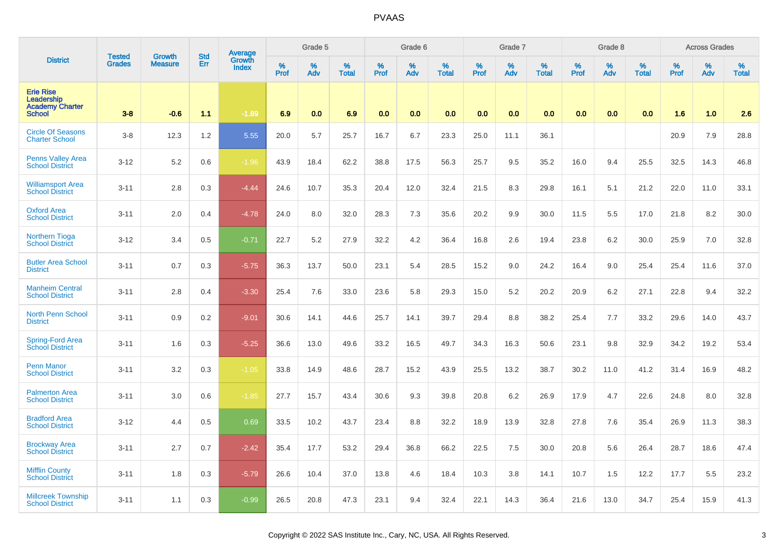|                                                                           | <b>Tested</b> | Growth         | <b>Std</b> | Average                |           | Grade 5     |                   |           | Grade 6  |                   |              | Grade 7  |                   |              | Grade 8  |                   |           | <b>Across Grades</b> |                   |
|---------------------------------------------------------------------------|---------------|----------------|------------|------------------------|-----------|-------------|-------------------|-----------|----------|-------------------|--------------|----------|-------------------|--------------|----------|-------------------|-----------|----------------------|-------------------|
| <b>District</b>                                                           | <b>Grades</b> | <b>Measure</b> | Err        | Growth<br><b>Index</b> | %<br>Prof | $\%$<br>Adv | %<br><b>Total</b> | %<br>Prof | %<br>Adv | %<br><b>Total</b> | $\%$<br>Prof | %<br>Adv | %<br><b>Total</b> | $\%$<br>Prof | %<br>Adv | %<br><b>Total</b> | %<br>Prof | $\%$<br>Adv          | %<br><b>Total</b> |
| <b>Erie Rise</b><br>Leadership<br><b>Academy Charter</b><br><b>School</b> | $3 - 8$       | $-0.6$         | 1.1        | $-1.89$                | 6.9       | 0.0         | 6.9               | 0.0       | 0.0      | 0.0               | 0.0          | 0.0      | 0.0               | 0.0          | 0.0      | 0.0               | 1.6       | 1.0                  | 2.6               |
| <b>Circle Of Seasons</b><br><b>Charter School</b>                         | $3 - 8$       | 12.3           | 1.2        | 5.55                   | 20.0      | 5.7         | 25.7              | 16.7      | 6.7      | 23.3              | 25.0         | 11.1     | 36.1              |              |          |                   | 20.9      | 7.9                  | 28.8              |
| <b>Penns Valley Area</b><br><b>School District</b>                        | $3 - 12$      | 5.2            | 0.6        | $-1.96$                | 43.9      | 18.4        | 62.2              | 38.8      | 17.5     | 56.3              | 25.7         | 9.5      | 35.2              | 16.0         | 9.4      | 25.5              | 32.5      | 14.3                 | 46.8              |
| <b>Williamsport Area</b><br><b>School District</b>                        | $3 - 11$      | 2.8            | 0.3        | $-4.44$                | 24.6      | 10.7        | 35.3              | 20.4      | 12.0     | 32.4              | 21.5         | 8.3      | 29.8              | 16.1         | 5.1      | 21.2              | 22.0      | 11.0                 | 33.1              |
| <b>Oxford Area</b><br><b>School District</b>                              | $3 - 11$      | 2.0            | 0.4        | $-4.78$                | 24.0      | 8.0         | 32.0              | 28.3      | 7.3      | 35.6              | 20.2         | 9.9      | 30.0              | 11.5         | 5.5      | 17.0              | 21.8      | 8.2                  | 30.0              |
| <b>Northern Tioga</b><br><b>School District</b>                           | $3 - 12$      | 3.4            | 0.5        | $-0.71$                | 22.7      | 5.2         | 27.9              | 32.2      | 4.2      | 36.4              | 16.8         | 2.6      | 19.4              | 23.8         | 6.2      | 30.0              | 25.9      | 7.0                  | 32.8              |
| <b>Butler Area School</b><br><b>District</b>                              | $3 - 11$      | 0.7            | 0.3        | $-5.75$                | 36.3      | 13.7        | 50.0              | 23.1      | 5.4      | 28.5              | 15.2         | 9.0      | 24.2              | 16.4         | 9.0      | 25.4              | 25.4      | 11.6                 | 37.0              |
| <b>Manheim Central</b><br><b>School District</b>                          | $3 - 11$      | 2.8            | 0.4        | $-3.30$                | 25.4      | 7.6         | 33.0              | 23.6      | 5.8      | 29.3              | 15.0         | 5.2      | 20.2              | 20.9         | 6.2      | 27.1              | 22.8      | 9.4                  | 32.2              |
| <b>North Penn School</b><br><b>District</b>                               | $3 - 11$      | 0.9            | 0.2        | $-9.01$                | 30.6      | 14.1        | 44.6              | 25.7      | 14.1     | 39.7              | 29.4         | 8.8      | 38.2              | 25.4         | 7.7      | 33.2              | 29.6      | 14.0                 | 43.7              |
| <b>Spring-Ford Area</b><br><b>School District</b>                         | $3 - 11$      | 1.6            | 0.3        | $-5.25$                | 36.6      | 13.0        | 49.6              | 33.2      | 16.5     | 49.7              | 34.3         | 16.3     | 50.6              | 23.1         | 9.8      | 32.9              | 34.2      | 19.2                 | 53.4              |
| <b>Penn Manor</b><br><b>School District</b>                               | $3 - 11$      | 3.2            | 0.3        | $-1.05$                | 33.8      | 14.9        | 48.6              | 28.7      | 15.2     | 43.9              | 25.5         | 13.2     | 38.7              | 30.2         | 11.0     | 41.2              | 31.4      | 16.9                 | 48.2              |
| <b>Palmerton Area</b><br><b>School District</b>                           | $3 - 11$      | 3.0            | 0.6        | $-1.85$                | 27.7      | 15.7        | 43.4              | 30.6      | 9.3      | 39.8              | 20.8         | 6.2      | 26.9              | 17.9         | 4.7      | 22.6              | 24.8      | 8.0                  | 32.8              |
| <b>Bradford Area</b><br><b>School District</b>                            | $3 - 12$      | 4.4            | 0.5        | 0.69                   | 33.5      | 10.2        | 43.7              | 23.4      | 8.8      | 32.2              | 18.9         | 13.9     | 32.8              | 27.8         | 7.6      | 35.4              | 26.9      | 11.3                 | 38.3              |
| <b>Brockway Area</b><br><b>School District</b>                            | $3 - 11$      | 2.7            | 0.7        | $-2.42$                | 35.4      | 17.7        | 53.2              | 29.4      | 36.8     | 66.2              | 22.5         | 7.5      | 30.0              | 20.8         | 5.6      | 26.4              | 28.7      | 18.6                 | 47.4              |
| <b>Mifflin County</b><br><b>School District</b>                           | $3 - 11$      | 1.8            | 0.3        | $-5.79$                | 26.6      | 10.4        | 37.0              | 13.8      | 4.6      | 18.4              | 10.3         | 3.8      | 14.1              | 10.7         | 1.5      | 12.2              | 17.7      | 5.5                  | 23.2              |
| <b>Millcreek Township</b><br><b>School District</b>                       | $3 - 11$      | 1.1            | 0.3        | $-0.99$                | 26.5      | 20.8        | 47.3              | 23.1      | 9.4      | 32.4              | 22.1         | 14.3     | 36.4              | 21.6         | 13.0     | 34.7              | 25.4      | 15.9                 | 41.3              |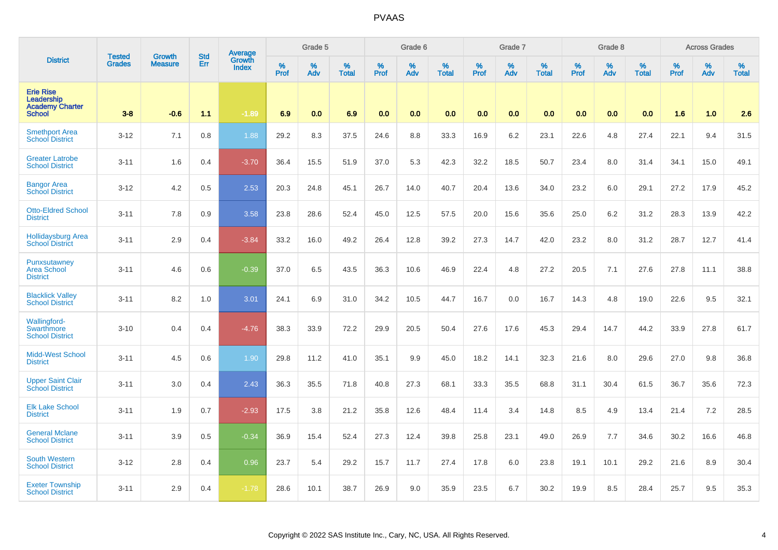|                                                                           | <b>Tested</b> | <b>Growth</b>  | <b>Std</b> | Average<br>Growth |           | Grade 5  |                   |           | Grade 6  |                   |           | Grade 7  |                   |           | Grade 8  |                   |           | <b>Across Grades</b> |                   |
|---------------------------------------------------------------------------|---------------|----------------|------------|-------------------|-----------|----------|-------------------|-----------|----------|-------------------|-----------|----------|-------------------|-----------|----------|-------------------|-----------|----------------------|-------------------|
| <b>District</b>                                                           | <b>Grades</b> | <b>Measure</b> | Err        | <b>Index</b>      | %<br>Prof | %<br>Adv | %<br><b>Total</b> | %<br>Prof | %<br>Adv | %<br><b>Total</b> | %<br>Prof | %<br>Adv | %<br><b>Total</b> | %<br>Prof | %<br>Adv | %<br><b>Total</b> | %<br>Prof | %<br>Adv             | %<br><b>Total</b> |
| <b>Erie Rise</b><br>Leadership<br><b>Academy Charter</b><br><b>School</b> | $3 - 8$       | $-0.6$         | 1.1        | $-1.89$           | 6.9       | 0.0      | 6.9               | 0.0       | 0.0      | 0.0               | 0.0       | 0.0      | 0.0               | 0.0       | 0.0      | 0.0               | 1.6       | 1.0                  | 2.6               |
| <b>Smethport Area</b><br><b>School District</b>                           | $3 - 12$      | 7.1            | 0.8        | 1.88              | 29.2      | 8.3      | 37.5              | 24.6      | 8.8      | 33.3              | 16.9      | 6.2      | 23.1              | 22.6      | 4.8      | 27.4              | 22.1      | 9.4                  | 31.5              |
| <b>Greater Latrobe</b><br><b>School District</b>                          | $3 - 11$      | 1.6            | 0.4        | $-3.70$           | 36.4      | 15.5     | 51.9              | 37.0      | 5.3      | 42.3              | 32.2      | 18.5     | 50.7              | 23.4      | 8.0      | 31.4              | 34.1      | 15.0                 | 49.1              |
| <b>Bangor Area</b><br><b>School District</b>                              | $3 - 12$      | 4.2            | 0.5        | 2.53              | 20.3      | 24.8     | 45.1              | 26.7      | 14.0     | 40.7              | 20.4      | 13.6     | 34.0              | 23.2      | 6.0      | 29.1              | 27.2      | 17.9                 | 45.2              |
| <b>Otto-Eldred School</b><br><b>District</b>                              | $3 - 11$      | 7.8            | 0.9        | 3.58              | 23.8      | 28.6     | 52.4              | 45.0      | 12.5     | 57.5              | 20.0      | 15.6     | 35.6              | 25.0      | 6.2      | 31.2              | 28.3      | 13.9                 | 42.2              |
| <b>Hollidaysburg Area</b><br>School District                              | $3 - 11$      | 2.9            | 0.4        | $-3.84$           | 33.2      | 16.0     | 49.2              | 26.4      | 12.8     | 39.2              | 27.3      | 14.7     | 42.0              | 23.2      | 8.0      | 31.2              | 28.7      | 12.7                 | 41.4              |
| Punxsutawney<br><b>Area School</b><br><b>District</b>                     | $3 - 11$      | 4.6            | 0.6        | $-0.39$           | 37.0      | 6.5      | 43.5              | 36.3      | 10.6     | 46.9              | 22.4      | 4.8      | 27.2              | 20.5      | 7.1      | 27.6              | 27.8      | 11.1                 | 38.8              |
| <b>Blacklick Valley</b><br><b>School District</b>                         | $3 - 11$      | 8.2            | 1.0        | 3.01              | 24.1      | 6.9      | 31.0              | 34.2      | 10.5     | 44.7              | 16.7      | 0.0      | 16.7              | 14.3      | 4.8      | 19.0              | 22.6      | 9.5                  | 32.1              |
| Wallingford-<br>Swarthmore<br><b>School District</b>                      | $3 - 10$      | 0.4            | 0.4        | $-4.76$           | 38.3      | 33.9     | 72.2              | 29.9      | 20.5     | 50.4              | 27.6      | 17.6     | 45.3              | 29.4      | 14.7     | 44.2              | 33.9      | 27.8                 | 61.7              |
| <b>Midd-West School</b><br><b>District</b>                                | $3 - 11$      | 4.5            | 0.6        | 1.90              | 29.8      | 11.2     | 41.0              | 35.1      | 9.9      | 45.0              | 18.2      | 14.1     | 32.3              | 21.6      | 8.0      | 29.6              | 27.0      | 9.8                  | 36.8              |
| <b>Upper Saint Clair</b><br><b>School District</b>                        | $3 - 11$      | 3.0            | 0.4        | 2.43              | 36.3      | 35.5     | 71.8              | 40.8      | 27.3     | 68.1              | 33.3      | 35.5     | 68.8              | 31.1      | 30.4     | 61.5              | 36.7      | 35.6                 | 72.3              |
| <b>Elk Lake School</b><br><b>District</b>                                 | $3 - 11$      | 1.9            | 0.7        | $-2.93$           | 17.5      | 3.8      | 21.2              | 35.8      | 12.6     | 48.4              | 11.4      | 3.4      | 14.8              | 8.5       | 4.9      | 13.4              | 21.4      | 7.2                  | 28.5              |
| <b>General Mclane</b><br><b>School District</b>                           | $3 - 11$      | 3.9            | 0.5        | $-0.34$           | 36.9      | 15.4     | 52.4              | 27.3      | 12.4     | 39.8              | 25.8      | 23.1     | 49.0              | 26.9      | 7.7      | 34.6              | 30.2      | 16.6                 | 46.8              |
| <b>South Western</b><br><b>School District</b>                            | $3 - 12$      | 2.8            | 0.4        | 0.96              | 23.7      | 5.4      | 29.2              | 15.7      | 11.7     | 27.4              | 17.8      | 6.0      | 23.8              | 19.1      | 10.1     | 29.2              | 21.6      | 8.9                  | 30.4              |
| <b>Exeter Township</b><br><b>School District</b>                          | $3 - 11$      | 2.9            | 0.4        | $-1.78$           | 28.6      | 10.1     | 38.7              | 26.9      | 9.0      | 35.9              | 23.5      | 6.7      | 30.2              | 19.9      | 8.5      | 28.4              | 25.7      | 9.5                  | 35.3              |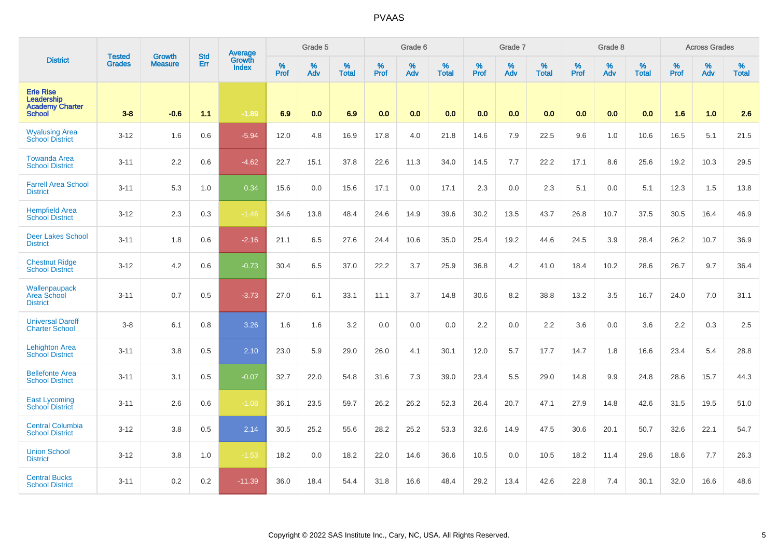|                                                                           | <b>Tested</b> | <b>Growth</b>  | <b>Std</b> | Average                |              | Grade 5  |                   |                  | Grade 6  |                   |           | Grade 7  |                   |              | Grade 8  |                   |           | <b>Across Grades</b> |                   |
|---------------------------------------------------------------------------|---------------|----------------|------------|------------------------|--------------|----------|-------------------|------------------|----------|-------------------|-----------|----------|-------------------|--------------|----------|-------------------|-----------|----------------------|-------------------|
| <b>District</b>                                                           | <b>Grades</b> | <b>Measure</b> | Err        | Growth<br><b>Index</b> | $\%$<br>Prof | %<br>Adv | %<br><b>Total</b> | %<br><b>Prof</b> | %<br>Adv | %<br><b>Total</b> | %<br>Prof | %<br>Adv | %<br><b>Total</b> | $\%$<br>Prof | %<br>Adv | %<br><b>Total</b> | %<br>Prof | $\%$<br>Adv          | %<br><b>Total</b> |
| <b>Erie Rise</b><br>Leadership<br><b>Academy Charter</b><br><b>School</b> | $3 - 8$       | $-0.6$         | 1.1        | $-1.89$                | 6.9          | 0.0      | 6.9               | 0.0              | 0.0      | 0.0               | 0.0       | 0.0      | 0.0               | 0.0          | 0.0      | 0.0               | 1.6       | 1.0                  | 2.6               |
| <b>Wyalusing Area</b><br><b>School District</b>                           | $3 - 12$      | 1.6            | 0.6        | $-5.94$                | 12.0         | 4.8      | 16.9              | 17.8             | 4.0      | 21.8              | 14.6      | 7.9      | 22.5              | 9.6          | 1.0      | 10.6              | 16.5      | 5.1                  | 21.5              |
| <b>Towanda Area</b><br><b>School District</b>                             | $3 - 11$      | 2.2            | 0.6        | $-4.62$                | 22.7         | 15.1     | 37.8              | 22.6             | 11.3     | 34.0              | 14.5      | 7.7      | 22.2              | 17.1         | 8.6      | 25.6              | 19.2      | 10.3                 | 29.5              |
| <b>Farrell Area School</b><br><b>District</b>                             | $3 - 11$      | 5.3            | 1.0        | 0.34                   | 15.6         | 0.0      | 15.6              | 17.1             | 0.0      | 17.1              | 2.3       | 0.0      | 2.3               | 5.1          | 0.0      | 5.1               | 12.3      | 1.5                  | 13.8              |
| <b>Hempfield Area</b><br><b>School District</b>                           | $3 - 12$      | 2.3            | 0.3        | $-1.46$                | 34.6         | 13.8     | 48.4              | 24.6             | 14.9     | 39.6              | 30.2      | 13.5     | 43.7              | 26.8         | 10.7     | 37.5              | 30.5      | 16.4                 | 46.9              |
| <b>Deer Lakes School</b><br><b>District</b>                               | $3 - 11$      | 1.8            | 0.6        | $-2.16$                | 21.1         | 6.5      | 27.6              | 24.4             | 10.6     | 35.0              | 25.4      | 19.2     | 44.6              | 24.5         | 3.9      | 28.4              | 26.2      | 10.7                 | 36.9              |
| <b>Chestnut Ridge</b><br><b>School District</b>                           | $3 - 12$      | 4.2            | 0.6        | $-0.73$                | 30.4         | 6.5      | 37.0              | 22.2             | 3.7      | 25.9              | 36.8      | 4.2      | 41.0              | 18.4         | 10.2     | 28.6              | 26.7      | 9.7                  | 36.4              |
| Wallenpaupack<br>Area School<br><b>District</b>                           | $3 - 11$      | 0.7            | 0.5        | $-3.73$                | 27.0         | 6.1      | 33.1              | 11.1             | 3.7      | 14.8              | 30.6      | 8.2      | 38.8              | 13.2         | 3.5      | 16.7              | 24.0      | 7.0                  | 31.1              |
| <b>Universal Daroff</b><br><b>Charter School</b>                          | $3 - 8$       | 6.1            | 0.8        | 3.26                   | 1.6          | 1.6      | 3.2               | 0.0              | 0.0      | 0.0               | $2.2\,$   | 0.0      | 2.2               | 3.6          | 0.0      | 3.6               | $2.2\,$   | 0.3                  | 2.5               |
| <b>Lehighton Area</b><br><b>School District</b>                           | $3 - 11$      | 3.8            | 0.5        | 2.10                   | 23.0         | 5.9      | 29.0              | 26.0             | 4.1      | 30.1              | 12.0      | 5.7      | 17.7              | 14.7         | 1.8      | 16.6              | 23.4      | 5.4                  | 28.8              |
| <b>Bellefonte Area</b><br><b>School District</b>                          | $3 - 11$      | 3.1            | 0.5        | $-0.07$                | 32.7         | 22.0     | 54.8              | 31.6             | 7.3      | 39.0              | 23.4      | 5.5      | 29.0              | 14.8         | 9.9      | 24.8              | 28.6      | 15.7                 | 44.3              |
| <b>East Lycoming</b><br><b>School District</b>                            | $3 - 11$      | 2.6            | 0.6        | $-1.08$                | 36.1         | 23.5     | 59.7              | 26.2             | 26.2     | 52.3              | 26.4      | 20.7     | 47.1              | 27.9         | 14.8     | 42.6              | 31.5      | 19.5                 | 51.0              |
| <b>Central Columbia</b><br><b>School District</b>                         | $3 - 12$      | 3.8            | 0.5        | 2.14                   | 30.5         | 25.2     | 55.6              | 28.2             | 25.2     | 53.3              | 32.6      | 14.9     | 47.5              | 30.6         | 20.1     | 50.7              | 32.6      | 22.1                 | 54.7              |
| <b>Union School</b><br><b>District</b>                                    | $3 - 12$      | 3.8            | 1.0        | $-1.53$                | 18.2         | 0.0      | 18.2              | 22.0             | 14.6     | 36.6              | 10.5      | 0.0      | 10.5              | 18.2         | 11.4     | 29.6              | 18.6      | 7.7                  | 26.3              |
| <b>Central Bucks</b><br><b>School District</b>                            | $3 - 11$      | 0.2            | 0.2        | $-11.39$               | 36.0         | 18.4     | 54.4              | 31.8             | 16.6     | 48.4              | 29.2      | 13.4     | 42.6              | 22.8         | 7.4      | 30.1              | 32.0      | 16.6                 | 48.6              |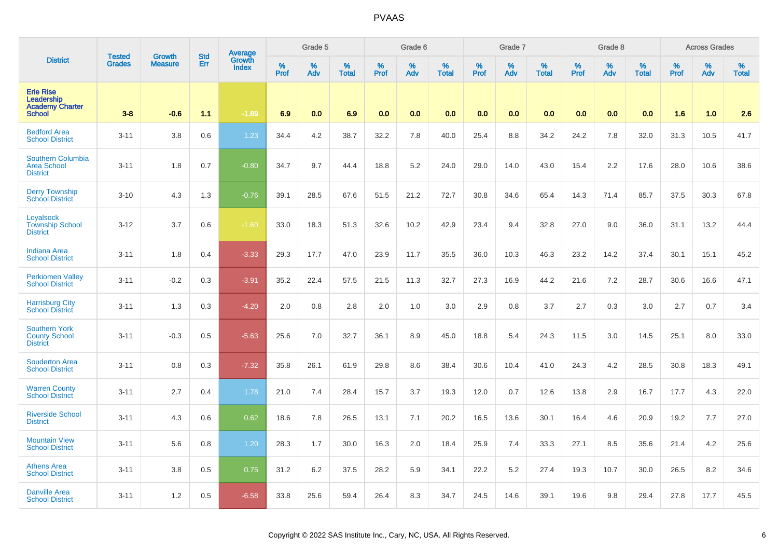|                                                                           | <b>Tested</b> | Growth         | <b>Std</b> | <b>Average</b><br>Growth |           | Grade 5  |                      |           | Grade 6  |                   |           | Grade 7  |                      |           | Grade 8  |                      |           | <b>Across Grades</b> |                   |
|---------------------------------------------------------------------------|---------------|----------------|------------|--------------------------|-----------|----------|----------------------|-----------|----------|-------------------|-----------|----------|----------------------|-----------|----------|----------------------|-----------|----------------------|-------------------|
| <b>District</b>                                                           | <b>Grades</b> | <b>Measure</b> | Err        | <b>Index</b>             | %<br>Prof | %<br>Adv | $\%$<br><b>Total</b> | %<br>Prof | %<br>Adv | %<br><b>Total</b> | %<br>Prof | %<br>Adv | $\%$<br><b>Total</b> | %<br>Prof | %<br>Adv | $\%$<br><b>Total</b> | %<br>Prof | %<br>Adv             | %<br><b>Total</b> |
| <b>Erie Rise</b><br>Leadership<br><b>Academy Charter</b><br><b>School</b> | $3-8$         | $-0.6$         | 1.1        | $-1.89$                  | 6.9       | 0.0      | 6.9                  | 0.0       | 0.0      | 0.0               | 0.0       | 0.0      | 0.0                  | 0.0       | 0.0      | 0.0                  | 1.6       | 1.0                  | 2.6               |
| <b>Bedford Area</b><br><b>School District</b>                             | $3 - 11$      | 3.8            | 0.6        | 1.23                     | 34.4      | 4.2      | 38.7                 | 32.2      | 7.8      | 40.0              | 25.4      | 8.8      | 34.2                 | 24.2      | 7.8      | 32.0                 | 31.3      | 10.5                 | 41.7              |
| Southern Columbia<br><b>Area School</b><br><b>District</b>                | $3 - 11$      | 1.8            | 0.7        | $-0.80$                  | 34.7      | 9.7      | 44.4                 | 18.8      | $5.2\,$  | 24.0              | 29.0      | 14.0     | 43.0                 | 15.4      | 2.2      | 17.6                 | 28.0      | 10.6                 | 38.6              |
| <b>Derry Township</b><br><b>School District</b>                           | $3 - 10$      | 4.3            | 1.3        | $-0.76$                  | 39.1      | 28.5     | 67.6                 | 51.5      | 21.2     | 72.7              | 30.8      | 34.6     | 65.4                 | 14.3      | 71.4     | 85.7                 | 37.5      | 30.3                 | 67.8              |
| Loyalsock<br><b>Township School</b><br><b>District</b>                    | $3 - 12$      | 3.7            | 0.6        | $-1.60$                  | 33.0      | 18.3     | 51.3                 | 32.6      | 10.2     | 42.9              | 23.4      | 9.4      | 32.8                 | 27.0      | 9.0      | 36.0                 | 31.1      | 13.2                 | 44.4              |
| <b>Indiana Area</b><br><b>School District</b>                             | $3 - 11$      | 1.8            | 0.4        | $-3.33$                  | 29.3      | 17.7     | 47.0                 | 23.9      | 11.7     | 35.5              | 36.0      | 10.3     | 46.3                 | 23.2      | 14.2     | 37.4                 | 30.1      | 15.1                 | 45.2              |
| <b>Perkiomen Valley</b><br><b>School District</b>                         | $3 - 11$      | $-0.2$         | 0.3        | $-3.91$                  | 35.2      | 22.4     | 57.5                 | 21.5      | 11.3     | 32.7              | 27.3      | 16.9     | 44.2                 | 21.6      | 7.2      | 28.7                 | 30.6      | 16.6                 | 47.1              |
| <b>Harrisburg City</b><br><b>School District</b>                          | $3 - 11$      | 1.3            | 0.3        | $-4.20$                  | 2.0       | 0.8      | 2.8                  | 2.0       | 1.0      | 3.0               | 2.9       | 0.8      | 3.7                  | 2.7       | 0.3      | 3.0                  | 2.7       | 0.7                  | 3.4               |
| <b>Southern York</b><br><b>County School</b><br><b>District</b>           | $3 - 11$      | $-0.3$         | 0.5        | $-5.63$                  | 25.6      | 7.0      | 32.7                 | 36.1      | 8.9      | 45.0              | 18.8      | 5.4      | 24.3                 | 11.5      | 3.0      | 14.5                 | 25.1      | 8.0                  | 33.0              |
| <b>Souderton Area</b><br><b>School District</b>                           | $3 - 11$      | 0.8            | 0.3        | $-7.32$                  | 35.8      | 26.1     | 61.9                 | 29.8      | 8.6      | 38.4              | 30.6      | 10.4     | 41.0                 | 24.3      | 4.2      | 28.5                 | 30.8      | 18.3                 | 49.1              |
| <b>Warren County</b><br><b>School District</b>                            | $3 - 11$      | 2.7            | 0.4        | 1.78                     | 21.0      | 7.4      | 28.4                 | 15.7      | 3.7      | 19.3              | 12.0      | 0.7      | 12.6                 | 13.8      | 2.9      | 16.7                 | 17.7      | 4.3                  | 22.0              |
| <b>Riverside School</b><br><b>District</b>                                | $3 - 11$      | 4.3            | 0.6        | 0.62                     | 18.6      | 7.8      | 26.5                 | 13.1      | 7.1      | 20.2              | 16.5      | 13.6     | 30.1                 | 16.4      | 4.6      | 20.9                 | 19.2      | 7.7                  | 27.0              |
| <b>Mountain View</b><br><b>School District</b>                            | $3 - 11$      | 5.6            | 0.8        | 1.20                     | 28.3      | 1.7      | 30.0                 | 16.3      | 2.0      | 18.4              | 25.9      | 7.4      | 33.3                 | 27.1      | 8.5      | 35.6                 | 21.4      | 4.2                  | 25.6              |
| <b>Athens Area</b><br><b>School District</b>                              | $3 - 11$      | 3.8            | 0.5        | 0.75                     | 31.2      | 6.2      | 37.5                 | 28.2      | 5.9      | 34.1              | 22.2      | 5.2      | 27.4                 | 19.3      | 10.7     | 30.0                 | 26.5      | 8.2                  | 34.6              |
| <b>Danville Area</b><br><b>School District</b>                            | $3 - 11$      | 1.2            | 0.5        | $-6.58$                  | 33.8      | 25.6     | 59.4                 | 26.4      | 8.3      | 34.7              | 24.5      | 14.6     | 39.1                 | 19.6      | 9.8      | 29.4                 | 27.8      | 17.7                 | 45.5              |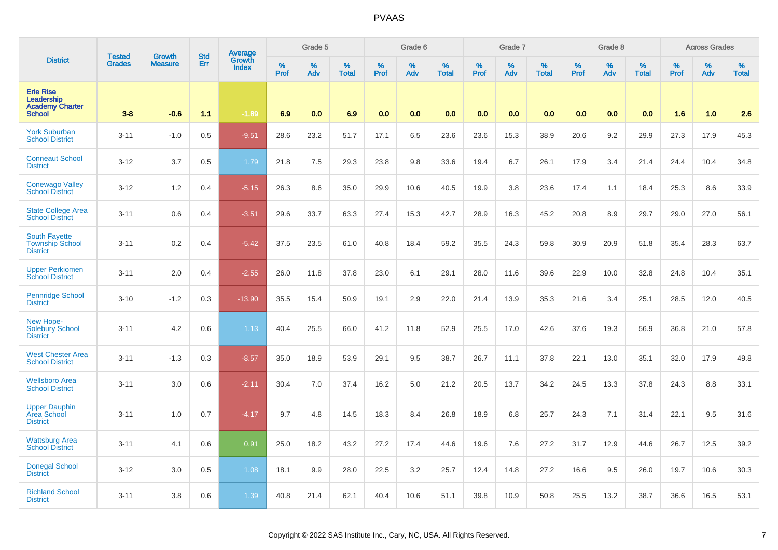|                                                                           | <b>Tested</b> | <b>Growth</b>  | <b>Std</b> | Average                |              | Grade 5     |                   |              | Grade 6     |                   |              | Grade 7  |                   |              | Grade 8  |                      |              | <b>Across Grades</b> |                   |
|---------------------------------------------------------------------------|---------------|----------------|------------|------------------------|--------------|-------------|-------------------|--------------|-------------|-------------------|--------------|----------|-------------------|--------------|----------|----------------------|--------------|----------------------|-------------------|
| <b>District</b>                                                           | <b>Grades</b> | <b>Measure</b> | Err        | Growth<br><b>Index</b> | $\%$<br>Prof | $\%$<br>Adv | %<br><b>Total</b> | $\%$<br>Prof | $\%$<br>Adv | %<br><b>Total</b> | $\%$<br>Prof | %<br>Adv | %<br><b>Total</b> | $\%$<br>Prof | %<br>Adv | $\%$<br><b>Total</b> | $\%$<br>Prof | $\%$<br>Adv          | %<br><b>Total</b> |
| <b>Erie Rise</b><br>Leadership<br><b>Academy Charter</b><br><b>School</b> | $3 - 8$       | $-0.6$         | 1.1        | $-1.89$                | 6.9          | 0.0         | 6.9               | 0.0          | 0.0         | 0.0               | 0.0          | 0.0      | 0.0               | 0.0          | 0.0      | 0.0                  | 1.6          | 1.0                  | 2.6               |
| <b>York Suburban</b><br><b>School District</b>                            | $3 - 11$      | $-1.0$         | 0.5        | $-9.51$                | 28.6         | 23.2        | 51.7              | 17.1         | 6.5         | 23.6              | 23.6         | 15.3     | 38.9              | 20.6         | 9.2      | 29.9                 | 27.3         | 17.9                 | 45.3              |
| <b>Conneaut School</b><br><b>District</b>                                 | $3 - 12$      | 3.7            | 0.5        | 1.79                   | 21.8         | 7.5         | 29.3              | 23.8         | 9.8         | 33.6              | 19.4         | 6.7      | 26.1              | 17.9         | 3.4      | 21.4                 | 24.4         | 10.4                 | 34.8              |
| Conewago Valley<br><b>School District</b>                                 | $3 - 12$      | 1.2            | 0.4        | $-5.15$                | 26.3         | 8.6         | 35.0              | 29.9         | 10.6        | 40.5              | 19.9         | 3.8      | 23.6              | 17.4         | 1.1      | 18.4                 | 25.3         | 8.6                  | 33.9              |
| <b>State College Area</b><br><b>School District</b>                       | $3 - 11$      | 0.6            | 0.4        | $-3.51$                | 29.6         | 33.7        | 63.3              | 27.4         | 15.3        | 42.7              | 28.9         | 16.3     | 45.2              | 20.8         | 8.9      | 29.7                 | 29.0         | 27.0                 | 56.1              |
| <b>South Fayette</b><br><b>Township School</b><br><b>District</b>         | $3 - 11$      | 0.2            | 0.4        | $-5.42$                | 37.5         | 23.5        | 61.0              | 40.8         | 18.4        | 59.2              | 35.5         | 24.3     | 59.8              | 30.9         | 20.9     | 51.8                 | 35.4         | 28.3                 | 63.7              |
| <b>Upper Perkiomen</b><br><b>School District</b>                          | $3 - 11$      | 2.0            | 0.4        | $-2.55$                | 26.0         | 11.8        | 37.8              | 23.0         | 6.1         | 29.1              | 28.0         | 11.6     | 39.6              | 22.9         | 10.0     | 32.8                 | 24.8         | 10.4                 | 35.1              |
| <b>Pennridge School</b><br><b>District</b>                                | $3 - 10$      | $-1.2$         | 0.3        | $-13.90$               | 35.5         | 15.4        | 50.9              | 19.1         | 2.9         | 22.0              | 21.4         | 13.9     | 35.3              | 21.6         | 3.4      | 25.1                 | 28.5         | 12.0                 | 40.5              |
| New Hope-<br>Solebury School<br><b>District</b>                           | $3 - 11$      | 4.2            | 0.6        | 1.13                   | 40.4         | 25.5        | 66.0              | 41.2         | 11.8        | 52.9              | 25.5         | 17.0     | 42.6              | 37.6         | 19.3     | 56.9                 | 36.8         | 21.0                 | 57.8              |
| <b>West Chester Area</b><br><b>School District</b>                        | $3 - 11$      | $-1.3$         | 0.3        | $-8.57$                | 35.0         | 18.9        | 53.9              | 29.1         | 9.5         | 38.7              | 26.7         | 11.1     | 37.8              | 22.1         | 13.0     | 35.1                 | 32.0         | 17.9                 | 49.8              |
| <b>Wellsboro Area</b><br><b>School District</b>                           | $3 - 11$      | 3.0            | 0.6        | $-2.11$                | 30.4         | 7.0         | 37.4              | 16.2         | 5.0         | 21.2              | 20.5         | 13.7     | 34.2              | 24.5         | 13.3     | 37.8                 | 24.3         | 8.8                  | 33.1              |
| <b>Upper Dauphin</b><br>Area School<br><b>District</b>                    | $3 - 11$      | 1.0            | 0.7        | $-4.17$                | 9.7          | 4.8         | 14.5              | 18.3         | 8.4         | 26.8              | 18.9         | 6.8      | 25.7              | 24.3         | 7.1      | 31.4                 | 22.1         | 9.5                  | 31.6              |
| <b>Wattsburg Area</b><br><b>School District</b>                           | $3 - 11$      | 4.1            | 0.6        | 0.91                   | 25.0         | 18.2        | 43.2              | 27.2         | 17.4        | 44.6              | 19.6         | 7.6      | 27.2              | 31.7         | 12.9     | 44.6                 | 26.7         | 12.5                 | 39.2              |
| <b>Donegal School</b><br><b>District</b>                                  | $3 - 12$      | 3.0            | 0.5        | 1.08                   | 18.1         | 9.9         | 28.0              | 22.5         | 3.2         | 25.7              | 12.4         | 14.8     | 27.2              | 16.6         | 9.5      | 26.0                 | 19.7         | 10.6                 | 30.3              |
| <b>Richland School</b><br><b>District</b>                                 | $3 - 11$      | 3.8            | 0.6        | 1.39                   | 40.8         | 21.4        | 62.1              | 40.4         | 10.6        | 51.1              | 39.8         | 10.9     | 50.8              | 25.5         | 13.2     | 38.7                 | 36.6         | 16.5                 | 53.1              |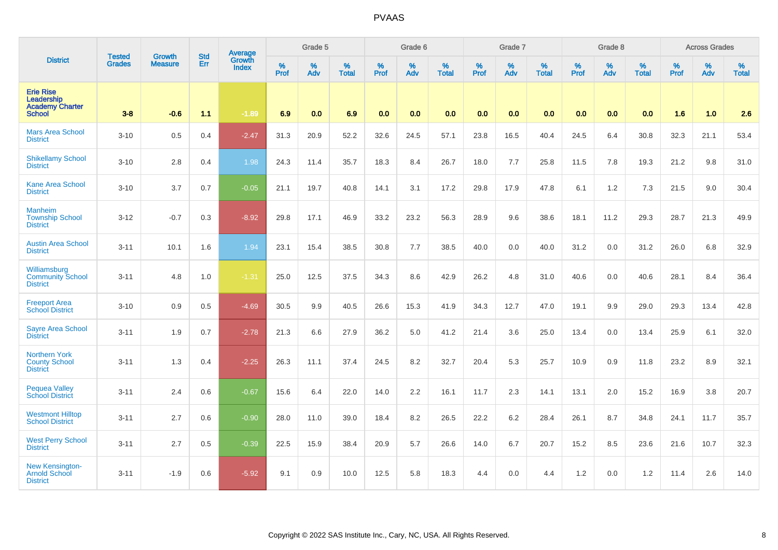|                                                                           | <b>Tested</b> | <b>Growth</b>  | <b>Std</b> | Average                |           | Grade 5  |                      |           | Grade 6  |                   |           | Grade 7  |                   |                  | Grade 8  |                   |                  | <b>Across Grades</b> |                   |
|---------------------------------------------------------------------------|---------------|----------------|------------|------------------------|-----------|----------|----------------------|-----------|----------|-------------------|-----------|----------|-------------------|------------------|----------|-------------------|------------------|----------------------|-------------------|
| <b>District</b>                                                           | <b>Grades</b> | <b>Measure</b> | Err        | Growth<br><b>Index</b> | %<br>Prof | %<br>Adv | $\%$<br><b>Total</b> | %<br>Prof | %<br>Adv | %<br><b>Total</b> | %<br>Prof | %<br>Adv | %<br><b>Total</b> | %<br><b>Prof</b> | %<br>Adv | %<br><b>Total</b> | %<br><b>Prof</b> | %<br>Adv             | %<br><b>Total</b> |
| <b>Erie Rise</b><br>Leadership<br><b>Academy Charter</b><br><b>School</b> | $3-8$         | $-0.6$         | $1.1$      | $-1.89$                | 6.9       | 0.0      | 6.9                  | 0.0       | 0.0      | 0.0               | 0.0       | 0.0      | 0.0               | 0.0              | 0.0      | 0.0               | 1.6              | 1.0                  | 2.6               |
| <b>Mars Area School</b><br><b>District</b>                                | $3 - 10$      | 0.5            | 0.4        | $-2.47$                | 31.3      | 20.9     | 52.2                 | 32.6      | 24.5     | 57.1              | 23.8      | 16.5     | 40.4              | 24.5             | 6.4      | 30.8              | 32.3             | 21.1                 | 53.4              |
| <b>Shikellamy School</b><br><b>District</b>                               | $3 - 10$      | 2.8            | 0.4        | 1.98                   | 24.3      | 11.4     | 35.7                 | 18.3      | 8.4      | 26.7              | 18.0      | 7.7      | 25.8              | 11.5             | 7.8      | 19.3              | 21.2             | 9.8                  | 31.0              |
| <b>Kane Area School</b><br><b>District</b>                                | $3 - 10$      | 3.7            | 0.7        | $-0.05$                | 21.1      | 19.7     | 40.8                 | 14.1      | 3.1      | 17.2              | 29.8      | 17.9     | 47.8              | 6.1              | 1.2      | 7.3               | 21.5             | 9.0                  | 30.4              |
| <b>Manheim</b><br><b>Township School</b><br><b>District</b>               | $3 - 12$      | $-0.7$         | 0.3        | $-8.92$                | 29.8      | 17.1     | 46.9                 | 33.2      | 23.2     | 56.3              | 28.9      | 9.6      | 38.6              | 18.1             | 11.2     | 29.3              | 28.7             | 21.3                 | 49.9              |
| <b>Austin Area School</b><br><b>District</b>                              | $3 - 11$      | 10.1           | 1.6        | 1.94                   | 23.1      | 15.4     | 38.5                 | 30.8      | 7.7      | 38.5              | 40.0      | 0.0      | 40.0              | 31.2             | 0.0      | 31.2              | 26.0             | 6.8                  | 32.9              |
| Williamsburg<br><b>Community School</b><br><b>District</b>                | $3 - 11$      | 4.8            | 1.0        | $-1.31$                | 25.0      | 12.5     | 37.5                 | 34.3      | 8.6      | 42.9              | 26.2      | 4.8      | 31.0              | 40.6             | 0.0      | 40.6              | 28.1             | 8.4                  | 36.4              |
| <b>Freeport Area</b><br><b>School District</b>                            | $3 - 10$      | 0.9            | 0.5        | $-4.69$                | 30.5      | 9.9      | 40.5                 | 26.6      | 15.3     | 41.9              | 34.3      | 12.7     | 47.0              | 19.1             | 9.9      | 29.0              | 29.3             | 13.4                 | 42.8              |
| <b>Sayre Area School</b><br><b>District</b>                               | $3 - 11$      | 1.9            | 0.7        | $-2.78$                | 21.3      | 6.6      | 27.9                 | 36.2      | 5.0      | 41.2              | 21.4      | 3.6      | 25.0              | 13.4             | 0.0      | 13.4              | 25.9             | 6.1                  | 32.0              |
| <b>Northern York</b><br><b>County School</b><br><b>District</b>           | $3 - 11$      | 1.3            | 0.4        | $-2.25$                | 26.3      | 11.1     | 37.4                 | 24.5      | 8.2      | 32.7              | 20.4      | 5.3      | 25.7              | 10.9             | 0.9      | 11.8              | 23.2             | 8.9                  | 32.1              |
| <b>Pequea Valley</b><br><b>School District</b>                            | $3 - 11$      | 2.4            | 0.6        | $-0.67$                | 15.6      | 6.4      | 22.0                 | 14.0      | 2.2      | 16.1              | 11.7      | 2.3      | 14.1              | 13.1             | 2.0      | 15.2              | 16.9             | 3.8                  | 20.7              |
| <b>Westmont Hilltop</b><br><b>School District</b>                         | $3 - 11$      | 2.7            | 0.6        | $-0.90$                | 28.0      | 11.0     | 39.0                 | 18.4      | 8.2      | 26.5              | 22.2      | 6.2      | 28.4              | 26.1             | 8.7      | 34.8              | 24.1             | 11.7                 | 35.7              |
| <b>West Perry School</b><br><b>District</b>                               | $3 - 11$      | 2.7            | 0.5        | $-0.39$                | 22.5      | 15.9     | 38.4                 | 20.9      | 5.7      | 26.6              | 14.0      | 6.7      | 20.7              | 15.2             | 8.5      | 23.6              | 21.6             | 10.7                 | 32.3              |
| New Kensington-<br><b>Arnold School</b><br><b>District</b>                | $3 - 11$      | $-1.9$         | 0.6        | $-5.92$                | 9.1       | 0.9      | 10.0                 | 12.5      | 5.8      | 18.3              | 4.4       | 0.0      | 4.4               | 1.2              | 0.0      | 1.2               | 11.4             | 2.6                  | 14.0              |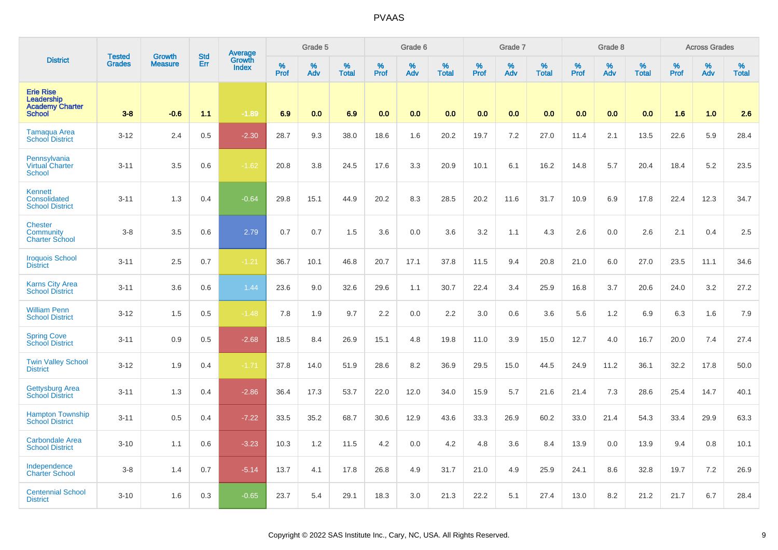|                                                                           | <b>Tested</b> | Growth         | <b>Std</b> | <b>Average</b><br>Growth |              | Grade 5  |                   |                  | Grade 6  |                   |                  | Grade 7  |                   |           | Grade 8  |                   |           | <b>Across Grades</b> |                   |
|---------------------------------------------------------------------------|---------------|----------------|------------|--------------------------|--------------|----------|-------------------|------------------|----------|-------------------|------------------|----------|-------------------|-----------|----------|-------------------|-----------|----------------------|-------------------|
| <b>District</b>                                                           | <b>Grades</b> | <b>Measure</b> | Err        | <b>Index</b>             | $\%$<br>Prof | %<br>Adv | %<br><b>Total</b> | %<br><b>Prof</b> | %<br>Adv | %<br><b>Total</b> | %<br><b>Prof</b> | %<br>Adv | %<br><b>Total</b> | %<br>Prof | %<br>Adv | %<br><b>Total</b> | %<br>Prof | %<br>Adv             | %<br><b>Total</b> |
| <b>Erie Rise</b><br>Leadership<br><b>Academy Charter</b><br><b>School</b> | $3 - 8$       | $-0.6$         | 1.1        | $-1.89$                  | 6.9          | 0.0      | 6.9               | 0.0              | 0.0      | 0.0               | 0.0              | 0.0      | 0.0               | 0.0       | 0.0      | 0.0               | 1.6       | 1.0                  | 2.6               |
| <b>Tamaqua Area</b><br><b>School District</b>                             | $3 - 12$      | 2.4            | 0.5        | $-2.30$                  | 28.7         | 9.3      | 38.0              | 18.6             | 1.6      | 20.2              | 19.7             | 7.2      | 27.0              | 11.4      | 2.1      | 13.5              | 22.6      | 5.9                  | 28.4              |
| Pennsylvania<br><b>Virtual Charter</b><br><b>School</b>                   | $3 - 11$      | 3.5            | 0.6        | $-1.62$                  | 20.8         | 3.8      | 24.5              | 17.6             | 3.3      | 20.9              | 10.1             | 6.1      | 16.2              | 14.8      | 5.7      | 20.4              | 18.4      | 5.2                  | 23.5              |
| <b>Kennett</b><br>Consolidated<br><b>School District</b>                  | $3 - 11$      | 1.3            | 0.4        | $-0.64$                  | 29.8         | 15.1     | 44.9              | 20.2             | 8.3      | 28.5              | 20.2             | 11.6     | 31.7              | 10.9      | 6.9      | 17.8              | 22.4      | 12.3                 | 34.7              |
| <b>Chester</b><br><b>Community</b><br><b>Charter School</b>               | $3 - 8$       | 3.5            | 0.6        | 2.79                     | 0.7          | 0.7      | 1.5               | 3.6              | 0.0      | 3.6               | 3.2              | 1.1      | 4.3               | 2.6       | 0.0      | 2.6               | 2.1       | 0.4                  | 2.5               |
| <b>Iroquois School</b><br><b>District</b>                                 | $3 - 11$      | 2.5            | 0.7        | $-1.21$                  | 36.7         | 10.1     | 46.8              | 20.7             | 17.1     | 37.8              | 11.5             | 9.4      | 20.8              | 21.0      | 6.0      | 27.0              | 23.5      | 11.1                 | 34.6              |
| <b>Karns City Area</b><br><b>School District</b>                          | $3 - 11$      | 3.6            | 0.6        | 1.44                     | 23.6         | 9.0      | 32.6              | 29.6             | 1.1      | 30.7              | 22.4             | 3.4      | 25.9              | 16.8      | 3.7      | 20.6              | 24.0      | 3.2                  | 27.2              |
| <b>William Penn</b><br><b>School District</b>                             | $3 - 12$      | 1.5            | 0.5        | $-1.48$                  | 7.8          | 1.9      | 9.7               | 2.2              | 0.0      | 2.2               | 3.0              | 0.6      | 3.6               | 5.6       | 1.2      | 6.9               | 6.3       | 1.6                  | 7.9               |
| <b>Spring Cove</b><br><b>School District</b>                              | $3 - 11$      | 0.9            | 0.5        | $-2.68$                  | 18.5         | 8.4      | 26.9              | 15.1             | 4.8      | 19.8              | 11.0             | 3.9      | 15.0              | 12.7      | 4.0      | 16.7              | 20.0      | 7.4                  | 27.4              |
| <b>Twin Valley School</b><br><b>District</b>                              | $3 - 12$      | 1.9            | 0.4        | $-1.71$                  | 37.8         | 14.0     | 51.9              | 28.6             | 8.2      | 36.9              | 29.5             | 15.0     | 44.5              | 24.9      | 11.2     | 36.1              | 32.2      | 17.8                 | 50.0              |
| <b>Gettysburg Area</b><br><b>School District</b>                          | $3 - 11$      | 1.3            | 0.4        | $-2.86$                  | 36.4         | 17.3     | 53.7              | 22.0             | 12.0     | 34.0              | 15.9             | 5.7      | 21.6              | 21.4      | 7.3      | 28.6              | 25.4      | 14.7                 | 40.1              |
| <b>Hampton Township</b><br><b>School District</b>                         | $3 - 11$      | 0.5            | 0.4        | $-7.22$                  | 33.5         | 35.2     | 68.7              | 30.6             | 12.9     | 43.6              | 33.3             | 26.9     | 60.2              | 33.0      | 21.4     | 54.3              | 33.4      | 29.9                 | 63.3              |
| <b>Carbondale Area</b><br><b>School District</b>                          | $3 - 10$      | 1.1            | 0.6        | $-3.23$                  | 10.3         | 1.2      | 11.5              | 4.2              | 0.0      | 4.2               | 4.8              | 3.6      | 8.4               | 13.9      | 0.0      | 13.9              | 9.4       | 0.8                  | 10.1              |
| Independence<br><b>Charter School</b>                                     | $3-8$         | 1.4            | 0.7        | $-5.14$                  | 13.7         | 4.1      | 17.8              | 26.8             | 4.9      | 31.7              | 21.0             | 4.9      | 25.9              | 24.1      | 8.6      | 32.8              | 19.7      | 7.2                  | 26.9              |
| <b>Centennial School</b><br><b>District</b>                               | $3 - 10$      | 1.6            | 0.3        | $-0.65$                  | 23.7         | 5.4      | 29.1              | 18.3             | 3.0      | 21.3              | 22.2             | 5.1      | 27.4              | 13.0      | 8.2      | 21.2              | 21.7      | 6.7                  | 28.4              |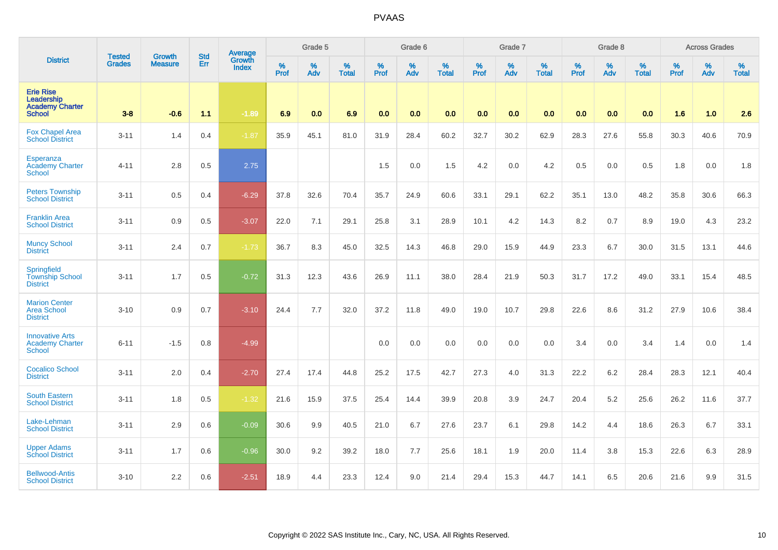|                                                                           | <b>Tested</b> | <b>Growth</b>  | <b>Std</b> | Average                |              | Grade 5  |                   |           | Grade 6  |                   |           | Grade 7  |                   |           | Grade 8  |                   |           | <b>Across Grades</b> |                   |
|---------------------------------------------------------------------------|---------------|----------------|------------|------------------------|--------------|----------|-------------------|-----------|----------|-------------------|-----------|----------|-------------------|-----------|----------|-------------------|-----------|----------------------|-------------------|
| <b>District</b>                                                           | <b>Grades</b> | <b>Measure</b> | Err        | Growth<br><b>Index</b> | $\%$<br>Prof | %<br>Adv | %<br><b>Total</b> | %<br>Prof | %<br>Adv | %<br><b>Total</b> | %<br>Prof | %<br>Adv | %<br><b>Total</b> | %<br>Prof | %<br>Adv | %<br><b>Total</b> | %<br>Prof | %<br>Adv             | %<br><b>Total</b> |
| <b>Erie Rise</b><br>Leadership<br><b>Academy Charter</b><br><b>School</b> | $3-8$         | $-0.6$         | 1.1        | $-1.89$                | 6.9          | 0.0      | 6.9               | 0.0       | 0.0      | 0.0               | 0.0       | 0.0      | 0.0               | 0.0       | 0.0      | 0.0               | 1.6       | 1.0                  | 2.6               |
| <b>Fox Chapel Area</b><br><b>School District</b>                          | $3 - 11$      | 1.4            | 0.4        | $-1.87$                | 35.9         | 45.1     | 81.0              | 31.9      | 28.4     | 60.2              | 32.7      | 30.2     | 62.9              | 28.3      | 27.6     | 55.8              | 30.3      | 40.6                 | 70.9              |
| Esperanza<br><b>Academy Charter</b><br><b>School</b>                      | $4 - 11$      | 2.8            | 0.5        | 2.75                   |              |          |                   | 1.5       | 0.0      | 1.5               | 4.2       | 0.0      | 4.2               | 0.5       | 0.0      | 0.5               | 1.8       | 0.0                  | 1.8               |
| <b>Peters Township</b><br><b>School District</b>                          | $3 - 11$      | 0.5            | 0.4        | $-6.29$                | 37.8         | 32.6     | 70.4              | 35.7      | 24.9     | 60.6              | 33.1      | 29.1     | 62.2              | 35.1      | 13.0     | 48.2              | 35.8      | 30.6                 | 66.3              |
| <b>Franklin Area</b><br><b>School District</b>                            | $3 - 11$      | 0.9            | 0.5        | $-3.07$                | 22.0         | 7.1      | 29.1              | 25.8      | 3.1      | 28.9              | 10.1      | 4.2      | 14.3              | 8.2       | 0.7      | 8.9               | 19.0      | 4.3                  | 23.2              |
| <b>Muncy School</b><br><b>District</b>                                    | $3 - 11$      | 2.4            | 0.7        | $-1.73$                | 36.7         | 8.3      | 45.0              | 32.5      | 14.3     | 46.8              | 29.0      | 15.9     | 44.9              | 23.3      | 6.7      | 30.0              | 31.5      | 13.1                 | 44.6              |
| Springfield<br><b>Township School</b><br><b>District</b>                  | $3 - 11$      | 1.7            | 0.5        | $-0.72$                | 31.3         | 12.3     | 43.6              | 26.9      | 11.1     | 38.0              | 28.4      | 21.9     | 50.3              | 31.7      | 17.2     | 49.0              | 33.1      | 15.4                 | 48.5              |
| <b>Marion Center</b><br><b>Area School</b><br><b>District</b>             | $3 - 10$      | 0.9            | 0.7        | $-3.10$                | 24.4         | $7.7\,$  | 32.0              | 37.2      | 11.8     | 49.0              | 19.0      | 10.7     | 29.8              | 22.6      | 8.6      | 31.2              | 27.9      | 10.6                 | 38.4              |
| <b>Innovative Arts</b><br><b>Academy Charter</b><br><b>School</b>         | $6 - 11$      | $-1.5$         | 0.8        | $-4.99$                |              |          |                   | 0.0       | 0.0      | 0.0               | 0.0       | 0.0      | 0.0               | 3.4       | 0.0      | 3.4               | 1.4       | 0.0                  | 1.4               |
| <b>Cocalico School</b><br><b>District</b>                                 | $3 - 11$      | 2.0            | 0.4        | $-2.70$                | 27.4         | 17.4     | 44.8              | 25.2      | 17.5     | 42.7              | 27.3      | 4.0      | 31.3              | 22.2      | 6.2      | 28.4              | 28.3      | 12.1                 | 40.4              |
| <b>South Eastern</b><br><b>School District</b>                            | $3 - 11$      | 1.8            | 0.5        | $-1.32$                | 21.6         | 15.9     | 37.5              | 25.4      | 14.4     | 39.9              | 20.8      | 3.9      | 24.7              | 20.4      | $5.2\,$  | 25.6              | 26.2      | 11.6                 | 37.7              |
| Lake-Lehman<br><b>School District</b>                                     | $3 - 11$      | 2.9            | 0.6        | $-0.09$                | 30.6         | 9.9      | 40.5              | 21.0      | 6.7      | 27.6              | 23.7      | 6.1      | 29.8              | 14.2      | 4.4      | 18.6              | 26.3      | 6.7                  | 33.1              |
| <b>Upper Adams</b><br><b>School District</b>                              | $3 - 11$      | 1.7            | 0.6        | $-0.96$                | 30.0         | 9.2      | 39.2              | 18.0      | 7.7      | 25.6              | 18.1      | 1.9      | 20.0              | 11.4      | 3.8      | 15.3              | 22.6      | 6.3                  | 28.9              |
| <b>Bellwood-Antis</b><br><b>School District</b>                           | $3 - 10$      | 2.2            | 0.6        | $-2.51$                | 18.9         | 4.4      | 23.3              | 12.4      | 9.0      | 21.4              | 29.4      | 15.3     | 44.7              | 14.1      | 6.5      | 20.6              | 21.6      | 9.9                  | 31.5              |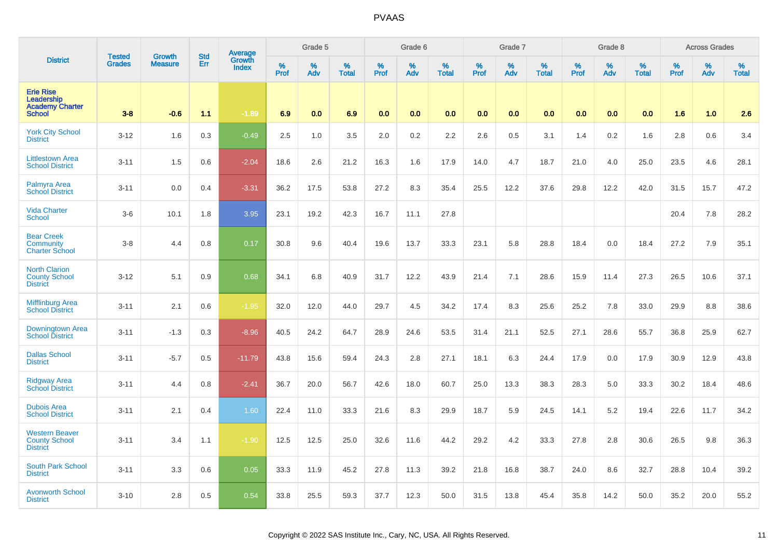|                                                                           | <b>Tested</b> | Growth         | <b>Std</b> | <b>Average</b><br>Growth |           | Grade 5  |                   |           | Grade 6  |                   |           | Grade 7  |                   |           | Grade 8  |                   |           | <b>Across Grades</b> |                   |
|---------------------------------------------------------------------------|---------------|----------------|------------|--------------------------|-----------|----------|-------------------|-----------|----------|-------------------|-----------|----------|-------------------|-----------|----------|-------------------|-----------|----------------------|-------------------|
| <b>District</b>                                                           | <b>Grades</b> | <b>Measure</b> | Err        | <b>Index</b>             | %<br>Prof | %<br>Adv | %<br><b>Total</b> | %<br>Prof | %<br>Adv | %<br><b>Total</b> | %<br>Prof | %<br>Adv | %<br><b>Total</b> | %<br>Prof | %<br>Adv | %<br><b>Total</b> | %<br>Prof | %<br>Adv             | %<br><b>Total</b> |
| <b>Erie Rise</b><br>Leadership<br><b>Academy Charter</b><br><b>School</b> | $3-8$         | $-0.6$         | 1.1        | $-1.89$                  | 6.9       | 0.0      | 6.9               | 0.0       | 0.0      | 0.0               | 0.0       | 0.0      | 0.0               | 0.0       | 0.0      | 0.0               | 1.6       | 1.0                  | 2.6               |
| <b>York City School</b><br><b>District</b>                                | $3 - 12$      | 1.6            | 0.3        | $-0.49$                  | 2.5       | 1.0      | 3.5               | 2.0       | 0.2      | 2.2               | 2.6       | 0.5      | 3.1               | 1.4       | 0.2      | 1.6               | 2.8       | 0.6                  | 3.4               |
| <b>Littlestown Area</b><br><b>School District</b>                         | $3 - 11$      | 1.5            | 0.6        | $-2.04$                  | 18.6      | 2.6      | 21.2              | 16.3      | 1.6      | 17.9              | 14.0      | 4.7      | 18.7              | 21.0      | 4.0      | 25.0              | 23.5      | 4.6                  | 28.1              |
| Palmyra Area<br><b>School District</b>                                    | $3 - 11$      | 0.0            | 0.4        | $-3.31$                  | 36.2      | 17.5     | 53.8              | 27.2      | 8.3      | 35.4              | 25.5      | 12.2     | 37.6              | 29.8      | 12.2     | 42.0              | 31.5      | 15.7                 | 47.2              |
| <b>Vida Charter</b><br><b>School</b>                                      | $3-6$         | 10.1           | 1.8        | 3.95                     | 23.1      | 19.2     | 42.3              | 16.7      | 11.1     | 27.8              |           |          |                   |           |          |                   | 20.4      | 7.8                  | 28.2              |
| <b>Bear Creek</b><br>Community<br><b>Charter School</b>                   | $3 - 8$       | 4.4            | 0.8        | 0.17                     | 30.8      | 9.6      | 40.4              | 19.6      | 13.7     | 33.3              | 23.1      | 5.8      | 28.8              | 18.4      | 0.0      | 18.4              | 27.2      | 7.9                  | 35.1              |
| <b>North Clarion</b><br><b>County School</b><br><b>District</b>           | $3 - 12$      | 5.1            | 0.9        | 0.68                     | 34.1      | 6.8      | 40.9              | 31.7      | 12.2     | 43.9              | 21.4      | 7.1      | 28.6              | 15.9      | 11.4     | 27.3              | 26.5      | 10.6                 | 37.1              |
| <b>Mifflinburg Area</b><br><b>School District</b>                         | $3 - 11$      | 2.1            | 0.6        | $-1.95$                  | 32.0      | 12.0     | 44.0              | 29.7      | 4.5      | 34.2              | 17.4      | 8.3      | 25.6              | 25.2      | 7.8      | 33.0              | 29.9      | 8.8                  | 38.6              |
| Downingtown Area<br><b>School District</b>                                | $3 - 11$      | $-1.3$         | 0.3        | $-8.96$                  | 40.5      | 24.2     | 64.7              | 28.9      | 24.6     | 53.5              | 31.4      | 21.1     | 52.5              | 27.1      | 28.6     | 55.7              | 36.8      | 25.9                 | 62.7              |
| <b>Dallas School</b><br><b>District</b>                                   | $3 - 11$      | $-5.7$         | 0.5        | $-11.79$                 | 43.8      | 15.6     | 59.4              | 24.3      | 2.8      | 27.1              | 18.1      | 6.3      | 24.4              | 17.9      | 0.0      | 17.9              | 30.9      | 12.9                 | 43.8              |
| <b>Ridgway Area</b><br><b>School District</b>                             | $3 - 11$      | 4.4            | 0.8        | $-2.41$                  | 36.7      | 20.0     | 56.7              | 42.6      | 18.0     | 60.7              | 25.0      | 13.3     | 38.3              | 28.3      | 5.0      | 33.3              | 30.2      | 18.4                 | 48.6              |
| <b>Dubois Area</b><br><b>School District</b>                              | $3 - 11$      | 2.1            | 0.4        | 1.60                     | 22.4      | 11.0     | 33.3              | 21.6      | 8.3      | 29.9              | 18.7      | 5.9      | 24.5              | 14.1      | 5.2      | 19.4              | 22.6      | 11.7                 | 34.2              |
| <b>Western Beaver</b><br><b>County School</b><br><b>District</b>          | $3 - 11$      | 3.4            | 1.1        | $-1.90$                  | 12.5      | 12.5     | 25.0              | 32.6      | 11.6     | 44.2              | 29.2      | 4.2      | 33.3              | 27.8      | 2.8      | 30.6              | 26.5      | 9.8                  | 36.3              |
| <b>South Park School</b><br><b>District</b>                               | $3 - 11$      | 3.3            | 0.6        | 0.05                     | 33.3      | 11.9     | 45.2              | 27.8      | 11.3     | 39.2              | 21.8      | 16.8     | 38.7              | 24.0      | 8.6      | 32.7              | 28.8      | 10.4                 | 39.2              |
| <b>Avonworth School</b><br><b>District</b>                                | $3 - 10$      | 2.8            | 0.5        | 0.54                     | 33.8      | 25.5     | 59.3              | 37.7      | 12.3     | 50.0              | 31.5      | 13.8     | 45.4              | 35.8      | 14.2     | 50.0              | 35.2      | 20.0                 | 55.2              |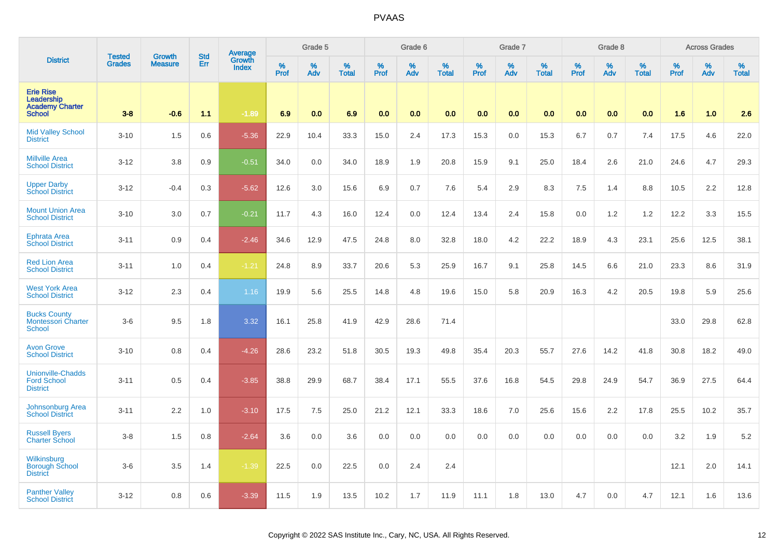|                                                                           | <b>Tested</b> | <b>Growth</b>  | <b>Std</b> |                                          |              | Grade 5  |                   |           | Grade 6  |                   |           | Grade 7  |                   |           | Grade 8  |                      |           | <b>Across Grades</b> |                   |
|---------------------------------------------------------------------------|---------------|----------------|------------|------------------------------------------|--------------|----------|-------------------|-----------|----------|-------------------|-----------|----------|-------------------|-----------|----------|----------------------|-----------|----------------------|-------------------|
| <b>District</b>                                                           | <b>Grades</b> | <b>Measure</b> | Err        | <b>Average</b><br>Growth<br><b>Index</b> | $\%$<br>Prof | %<br>Adv | %<br><b>Total</b> | %<br>Prof | %<br>Adv | %<br><b>Total</b> | %<br>Prof | %<br>Adv | %<br><b>Total</b> | %<br>Prof | %<br>Adv | $\%$<br><b>Total</b> | %<br>Prof | %<br>Adv             | %<br><b>Total</b> |
| <b>Erie Rise</b><br>Leadership<br><b>Academy Charter</b><br><b>School</b> | $3 - 8$       | $-0.6$         | 1.1        | $-1.89$                                  | 6.9          | 0.0      | 6.9               | 0.0       | 0.0      | 0.0               | 0.0       | 0.0      | 0.0               | 0.0       | 0.0      | 0.0                  | 1.6       | 1.0                  | 2.6               |
| <b>Mid Valley School</b><br><b>District</b>                               | $3 - 10$      | 1.5            | 0.6        | $-5.36$                                  | 22.9         | 10.4     | 33.3              | 15.0      | 2.4      | 17.3              | 15.3      | 0.0      | 15.3              | 6.7       | 0.7      | 7.4                  | 17.5      | 4.6                  | 22.0              |
| <b>Millville Area</b><br><b>School District</b>                           | $3 - 12$      | 3.8            | 0.9        | $-0.51$                                  | 34.0         | 0.0      | 34.0              | 18.9      | 1.9      | 20.8              | 15.9      | 9.1      | 25.0              | 18.4      | 2.6      | 21.0                 | 24.6      | 4.7                  | 29.3              |
| <b>Upper Darby</b><br><b>School District</b>                              | $3 - 12$      | $-0.4$         | 0.3        | $-5.62$                                  | 12.6         | 3.0      | 15.6              | 6.9       | 0.7      | 7.6               | 5.4       | 2.9      | 8.3               | 7.5       | 1.4      | 8.8                  | 10.5      | 2.2                  | 12.8              |
| <b>Mount Union Area</b><br><b>School District</b>                         | $3 - 10$      | 3.0            | 0.7        | $-0.21$                                  | 11.7         | 4.3      | 16.0              | 12.4      | 0.0      | 12.4              | 13.4      | 2.4      | 15.8              | 0.0       | 1.2      | 1.2                  | 12.2      | 3.3                  | 15.5              |
| <b>Ephrata Area</b><br><b>School District</b>                             | $3 - 11$      | 0.9            | 0.4        | $-2.46$                                  | 34.6         | 12.9     | 47.5              | 24.8      | 8.0      | 32.8              | 18.0      | 4.2      | 22.2              | 18.9      | 4.3      | 23.1                 | 25.6      | 12.5                 | 38.1              |
| <b>Red Lion Area</b><br><b>School District</b>                            | $3 - 11$      | 1.0            | 0.4        | $-1.21$                                  | 24.8         | 8.9      | 33.7              | 20.6      | 5.3      | 25.9              | 16.7      | 9.1      | 25.8              | 14.5      | 6.6      | 21.0                 | 23.3      | 8.6                  | 31.9              |
| <b>West York Area</b><br><b>School District</b>                           | $3 - 12$      | 2.3            | 0.4        | 1.16                                     | 19.9         | 5.6      | 25.5              | 14.8      | 4.8      | 19.6              | 15.0      | 5.8      | 20.9              | 16.3      | 4.2      | 20.5                 | 19.8      | 5.9                  | 25.6              |
| <b>Bucks County</b><br>Montessori Charter<br><b>School</b>                | $3-6$         | 9.5            | 1.8        | 3.32                                     | 16.1         | 25.8     | 41.9              | 42.9      | 28.6     | 71.4              |           |          |                   |           |          |                      | 33.0      | 29.8                 | 62.8              |
| <b>Avon Grove</b><br><b>School District</b>                               | $3 - 10$      | 0.8            | 0.4        | $-4.26$                                  | 28.6         | 23.2     | 51.8              | 30.5      | 19.3     | 49.8              | 35.4      | 20.3     | 55.7              | 27.6      | 14.2     | 41.8                 | 30.8      | 18.2                 | 49.0              |
| <b>Unionville-Chadds</b><br><b>Ford School</b><br><b>District</b>         | $3 - 11$      | 0.5            | 0.4        | $-3.85$                                  | 38.8         | 29.9     | 68.7              | 38.4      | 17.1     | 55.5              | 37.6      | 16.8     | 54.5              | 29.8      | 24.9     | 54.7                 | 36.9      | 27.5                 | 64.4              |
| <b>Johnsonburg Area</b><br><b>School District</b>                         | $3 - 11$      | 2.2            | 1.0        | $-3.10$                                  | 17.5         | 7.5      | 25.0              | 21.2      | 12.1     | 33.3              | 18.6      | 7.0      | 25.6              | 15.6      | 2.2      | 17.8                 | 25.5      | 10.2                 | 35.7              |
| <b>Russell Byers</b><br><b>Charter School</b>                             | $3 - 8$       | 1.5            | 0.8        | $-2.64$                                  | 3.6          | 0.0      | 3.6               | 0.0       | 0.0      | 0.0               | 0.0       | 0.0      | 0.0               | 0.0       | 0.0      | 0.0                  | 3.2       | 1.9                  | 5.2               |
| Wilkinsburg<br><b>Borough School</b><br><b>District</b>                   | $3-6$         | 3.5            | 1.4        | $-1.39$                                  | 22.5         | 0.0      | 22.5              | 0.0       | 2.4      | 2.4               |           |          |                   |           |          |                      | 12.1      | 2.0                  | 14.1              |
| <b>Panther Valley</b><br><b>School District</b>                           | $3 - 12$      | 0.8            | 0.6        | $-3.39$                                  | 11.5         | 1.9      | 13.5              | 10.2      | 1.7      | 11.9              | 11.1      | 1.8      | 13.0              | 4.7       | 0.0      | 4.7                  | 12.1      | 1.6                  | 13.6              |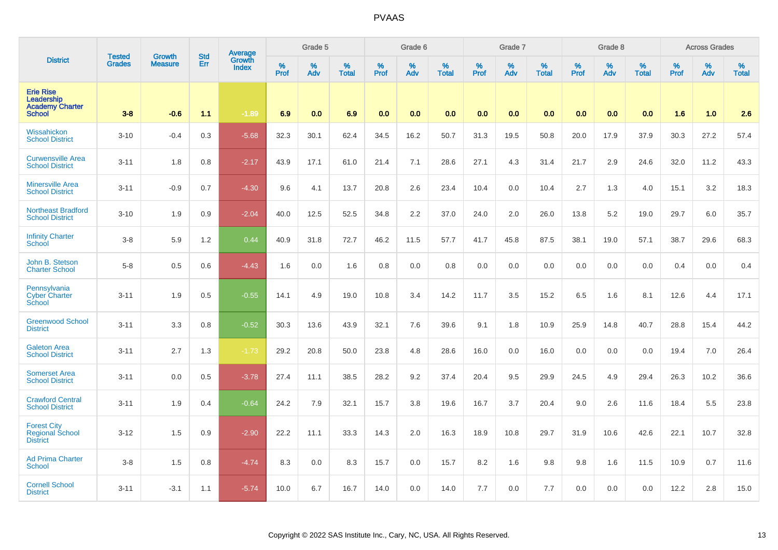|                                                                           | <b>Tested</b> | <b>Growth</b>  | <b>Std</b> | Average<br>Growth |                     | Grade 5  |                   | Grade 6          |          |                   | Grade 7          |          |                   | Grade 8          |             |                   | <b>Across Grades</b> |          |                   |
|---------------------------------------------------------------------------|---------------|----------------|------------|-------------------|---------------------|----------|-------------------|------------------|----------|-------------------|------------------|----------|-------------------|------------------|-------------|-------------------|----------------------|----------|-------------------|
| <b>District</b>                                                           | <b>Grades</b> | <b>Measure</b> | Err        | <b>Index</b>      | $\%$<br><b>Prof</b> | %<br>Adv | %<br><b>Total</b> | %<br><b>Prof</b> | %<br>Adv | %<br><b>Total</b> | %<br><b>Prof</b> | %<br>Adv | %<br><b>Total</b> | %<br><b>Prof</b> | $\%$<br>Adv | %<br><b>Total</b> | %<br><b>Prof</b>     | %<br>Adv | %<br><b>Total</b> |
| <b>Erie Rise</b><br>Leadership<br><b>Academy Charter</b><br><b>School</b> | $3-8$         | $-0.6$         | 1.1        | $-1.89$           | 6.9                 | 0.0      | 6.9               | 0.0              | 0.0      | 0.0               | 0.0              | 0.0      | 0.0               | 0.0              | 0.0         | 0.0               | 1.6                  | 1.0      | 2.6               |
| Wissahickon<br><b>School District</b>                                     | $3 - 10$      | $-0.4$         | 0.3        | $-5.68$           | 32.3                | 30.1     | 62.4              | 34.5             | 16.2     | 50.7              | 31.3             | 19.5     | 50.8              | 20.0             | 17.9        | 37.9              | 30.3                 | 27.2     | 57.4              |
| <b>Curwensville Area</b><br><b>School District</b>                        | $3 - 11$      | 1.8            | 0.8        | $-2.17$           | 43.9                | 17.1     | 61.0              | 21.4             | 7.1      | 28.6              | 27.1             | 4.3      | 31.4              | 21.7             | 2.9         | 24.6              | 32.0                 | 11.2     | 43.3              |
| <b>Minersville Area</b><br><b>School District</b>                         | $3 - 11$      | $-0.9$         | 0.7        | $-4.30$           | 9.6                 | 4.1      | 13.7              | 20.8             | 2.6      | 23.4              | 10.4             | 0.0      | 10.4              | 2.7              | 1.3         | 4.0               | 15.1                 | 3.2      | 18.3              |
| <b>Northeast Bradford</b><br><b>School District</b>                       | $3 - 10$      | 1.9            | 0.9        | $-2.04$           | 40.0                | 12.5     | 52.5              | 34.8             | 2.2      | 37.0              | 24.0             | 2.0      | 26.0              | 13.8             | 5.2         | 19.0              | 29.7                 | 6.0      | 35.7              |
| <b>Infinity Charter</b><br>School                                         | $3-8$         | 5.9            | 1.2        | 0.44              | 40.9                | 31.8     | 72.7              | 46.2             | 11.5     | 57.7              | 41.7             | 45.8     | 87.5              | 38.1             | 19.0        | 57.1              | 38.7                 | 29.6     | 68.3              |
| John B. Stetson<br><b>Charter School</b>                                  | $5-8$         | 0.5            | 0.6        | $-4.43$           | 1.6                 | 0.0      | 1.6               | 0.8              | 0.0      | 0.8               | 0.0              | 0.0      | 0.0               | 0.0              | 0.0         | 0.0               | 0.4                  | 0.0      | 0.4               |
| Pennsylvania<br><b>Cyber Charter</b><br>School                            | $3 - 11$      | 1.9            | 0.5        | $-0.55$           | 14.1                | 4.9      | 19.0              | 10.8             | 3.4      | 14.2              | 11.7             | 3.5      | 15.2              | 6.5              | 1.6         | 8.1               | 12.6                 | 4.4      | 17.1              |
| <b>Greenwood School</b><br><b>District</b>                                | $3 - 11$      | 3.3            | 0.8        | $-0.52$           | 30.3                | 13.6     | 43.9              | 32.1             | 7.6      | 39.6              | 9.1              | 1.8      | 10.9              | 25.9             | 14.8        | 40.7              | 28.8                 | 15.4     | 44.2              |
| <b>Galeton Area</b><br><b>School District</b>                             | $3 - 11$      | 2.7            | 1.3        | $-1.73$           | 29.2                | 20.8     | 50.0              | 23.8             | 4.8      | 28.6              | 16.0             | 0.0      | 16.0              | 0.0              | 0.0         | 0.0               | 19.4                 | 7.0      | 26.4              |
| <b>Somerset Area</b><br><b>School District</b>                            | $3 - 11$      | 0.0            | 0.5        | $-3.78$           | 27.4                | 11.1     | 38.5              | 28.2             | 9.2      | 37.4              | 20.4             | 9.5      | 29.9              | 24.5             | 4.9         | 29.4              | 26.3                 | 10.2     | 36.6              |
| <b>Crawford Central</b><br><b>School District</b>                         | $3 - 11$      | 1.9            | 0.4        | $-0.64$           | 24.2                | 7.9      | 32.1              | 15.7             | 3.8      | 19.6              | 16.7             | 3.7      | 20.4              | 9.0              | 2.6         | 11.6              | 18.4                 | 5.5      | 23.8              |
| <b>Forest City</b><br>Regional School<br><b>District</b>                  | $3 - 12$      | 1.5            | 0.9        | $-2.90$           | 22.2                | 11.1     | 33.3              | 14.3             | 2.0      | 16.3              | 18.9             | 10.8     | 29.7              | 31.9             | 10.6        | 42.6              | 22.1                 | 10.7     | 32.8              |
| <b>Ad Prima Charter</b><br><b>School</b>                                  | $3-8$         | 1.5            | 0.8        | $-4.74$           | 8.3                 | 0.0      | 8.3               | 15.7             | 0.0      | 15.7              | 8.2              | 1.6      | 9.8               | 9.8              | 1.6         | 11.5              | 10.9                 | 0.7      | 11.6              |
| <b>Cornell School</b><br><b>District</b>                                  | $3 - 11$      | $-3.1$         | 1.1        | $-5.74$           | 10.0                | 6.7      | 16.7              | 14.0             | 0.0      | 14.0              | 7.7              | 0.0      | 7.7               | $0.0\,$          | 0.0         | 0.0               | 12.2                 | 2.8      | 15.0              |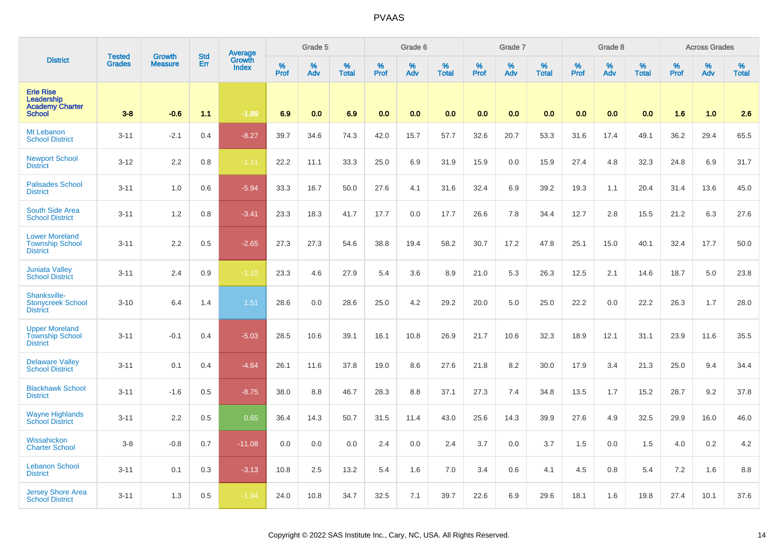|                                                                           | <b>Tested</b> | <b>Growth</b>  | <b>Std</b> | Average<br>Growth |           | Grade 5  |                   |           | Grade 6  |                   |           | Grade 7  |                   |           | Grade 8  |                   |           | <b>Across Grades</b> |                   |
|---------------------------------------------------------------------------|---------------|----------------|------------|-------------------|-----------|----------|-------------------|-----------|----------|-------------------|-----------|----------|-------------------|-----------|----------|-------------------|-----------|----------------------|-------------------|
| <b>District</b>                                                           | <b>Grades</b> | <b>Measure</b> | Err        | <b>Index</b>      | %<br>Prof | %<br>Adv | %<br><b>Total</b> | %<br>Prof | %<br>Adv | %<br><b>Total</b> | %<br>Prof | %<br>Adv | %<br><b>Total</b> | %<br>Prof | %<br>Adv | %<br><b>Total</b> | %<br>Prof | %<br>Adv             | %<br><b>Total</b> |
| <b>Erie Rise</b><br>Leadership<br><b>Academy Charter</b><br><b>School</b> | $3-8$         | $-0.6$         | 1.1        | $-1.89$           | 6.9       | 0.0      | 6.9               | 0.0       | 0.0      | 0.0               | 0.0       | 0.0      | 0.0               | 0.0       | 0.0      | 0.0               | 1.6       | 1.0                  | 2.6               |
| Mt Lebanon<br><b>School District</b>                                      | $3 - 11$      | $-2.1$         | 0.4        | $-8.27$           | 39.7      | 34.6     | 74.3              | 42.0      | 15.7     | 57.7              | 32.6      | 20.7     | 53.3              | 31.6      | 17.4     | 49.1              | 36.2      | 29.4                 | 65.5              |
| <b>Newport School</b><br><b>District</b>                                  | $3-12$        | 2.2            | 0.8        | $-1.11$           | 22.2      | 11.1     | 33.3              | 25.0      | 6.9      | 31.9              | 15.9      | 0.0      | 15.9              | 27.4      | 4.8      | 32.3              | 24.8      | 6.9                  | 31.7              |
| <b>Palisades School</b><br><b>District</b>                                | $3 - 11$      | 1.0            | 0.6        | $-5.94$           | 33.3      | 16.7     | 50.0              | 27.6      | 4.1      | 31.6              | 32.4      | 6.9      | 39.2              | 19.3      | 1.1      | 20.4              | 31.4      | 13.6                 | 45.0              |
| South Side Area<br><b>School District</b>                                 | $3 - 11$      | 1.2            | 0.8        | $-3.41$           | 23.3      | 18.3     | 41.7              | 17.7      | 0.0      | 17.7              | 26.6      | 7.8      | 34.4              | 12.7      | 2.8      | 15.5              | 21.2      | 6.3                  | 27.6              |
| <b>Lower Moreland</b><br><b>Township School</b><br><b>District</b>        | $3 - 11$      | 2.2            | 0.5        | $-2.65$           | 27.3      | 27.3     | 54.6              | 38.8      | 19.4     | 58.2              | 30.7      | 17.2     | 47.8              | 25.1      | 15.0     | 40.1              | 32.4      | 17.7                 | 50.0              |
| <b>Juniata Valley</b><br><b>School District</b>                           | $3 - 11$      | 2.4            | 0.9        | $-1.10$           | 23.3      | 4.6      | 27.9              | 5.4       | 3.6      | 8.9               | 21.0      | 5.3      | 26.3              | 12.5      | 2.1      | 14.6              | 18.7      | $5.0\,$              | 23.8              |
| Shanksville-<br><b>Stonycreek School</b><br><b>District</b>               | $3 - 10$      | 6.4            | 1.4        | 1.51              | 28.6      | 0.0      | 28.6              | 25.0      | 4.2      | 29.2              | 20.0      | 5.0      | 25.0              | 22.2      | 0.0      | 22.2              | 26.3      | 1.7                  | 28.0              |
| <b>Upper Moreland</b><br><b>Township School</b><br><b>District</b>        | $3 - 11$      | $-0.1$         | 0.4        | $-5.03$           | 28.5      | 10.6     | 39.1              | 16.1      | 10.8     | 26.9              | 21.7      | 10.6     | 32.3              | 18.9      | 12.1     | 31.1              | 23.9      | 11.6                 | 35.5              |
| <b>Delaware Valley</b><br><b>School District</b>                          | $3 - 11$      | 0.1            | 0.4        | $-4.64$           | 26.1      | 11.6     | 37.8              | 19.0      | 8.6      | 27.6              | 21.8      | 8.2      | 30.0              | 17.9      | 3.4      | 21.3              | 25.0      | 9.4                  | 34.4              |
| <b>Blackhawk School</b><br><b>District</b>                                | $3 - 11$      | $-1.6$         | 0.5        | $-8.75$           | 38.0      | 8.8      | 46.7              | 28.3      | 8.8      | 37.1              | 27.3      | 7.4      | 34.8              | 13.5      | 1.7      | 15.2              | 28.7      | 9.2                  | 37.8              |
| <b>Wayne Highlands</b><br><b>School District</b>                          | $3 - 11$      | 2.2            | 0.5        | 0.65              | 36.4      | 14.3     | 50.7              | 31.5      | 11.4     | 43.0              | 25.6      | 14.3     | 39.9              | 27.6      | 4.9      | 32.5              | 29.9      | 16.0                 | 46.0              |
| Wissahickon<br><b>Charter School</b>                                      | $3-8$         | $-0.8$         | 0.7        | $-11.08$          | 0.0       | 0.0      | 0.0               | 2.4       | 0.0      | 2.4               | 3.7       | 0.0      | 3.7               | 1.5       | 0.0      | 1.5               | 4.0       | 0.2                  | 4.2               |
| <b>Lebanon School</b><br><b>District</b>                                  | $3 - 11$      | 0.1            | 0.3        | $-3.13$           | 10.8      | 2.5      | 13.2              | 5.4       | 1.6      | 7.0               | 3.4       | 0.6      | 4.1               | 4.5       | 0.8      | 5.4               | 7.2       | 1.6                  | 8.8               |
| <b>Jersey Shore Area</b><br><b>School District</b>                        | $3 - 11$      | 1.3            | 0.5        | $-1.94$           | 24.0      | 10.8     | 34.7              | 32.5      | 7.1      | 39.7              | 22.6      | 6.9      | 29.6              | 18.1      | 1.6      | 19.8              | 27.4      | 10.1                 | 37.6              |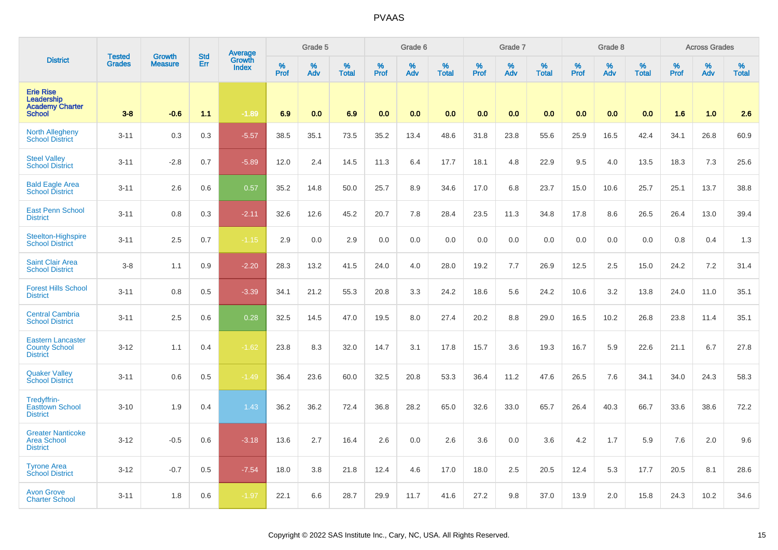|                                                                           | <b>Tested</b> |                          | <b>Std</b> | Average                |           | Grade 5  |                   |           | Grade 6  |                   |           | Grade 7  |                   |           | Grade 8  |                   |           | <b>Across Grades</b> |                   |
|---------------------------------------------------------------------------|---------------|--------------------------|------------|------------------------|-----------|----------|-------------------|-----------|----------|-------------------|-----------|----------|-------------------|-----------|----------|-------------------|-----------|----------------------|-------------------|
| <b>District</b>                                                           | <b>Grades</b> | Growth<br><b>Measure</b> | Err        | Growth<br><b>Index</b> | %<br>Prof | %<br>Adv | %<br><b>Total</b> | %<br>Prof | %<br>Adv | %<br><b>Total</b> | %<br>Prof | %<br>Adv | %<br><b>Total</b> | %<br>Prof | %<br>Adv | %<br><b>Total</b> | %<br>Prof | %<br>Adv             | %<br><b>Total</b> |
| <b>Erie Rise</b><br>Leadership<br><b>Academy Charter</b><br><b>School</b> | $3 - 8$       | $-0.6$                   | 1.1        | $-1.89$                | 6.9       | 0.0      | 6.9               | 0.0       | 0.0      | 0.0               | 0.0       | 0.0      | 0.0               | 0.0       | 0.0      | 0.0               | 1.6       | 1.0                  | 2.6               |
| <b>North Allegheny</b><br><b>School District</b>                          | $3 - 11$      | 0.3                      | 0.3        | $-5.57$                | 38.5      | 35.1     | 73.5              | 35.2      | 13.4     | 48.6              | 31.8      | 23.8     | 55.6              | 25.9      | 16.5     | 42.4              | 34.1      | 26.8                 | 60.9              |
| <b>Steel Valley</b><br><b>School District</b>                             | $3 - 11$      | $-2.8$                   | 0.7        | $-5.89$                | 12.0      | 2.4      | 14.5              | 11.3      | 6.4      | 17.7              | 18.1      | 4.8      | 22.9              | 9.5       | 4.0      | 13.5              | 18.3      | 7.3                  | 25.6              |
| <b>Bald Eagle Area</b><br><b>School District</b>                          | $3 - 11$      | 2.6                      | 0.6        | 0.57                   | 35.2      | 14.8     | 50.0              | 25.7      | 8.9      | 34.6              | 17.0      | 6.8      | 23.7              | 15.0      | 10.6     | 25.7              | 25.1      | 13.7                 | 38.8              |
| <b>East Penn School</b><br><b>District</b>                                | $3 - 11$      | 0.8                      | 0.3        | $-2.11$                | 32.6      | 12.6     | 45.2              | 20.7      | 7.8      | 28.4              | 23.5      | 11.3     | 34.8              | 17.8      | 8.6      | 26.5              | 26.4      | 13.0                 | 39.4              |
| <b>Steelton-Highspire</b><br><b>School District</b>                       | $3 - 11$      | 2.5                      | 0.7        | $-1.15$                | 2.9       | 0.0      | 2.9               | 0.0       | 0.0      | 0.0               | 0.0       | 0.0      | 0.0               | 0.0       | 0.0      | 0.0               | 0.8       | 0.4                  | 1.3               |
| <b>Saint Clair Area</b><br><b>School District</b>                         | $3 - 8$       | 1.1                      | 0.9        | $-2.20$                | 28.3      | 13.2     | 41.5              | 24.0      | 4.0      | 28.0              | 19.2      | 7.7      | 26.9              | 12.5      | 2.5      | 15.0              | 24.2      | 7.2                  | 31.4              |
| <b>Forest Hills School</b><br><b>District</b>                             | $3 - 11$      | 0.8                      | 0.5        | $-3.39$                | 34.1      | 21.2     | 55.3              | 20.8      | 3.3      | 24.2              | 18.6      | 5.6      | 24.2              | 10.6      | 3.2      | 13.8              | 24.0      | 11.0                 | 35.1              |
| <b>Central Cambria</b><br><b>School District</b>                          | $3 - 11$      | 2.5                      | 0.6        | 0.28                   | 32.5      | 14.5     | 47.0              | 19.5      | 8.0      | 27.4              | 20.2      | 8.8      | 29.0              | 16.5      | 10.2     | 26.8              | 23.8      | 11.4                 | 35.1              |
| <b>Eastern Lancaster</b><br><b>County School</b><br><b>District</b>       | $3 - 12$      | 1.1                      | 0.4        | $-1.62$                | 23.8      | 8.3      | 32.0              | 14.7      | 3.1      | 17.8              | 15.7      | 3.6      | 19.3              | 16.7      | 5.9      | 22.6              | 21.1      | 6.7                  | 27.8              |
| <b>Quaker Valley</b><br><b>School District</b>                            | $3 - 11$      | 0.6                      | 0.5        | $-1.49$                | 36.4      | 23.6     | 60.0              | 32.5      | 20.8     | 53.3              | 36.4      | 11.2     | 47.6              | 26.5      | 7.6      | 34.1              | 34.0      | 24.3                 | 58.3              |
| Tredyffrin-<br><b>Easttown School</b><br><b>District</b>                  | $3 - 10$      | 1.9                      | 0.4        | 1.43                   | 36.2      | 36.2     | 72.4              | 36.8      | 28.2     | 65.0              | 32.6      | 33.0     | 65.7              | 26.4      | 40.3     | 66.7              | 33.6      | 38.6                 | 72.2              |
| <b>Greater Nanticoke</b><br><b>Area School</b><br><b>District</b>         | $3 - 12$      | $-0.5$                   | 0.6        | $-3.18$                | 13.6      | 2.7      | 16.4              | 2.6       | 0.0      | 2.6               | 3.6       | 0.0      | 3.6               | 4.2       | 1.7      | 5.9               | 7.6       | 2.0                  | 9.6               |
| <b>Tyrone Area</b><br><b>School District</b>                              | $3 - 12$      | $-0.7$                   | 0.5        | $-7.54$                | 18.0      | 3.8      | 21.8              | 12.4      | 4.6      | 17.0              | 18.0      | 2.5      | 20.5              | 12.4      | 5.3      | 17.7              | 20.5      | 8.1                  | 28.6              |
| <b>Avon Grove</b><br><b>Charter School</b>                                | $3 - 11$      | 1.8                      | 0.6        | $-1.97$                | 22.1      | 6.6      | 28.7              | 29.9      | 11.7     | 41.6              | 27.2      | 9.8      | 37.0              | 13.9      | 2.0      | 15.8              | 24.3      | 10.2                 | 34.6              |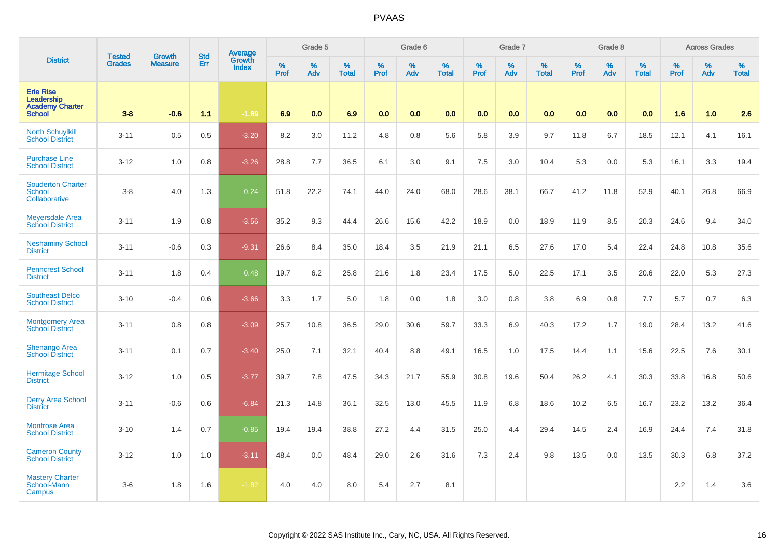|                                                                           | <b>Tested</b> | <b>Growth</b>  | <b>Std</b> | <b>Average</b><br>Growth |                     | Grade 5     |                   |                  | Grade 6  |                   |                  | Grade 7  |                   |                  | Grade 8  |                   |                  | <b>Across Grades</b> |                   |
|---------------------------------------------------------------------------|---------------|----------------|------------|--------------------------|---------------------|-------------|-------------------|------------------|----------|-------------------|------------------|----------|-------------------|------------------|----------|-------------------|------------------|----------------------|-------------------|
| <b>District</b>                                                           | <b>Grades</b> | <b>Measure</b> | Err        | <b>Index</b>             | $\%$<br><b>Prof</b> | $\%$<br>Adv | %<br><b>Total</b> | %<br><b>Prof</b> | %<br>Adv | %<br><b>Total</b> | %<br><b>Prof</b> | %<br>Adv | %<br><b>Total</b> | %<br><b>Prof</b> | %<br>Adv | %<br><b>Total</b> | %<br><b>Prof</b> | %<br>Adv             | %<br><b>Total</b> |
| <b>Erie Rise</b><br>Leadership<br><b>Academy Charter</b><br><b>School</b> | $3 - 8$       | $-0.6$         | 1.1        | $-1.89$                  | 6.9                 | 0.0         | 6.9               | 0.0              | 0.0      | 0.0               | 0.0              | 0.0      | 0.0               | 0.0              | 0.0      | 0.0               | 1.6              | 1.0                  | 2.6               |
| <b>North Schuylkill</b><br><b>School District</b>                         | $3 - 11$      | 0.5            | 0.5        | $-3.20$                  | 8.2                 | 3.0         | 11.2              | 4.8              | 0.8      | 5.6               | 5.8              | 3.9      | 9.7               | 11.8             | 6.7      | 18.5              | 12.1             | 4.1                  | 16.1              |
| <b>Purchase Line</b><br><b>School District</b>                            | $3 - 12$      | 1.0            | 0.8        | $-3.26$                  | 28.8                | 7.7         | 36.5              | 6.1              | 3.0      | 9.1               | 7.5              | 3.0      | 10.4              | 5.3              | 0.0      | 5.3               | 16.1             | 3.3                  | 19.4              |
| <b>Souderton Charter</b><br>School<br>Collaborative                       | $3 - 8$       | 4.0            | 1.3        | 0.24                     | 51.8                | 22.2        | 74.1              | 44.0             | 24.0     | 68.0              | 28.6             | 38.1     | 66.7              | 41.2             | 11.8     | 52.9              | 40.1             | 26.8                 | 66.9              |
| <b>Meyersdale Area</b><br><b>School District</b>                          | $3 - 11$      | 1.9            | 0.8        | $-3.56$                  | 35.2                | 9.3         | 44.4              | 26.6             | 15.6     | 42.2              | 18.9             | 0.0      | 18.9              | 11.9             | 8.5      | 20.3              | 24.6             | 9.4                  | 34.0              |
| <b>Neshaminy School</b><br><b>District</b>                                | $3 - 11$      | $-0.6$         | 0.3        | $-9.31$                  | 26.6                | 8.4         | 35.0              | 18.4             | 3.5      | 21.9              | 21.1             | 6.5      | 27.6              | 17.0             | 5.4      | 22.4              | 24.8             | 10.8                 | 35.6              |
| <b>Penncrest School</b><br><b>District</b>                                | $3 - 11$      | 1.8            | 0.4        | 0.48                     | 19.7                | 6.2         | 25.8              | 21.6             | 1.8      | 23.4              | 17.5             | 5.0      | 22.5              | 17.1             | 3.5      | 20.6              | 22.0             | 5.3                  | 27.3              |
| <b>Southeast Delco</b><br><b>School District</b>                          | $3 - 10$      | $-0.4$         | 0.6        | $-3.66$                  | 3.3                 | 1.7         | 5.0               | 1.8              | 0.0      | 1.8               | 3.0              | 0.8      | 3.8               | 6.9              | 0.8      | 7.7               | 5.7              | 0.7                  | 6.3               |
| <b>Montgomery Area</b><br><b>School District</b>                          | $3 - 11$      | 0.8            | 0.8        | $-3.09$                  | 25.7                | 10.8        | 36.5              | 29.0             | 30.6     | 59.7              | 33.3             | 6.9      | 40.3              | 17.2             | 1.7      | 19.0              | 28.4             | 13.2                 | 41.6              |
| <b>Shenango Area</b><br><b>School District</b>                            | $3 - 11$      | 0.1            | 0.7        | $-3.40$                  | 25.0                | 7.1         | 32.1              | 40.4             | 8.8      | 49.1              | 16.5             | 1.0      | 17.5              | 14.4             | 1.1      | 15.6              | 22.5             | 7.6                  | 30.1              |
| <b>Hermitage School</b><br><b>District</b>                                | $3 - 12$      | 1.0            | 0.5        | $-3.77$                  | 39.7                | 7.8         | 47.5              | 34.3             | 21.7     | 55.9              | 30.8             | 19.6     | 50.4              | 26.2             | 4.1      | 30.3              | 33.8             | 16.8                 | 50.6              |
| <b>Derry Area School</b><br><b>District</b>                               | $3 - 11$      | $-0.6$         | 0.6        | $-6.84$                  | 21.3                | 14.8        | 36.1              | 32.5             | 13.0     | 45.5              | 11.9             | 6.8      | 18.6              | 10.2             | 6.5      | 16.7              | 23.2             | 13.2                 | 36.4              |
| <b>Montrose Area</b><br><b>School District</b>                            | $3 - 10$      | 1.4            | 0.7        | $-0.85$                  | 19.4                | 19.4        | 38.8              | 27.2             | 4.4      | 31.5              | 25.0             | 4.4      | 29.4              | 14.5             | 2.4      | 16.9              | 24.4             | 7.4                  | 31.8              |
| <b>Cameron County</b><br><b>School District</b>                           | $3 - 12$      | 1.0            | 1.0        | $-3.11$                  | 48.4                | 0.0         | 48.4              | 29.0             | 2.6      | 31.6              | 7.3              | 2.4      | 9.8               | 13.5             | 0.0      | 13.5              | 30.3             | 6.8                  | 37.2              |
| <b>Mastery Charter</b><br>School-Mann<br>Campus                           | $3-6$         | 1.8            | 1.6        | $-1.82$                  | 4.0                 | 4.0         | 8.0               | 5.4              | 2.7      | 8.1               |                  |          |                   |                  |          |                   | 2.2              | 1.4                  | 3.6               |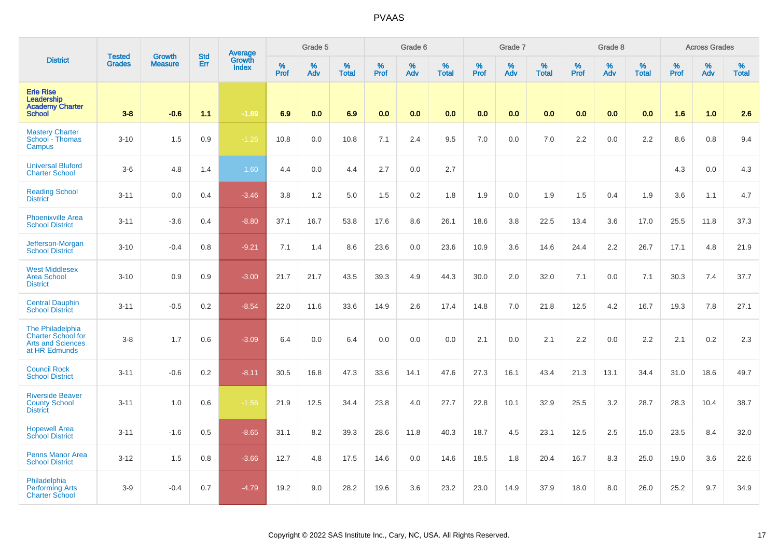|                                                                                                   | <b>Tested</b> | <b>Growth</b>  | <b>Std</b> | Average<br>Growth |              | Grade 5  |                   |           | Grade 6  |                   |              | Grade 7  |                   |           | Grade 8  |                   |              | <b>Across Grades</b> |                   |
|---------------------------------------------------------------------------------------------------|---------------|----------------|------------|-------------------|--------------|----------|-------------------|-----------|----------|-------------------|--------------|----------|-------------------|-----------|----------|-------------------|--------------|----------------------|-------------------|
| <b>District</b>                                                                                   | <b>Grades</b> | <b>Measure</b> | Err        | <b>Index</b>      | $\%$<br>Prof | %<br>Adv | %<br><b>Total</b> | %<br>Prof | %<br>Adv | %<br><b>Total</b> | $\%$<br>Prof | %<br>Adv | %<br><b>Total</b> | %<br>Prof | %<br>Adv | %<br><b>Total</b> | $\%$<br>Prof | %<br>Adv             | %<br><b>Total</b> |
| <b>Erie Rise</b><br>Leadership<br><b>Academy Charter</b><br><b>School</b>                         | $3 - 8$       | $-0.6$         | 1.1        | $-1.89$           | 6.9          | 0.0      | 6.9               | 0.0       | 0.0      | 0.0               | 0.0          | 0.0      | 0.0               | 0.0       | 0.0      | 0.0               | 1.6          | 1.0                  | 2.6               |
| <b>Mastery Charter</b><br>School - Thomas<br>Campus                                               | $3 - 10$      | 1.5            | 0.9        | $-1.26$           | 10.8         | 0.0      | 10.8              | 7.1       | 2.4      | 9.5               | 7.0          | 0.0      | 7.0               | 2.2       | 0.0      | 2.2               | 8.6          | 0.8                  | 9.4               |
| <b>Universal Bluford</b><br><b>Charter School</b>                                                 | $3-6$         | 4.8            | 1.4        | 1.60              | 4.4          | 0.0      | 4.4               | 2.7       | 0.0      | 2.7               |              |          |                   |           |          |                   | 4.3          | 0.0                  | 4.3               |
| <b>Reading School</b><br><b>District</b>                                                          | $3 - 11$      | 0.0            | 0.4        | $-3.46$           | 3.8          | 1.2      | 5.0               | 1.5       | 0.2      | 1.8               | 1.9          | 0.0      | 1.9               | 1.5       | 0.4      | 1.9               | 3.6          | 1.1                  | 4.7               |
| <b>Phoenixville Area</b><br><b>School District</b>                                                | $3 - 11$      | $-3.6$         | 0.4        | $-8.80$           | 37.1         | 16.7     | 53.8              | 17.6      | 8.6      | 26.1              | 18.6         | 3.8      | 22.5              | 13.4      | 3.6      | 17.0              | 25.5         | 11.8                 | 37.3              |
| Jefferson-Morgan<br><b>School District</b>                                                        | $3 - 10$      | $-0.4$         | 0.8        | $-9.21$           | 7.1          | 1.4      | 8.6               | 23.6      | 0.0      | 23.6              | 10.9         | 3.6      | 14.6              | 24.4      | 2.2      | 26.7              | 17.1         | 4.8                  | 21.9              |
| <b>West Middlesex</b><br><b>Area School</b><br><b>District</b>                                    | $3 - 10$      | 0.9            | 0.9        | $-3.00$           | 21.7         | 21.7     | 43.5              | 39.3      | 4.9      | 44.3              | 30.0         | 2.0      | 32.0              | 7.1       | 0.0      | 7.1               | 30.3         | 7.4                  | 37.7              |
| <b>Central Dauphin</b><br><b>School District</b>                                                  | $3 - 11$      | $-0.5$         | 0.2        | $-8.54$           | 22.0         | 11.6     | 33.6              | 14.9      | 2.6      | 17.4              | 14.8         | 7.0      | 21.8              | 12.5      | 4.2      | 16.7              | 19.3         | 7.8                  | 27.1              |
| <b>The Philadelphia</b><br><b>Charter School for</b><br><b>Arts and Sciences</b><br>at HR Edmunds | $3 - 8$       | 1.7            | 0.6        | $-3.09$           | 6.4          | 0.0      | 6.4               | 0.0       | 0.0      | 0.0               | 2.1          | 0.0      | 2.1               | 2.2       | 0.0      | 2.2               | 2.1          | 0.2                  | 2.3               |
| <b>Council Rock</b><br><b>School District</b>                                                     | $3 - 11$      | $-0.6$         | 0.2        | $-8.11$           | 30.5         | 16.8     | 47.3              | 33.6      | 14.1     | 47.6              | 27.3         | 16.1     | 43.4              | 21.3      | 13.1     | 34.4              | 31.0         | 18.6                 | 49.7              |
| <b>Riverside Beaver</b><br><b>County School</b><br><b>District</b>                                | $3 - 11$      | 1.0            | 0.6        | $-1.56$           | 21.9         | 12.5     | 34.4              | 23.8      | 4.0      | 27.7              | 22.8         | 10.1     | 32.9              | 25.5      | 3.2      | 28.7              | 28.3         | 10.4                 | 38.7              |
| <b>Hopewell Area</b><br><b>School District</b>                                                    | $3 - 11$      | $-1.6$         | 0.5        | $-8.65$           | 31.1         | 8.2      | 39.3              | 28.6      | 11.8     | 40.3              | 18.7         | 4.5      | 23.1              | 12.5      | 2.5      | 15.0              | 23.5         | 8.4                  | 32.0              |
| <b>Penns Manor Area</b><br><b>School District</b>                                                 | $3 - 12$      | 1.5            | 0.8        | $-3.66$           | 12.7         | 4.8      | 17.5              | 14.6      | 0.0      | 14.6              | 18.5         | 1.8      | 20.4              | 16.7      | 8.3      | 25.0              | 19.0         | 3.6                  | 22.6              |
| Philadelphia<br><b>Performing Arts</b><br><b>Charter School</b>                                   | $3-9$         | $-0.4$         | 0.7        | $-4.79$           | 19.2         | 9.0      | 28.2              | 19.6      | 3.6      | 23.2              | 23.0         | 14.9     | 37.9              | 18.0      | 8.0      | 26.0              | 25.2         | 9.7                  | 34.9              |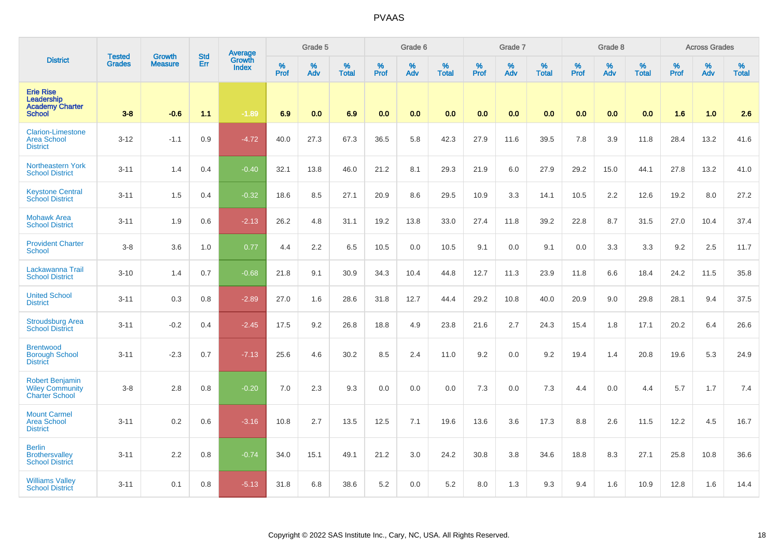|                                                                           | <b>Tested</b> | <b>Growth</b>  | <b>Std</b> | Average                |              | Grade 5  |                   |                  | Grade 6  |                   |           | Grade 7  |                   |           | Grade 8  |                   |                  | <b>Across Grades</b> |                   |
|---------------------------------------------------------------------------|---------------|----------------|------------|------------------------|--------------|----------|-------------------|------------------|----------|-------------------|-----------|----------|-------------------|-----------|----------|-------------------|------------------|----------------------|-------------------|
| <b>District</b>                                                           | <b>Grades</b> | <b>Measure</b> | Err        | Growth<br><b>Index</b> | $\%$<br>Prof | %<br>Adv | %<br><b>Total</b> | %<br><b>Prof</b> | %<br>Adv | %<br><b>Total</b> | %<br>Prof | %<br>Adv | %<br><b>Total</b> | %<br>Prof | %<br>Adv | %<br><b>Total</b> | %<br><b>Prof</b> | $\%$<br>Adv          | %<br><b>Total</b> |
| <b>Erie Rise</b><br>Leadership<br><b>Academy Charter</b><br><b>School</b> | $3 - 8$       | $-0.6$         | 1.1        | $-1.89$                | 6.9          | 0.0      | 6.9               | 0.0              | 0.0      | 0.0               | 0.0       | 0.0      | 0.0               | 0.0       | 0.0      | 0.0               | 1.6              | 1.0                  | 2.6               |
| <b>Clarion-Limestone</b><br><b>Area School</b><br><b>District</b>         | $3 - 12$      | $-1.1$         | 0.9        | $-4.72$                | 40.0         | 27.3     | 67.3              | 36.5             | 5.8      | 42.3              | 27.9      | 11.6     | 39.5              | 7.8       | 3.9      | 11.8              | 28.4             | 13.2                 | 41.6              |
| <b>Northeastern York</b><br><b>School District</b>                        | $3 - 11$      | 1.4            | 0.4        | $-0.40$                | 32.1         | 13.8     | 46.0              | 21.2             | 8.1      | 29.3              | 21.9      | 6.0      | 27.9              | 29.2      | 15.0     | 44.1              | 27.8             | 13.2                 | 41.0              |
| <b>Keystone Central</b><br><b>School District</b>                         | $3 - 11$      | 1.5            | 0.4        | $-0.32$                | 18.6         | 8.5      | 27.1              | 20.9             | 8.6      | 29.5              | 10.9      | 3.3      | 14.1              | 10.5      | 2.2      | 12.6              | 19.2             | 8.0                  | 27.2              |
| <b>Mohawk Area</b><br><b>School District</b>                              | $3 - 11$      | 1.9            | 0.6        | $-2.13$                | 26.2         | 4.8      | 31.1              | 19.2             | 13.8     | 33.0              | 27.4      | 11.8     | 39.2              | 22.8      | 8.7      | 31.5              | 27.0             | 10.4                 | 37.4              |
| <b>Provident Charter</b><br><b>School</b>                                 | $3-8$         | 3.6            | 1.0        | 0.77                   | 4.4          | 2.2      | 6.5               | 10.5             | 0.0      | 10.5              | 9.1       | 0.0      | 9.1               | 0.0       | 3.3      | 3.3               | 9.2              | 2.5                  | 11.7              |
| Lackawanna Trail<br><b>School District</b>                                | $3 - 10$      | 1.4            | 0.7        | $-0.68$                | 21.8         | 9.1      | 30.9              | 34.3             | 10.4     | 44.8              | 12.7      | 11.3     | 23.9              | 11.8      | 6.6      | 18.4              | 24.2             | 11.5                 | 35.8              |
| <b>United School</b><br><b>District</b>                                   | $3 - 11$      | 0.3            | 0.8        | $-2.89$                | 27.0         | 1.6      | 28.6              | 31.8             | 12.7     | 44.4              | 29.2      | 10.8     | 40.0              | 20.9      | 9.0      | 29.8              | 28.1             | 9.4                  | 37.5              |
| <b>Stroudsburg Area</b><br><b>School District</b>                         | $3 - 11$      | $-0.2$         | 0.4        | $-2.45$                | 17.5         | 9.2      | 26.8              | 18.8             | 4.9      | 23.8              | 21.6      | 2.7      | 24.3              | 15.4      | 1.8      | 17.1              | 20.2             | 6.4                  | 26.6              |
| <b>Brentwood</b><br><b>Borough School</b><br><b>District</b>              | $3 - 11$      | $-2.3$         | 0.7        | $-7.13$                | 25.6         | 4.6      | 30.2              | 8.5              | 2.4      | 11.0              | 9.2       | 0.0      | 9.2               | 19.4      | 1.4      | 20.8              | 19.6             | 5.3                  | 24.9              |
| <b>Robert Benjamin</b><br><b>Wiley Community</b><br><b>Charter School</b> | $3-8$         | 2.8            | 0.8        | $-0.20$                | 7.0          | 2.3      | 9.3               | 0.0              | 0.0      | 0.0               | 7.3       | 0.0      | 7.3               | 4.4       | 0.0      | 4.4               | 5.7              | 1.7                  | 7.4               |
| <b>Mount Carmel</b><br><b>Area School</b><br><b>District</b>              | $3 - 11$      | 0.2            | 0.6        | $-3.16$                | 10.8         | 2.7      | 13.5              | 12.5             | 7.1      | 19.6              | 13.6      | 3.6      | 17.3              | 8.8       | 2.6      | 11.5              | 12.2             | 4.5                  | 16.7              |
| <b>Berlin</b><br><b>Brothersvalley</b><br><b>School District</b>          | $3 - 11$      | 2.2            | 0.8        | $-0.74$                | 34.0         | 15.1     | 49.1              | 21.2             | 3.0      | 24.2              | 30.8      | 3.8      | 34.6              | 18.8      | 8.3      | 27.1              | 25.8             | 10.8                 | 36.6              |
| <b>Williams Valley</b><br><b>School District</b>                          | $3 - 11$      | 0.1            | 0.8        | $-5.13$                | 31.8         | 6.8      | 38.6              | 5.2              | 0.0      | 5.2               | 8.0       | 1.3      | 9.3               | 9.4       | 1.6      | 10.9              | 12.8             | 1.6                  | 14.4              |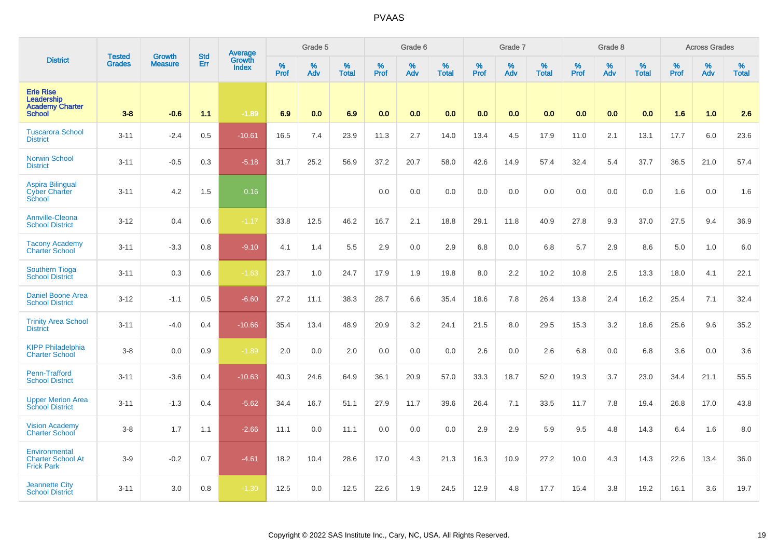|                                                                           | <b>Tested</b> | Growth         | <b>Std</b> | Average<br>Growth |                  | Grade 5  |                   |                  | Grade 6  |                   |                  | Grade 7  |                   |           | Grade 8  |                   |           | <b>Across Grades</b> |                   |
|---------------------------------------------------------------------------|---------------|----------------|------------|-------------------|------------------|----------|-------------------|------------------|----------|-------------------|------------------|----------|-------------------|-----------|----------|-------------------|-----------|----------------------|-------------------|
| <b>District</b>                                                           | <b>Grades</b> | <b>Measure</b> | Err        | <b>Index</b>      | %<br><b>Prof</b> | %<br>Adv | %<br><b>Total</b> | %<br><b>Prof</b> | %<br>Adv | %<br><b>Total</b> | %<br><b>Prof</b> | %<br>Adv | %<br><b>Total</b> | %<br>Prof | %<br>Adv | %<br><b>Total</b> | %<br>Prof | %<br>Adv             | %<br><b>Total</b> |
| <b>Erie Rise</b><br>Leadership<br><b>Academy Charter</b><br><b>School</b> | $3 - 8$       | $-0.6$         | 1.1        | $-1.89$           | 6.9              | 0.0      | 6.9               | 0.0              | 0.0      | 0.0               | 0.0              | 0.0      | 0.0               | 0.0       | 0.0      | 0.0               | 1.6       | 1.0                  | 2.6               |
| <b>Tuscarora School</b><br><b>District</b>                                | $3 - 11$      | $-2.4$         | 0.5        | $-10.61$          | 16.5             | 7.4      | 23.9              | 11.3             | 2.7      | 14.0              | 13.4             | 4.5      | 17.9              | 11.0      | 2.1      | 13.1              | 17.7      | 6.0                  | 23.6              |
| <b>Norwin School</b><br><b>District</b>                                   | $3 - 11$      | $-0.5$         | 0.3        | $-5.18$           | 31.7             | 25.2     | 56.9              | 37.2             | 20.7     | 58.0              | 42.6             | 14.9     | 57.4              | 32.4      | 5.4      | 37.7              | 36.5      | 21.0                 | 57.4              |
| <b>Aspira Bilingual</b><br><b>Cyber Charter</b><br>School                 | $3 - 11$      | 4.2            | 1.5        | 0.16              |                  |          |                   | 0.0              | 0.0      | 0.0               | 0.0              | 0.0      | 0.0               | 0.0       | 0.0      | 0.0               | 1.6       | 0.0                  | 1.6               |
| Annville-Cleona<br><b>School District</b>                                 | $3 - 12$      | 0.4            | 0.6        | $-1.17$           | 33.8             | 12.5     | 46.2              | 16.7             | 2.1      | 18.8              | 29.1             | 11.8     | 40.9              | 27.8      | 9.3      | 37.0              | 27.5      | 9.4                  | 36.9              |
| <b>Tacony Academy</b><br><b>Charter School</b>                            | $3 - 11$      | $-3.3$         | 0.8        | $-9.10$           | 4.1              | 1.4      | 5.5               | 2.9              | 0.0      | 2.9               | 6.8              | 0.0      | 6.8               | 5.7       | 2.9      | 8.6               | 5.0       | 1.0                  | 6.0               |
| <b>Southern Tioga</b><br><b>School District</b>                           | $3 - 11$      | 0.3            | 0.6        | $-1.63$           | 23.7             | 1.0      | 24.7              | 17.9             | 1.9      | 19.8              | 8.0              | 2.2      | 10.2              | 10.8      | 2.5      | 13.3              | 18.0      | 4.1                  | 22.1              |
| <b>Daniel Boone Area</b><br><b>School District</b>                        | $3 - 12$      | $-1.1$         | 0.5        | $-6.60$           | 27.2             | 11.1     | 38.3              | 28.7             | 6.6      | 35.4              | 18.6             | 7.8      | 26.4              | 13.8      | 2.4      | 16.2              | 25.4      | 7.1                  | 32.4              |
| <b>Trinity Area School</b><br><b>District</b>                             | $3 - 11$      | $-4.0$         | 0.4        | $-10.66$          | 35.4             | 13.4     | 48.9              | 20.9             | 3.2      | 24.1              | 21.5             | 8.0      | 29.5              | 15.3      | 3.2      | 18.6              | 25.6      | 9.6                  | 35.2              |
| <b>KIPP Philadelphia</b><br><b>Charter School</b>                         | $3 - 8$       | 0.0            | 0.9        | $-1.89$           | 2.0              | 0.0      | 2.0               | 0.0              | 0.0      | 0.0               | 2.6              | 0.0      | 2.6               | 6.8       | 0.0      | 6.8               | 3.6       | 0.0                  | 3.6               |
| Penn-Trafford<br><b>School District</b>                                   | $3 - 11$      | $-3.6$         | 0.4        | $-10.63$          | 40.3             | 24.6     | 64.9              | 36.1             | 20.9     | 57.0              | 33.3             | 18.7     | 52.0              | 19.3      | 3.7      | 23.0              | 34.4      | 21.1                 | 55.5              |
| <b>Upper Merion Area</b><br><b>School District</b>                        | $3 - 11$      | $-1.3$         | 0.4        | $-5.62$           | 34.4             | 16.7     | 51.1              | 27.9             | 11.7     | 39.6              | 26.4             | 7.1      | 33.5              | 11.7      | 7.8      | 19.4              | 26.8      | 17.0                 | 43.8              |
| <b>Vision Academy</b><br><b>Charter School</b>                            | $3 - 8$       | 1.7            | 1.1        | $-2.66$           | 11.1             | 0.0      | 11.1              | 0.0              | 0.0      | 0.0               | 2.9              | 2.9      | 5.9               | 9.5       | 4.8      | 14.3              | 6.4       | 1.6                  | 8.0               |
| Environmental<br><b>Charter School At</b><br><b>Frick Park</b>            | $3-9$         | $-0.2$         | 0.7        | $-4.61$           | 18.2             | 10.4     | 28.6              | 17.0             | 4.3      | 21.3              | 16.3             | 10.9     | 27.2              | 10.0      | 4.3      | 14.3              | 22.6      | 13.4                 | 36.0              |
| <b>Jeannette City</b><br><b>School District</b>                           | $3 - 11$      | 3.0            | 0.8        | $-1.30$           | 12.5             | 0.0      | 12.5              | 22.6             | 1.9      | 24.5              | 12.9             | 4.8      | 17.7              | 15.4      | 3.8      | 19.2              | 16.1      | 3.6                  | 19.7              |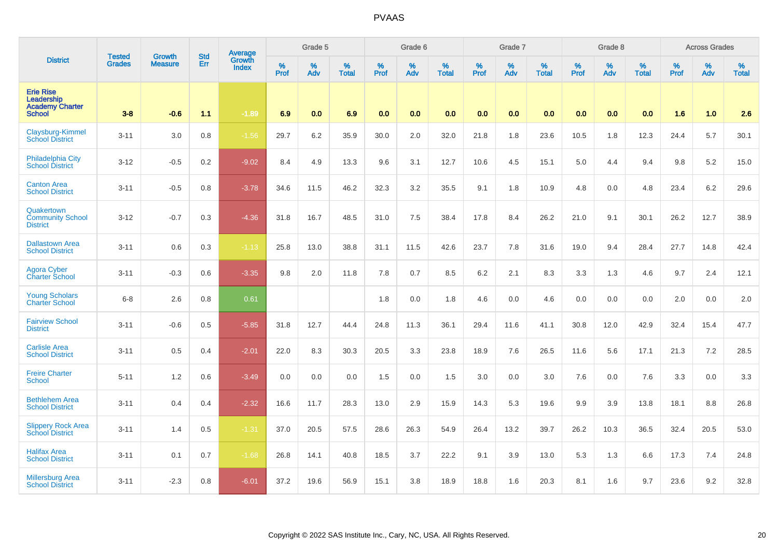|                                                                           | <b>Tested</b> | <b>Growth</b>  | <b>Std</b> | Average                |              | Grade 5  |                   |           | Grade 6  |                   |              | Grade 7          |                   |           | Grade 8  |                   |           | <b>Across Grades</b> |                   |
|---------------------------------------------------------------------------|---------------|----------------|------------|------------------------|--------------|----------|-------------------|-----------|----------|-------------------|--------------|------------------|-------------------|-----------|----------|-------------------|-----------|----------------------|-------------------|
| <b>District</b>                                                           | <b>Grades</b> | <b>Measure</b> | Err        | Growth<br><b>Index</b> | $\%$<br>Prof | %<br>Adv | %<br><b>Total</b> | %<br>Prof | %<br>Adv | %<br><b>Total</b> | $\%$<br>Prof | %<br>Adv         | %<br><b>Total</b> | %<br>Prof | %<br>Adv | %<br><b>Total</b> | %<br>Prof | %<br>Adv             | %<br><b>Total</b> |
| <b>Erie Rise</b><br>Leadership<br><b>Academy Charter</b><br><b>School</b> | $3-8$         | $-0.6$         | 1.1        | $-1.89$                | 6.9          | 0.0      | 6.9               | 0.0       | 0.0      | 0.0               | 0.0          | 0.0 <sub>1</sub> | 0.0               | 0.0       | 0.0      | 0.0               | 1.6       | 1.0                  | 2.6               |
| Claysburg-Kimmel<br><b>School District</b>                                | $3 - 11$      | 3.0            | 0.8        | $-1.56$                | 29.7         | 6.2      | 35.9              | 30.0      | 2.0      | 32.0              | 21.8         | 1.8              | 23.6              | 10.5      | 1.8      | 12.3              | 24.4      | 5.7                  | 30.1              |
| <b>Philadelphia City</b><br><b>School District</b>                        | $3 - 12$      | $-0.5$         | 0.2        | $-9.02$                | 8.4          | 4.9      | 13.3              | 9.6       | 3.1      | 12.7              | 10.6         | 4.5              | 15.1              | 5.0       | 4.4      | 9.4               | 9.8       | 5.2                  | 15.0              |
| <b>Canton Area</b><br><b>School District</b>                              | $3 - 11$      | $-0.5$         | 0.8        | $-3.78$                | 34.6         | 11.5     | 46.2              | 32.3      | 3.2      | 35.5              | 9.1          | 1.8              | 10.9              | 4.8       | 0.0      | 4.8               | 23.4      | 6.2                  | 29.6              |
| Quakertown<br><b>Community School</b><br><b>District</b>                  | $3 - 12$      | $-0.7$         | 0.3        | $-4.36$                | 31.8         | 16.7     | 48.5              | 31.0      | 7.5      | 38.4              | 17.8         | 8.4              | 26.2              | 21.0      | 9.1      | 30.1              | 26.2      | 12.7                 | 38.9              |
| <b>Dallastown Area</b><br><b>School District</b>                          | $3 - 11$      | 0.6            | 0.3        | $-1.13$                | 25.8         | 13.0     | 38.8              | 31.1      | 11.5     | 42.6              | 23.7         | 7.8              | 31.6              | 19.0      | 9.4      | 28.4              | 27.7      | 14.8                 | 42.4              |
| <b>Agora Cyber</b><br><b>Charter School</b>                               | $3 - 11$      | $-0.3$         | 0.6        | $-3.35$                | 9.8          | 2.0      | 11.8              | 7.8       | 0.7      | 8.5               | 6.2          | 2.1              | 8.3               | 3.3       | 1.3      | 4.6               | 9.7       | 2.4                  | 12.1              |
| <b>Young Scholars</b><br><b>Charter School</b>                            | $6 - 8$       | 2.6            | 0.8        | 0.61                   |              |          |                   | 1.8       | 0.0      | 1.8               | 4.6          | 0.0              | 4.6               | 0.0       | 0.0      | 0.0               | 2.0       | 0.0                  | $2.0\,$           |
| <b>Fairview School</b><br><b>District</b>                                 | $3 - 11$      | $-0.6$         | 0.5        | $-5.85$                | 31.8         | 12.7     | 44.4              | 24.8      | 11.3     | 36.1              | 29.4         | 11.6             | 41.1              | 30.8      | 12.0     | 42.9              | 32.4      | 15.4                 | 47.7              |
| <b>Carlisle Area</b><br><b>School District</b>                            | $3 - 11$      | 0.5            | 0.4        | $-2.01$                | 22.0         | 8.3      | 30.3              | 20.5      | 3.3      | 23.8              | 18.9         | 7.6              | 26.5              | 11.6      | 5.6      | 17.1              | 21.3      | $7.2\,$              | 28.5              |
| <b>Freire Charter</b><br><b>School</b>                                    | $5 - 11$      | 1.2            | 0.6        | $-3.49$                | 0.0          | 0.0      | 0.0               | 1.5       | 0.0      | 1.5               | 3.0          | 0.0              | 3.0               | 7.6       | 0.0      | 7.6               | 3.3       | 0.0                  | 3.3               |
| <b>Bethlehem Area</b><br><b>School District</b>                           | $3 - 11$      | 0.4            | 0.4        | $-2.32$                | 16.6         | 11.7     | 28.3              | 13.0      | 2.9      | 15.9              | 14.3         | 5.3              | 19.6              | 9.9       | 3.9      | 13.8              | 18.1      | 8.8                  | 26.8              |
| <b>Slippery Rock Area</b><br><b>School District</b>                       | $3 - 11$      | 1.4            | 0.5        | $-1.31$                | 37.0         | 20.5     | 57.5              | 28.6      | 26.3     | 54.9              | 26.4         | 13.2             | 39.7              | 26.2      | 10.3     | 36.5              | 32.4      | 20.5                 | 53.0              |
| <b>Halifax Area</b><br><b>School District</b>                             | $3 - 11$      | 0.1            | 0.7        | $-1.68$                | 26.8         | 14.1     | 40.8              | 18.5      | 3.7      | 22.2              | 9.1          | 3.9              | 13.0              | 5.3       | 1.3      | 6.6               | 17.3      | 7.4                  | 24.8              |
| <b>Millersburg Area</b><br><b>School District</b>                         | $3 - 11$      | $-2.3$         | 0.8        | $-6.01$                | 37.2         | 19.6     | 56.9              | 15.1      | 3.8      | 18.9              | 18.8         | 1.6              | 20.3              | 8.1       | 1.6      | 9.7               | 23.6      | 9.2                  | 32.8              |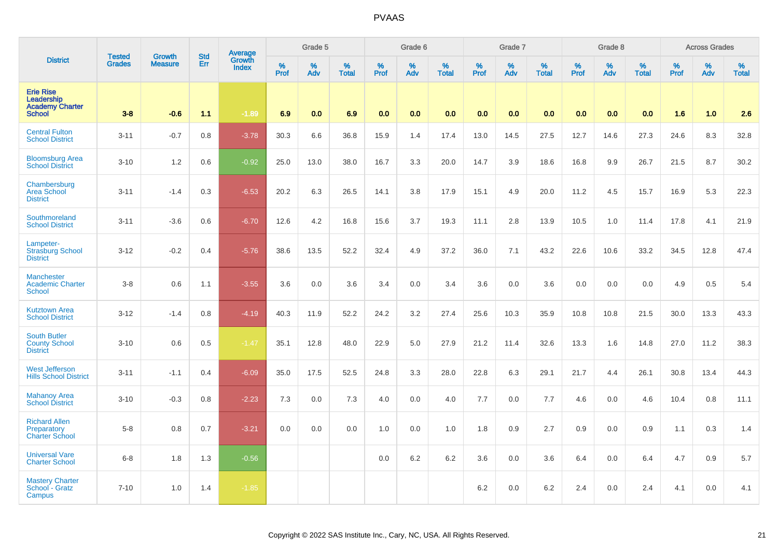|                                                                           | <b>Tested</b> | <b>Growth</b>  | <b>Std</b> |                                   |              | Grade 5  |                   |                     | Grade 6  |                   |              | Grade 7  |                   |              | Grade 8  |                   |              | <b>Across Grades</b> |                   |
|---------------------------------------------------------------------------|---------------|----------------|------------|-----------------------------------|--------------|----------|-------------------|---------------------|----------|-------------------|--------------|----------|-------------------|--------------|----------|-------------------|--------------|----------------------|-------------------|
| <b>District</b>                                                           | <b>Grades</b> | <b>Measure</b> | Err        | Average<br>Growth<br><b>Index</b> | $\%$<br>Prof | %<br>Adv | %<br><b>Total</b> | $\%$<br><b>Prof</b> | %<br>Adv | %<br><b>Total</b> | $\%$<br>Prof | %<br>Adv | %<br><b>Total</b> | $\%$<br>Prof | %<br>Adv | %<br><b>Total</b> | $\%$<br>Prof | %<br>Adv             | %<br><b>Total</b> |
| <b>Erie Rise</b><br>Leadership<br><b>Academy Charter</b><br><b>School</b> | $3 - 8$       | $-0.6$         | 1.1        | $-1.89$                           | 6.9          | 0.0      | 6.9               | 0.0                 | 0.0      | 0.0               | 0.0          | 0.0      | 0.0               | 0.0          | 0.0      | 0.0               | 1.6          | 1.0                  | 2.6               |
| <b>Central Fulton</b><br><b>School District</b>                           | $3 - 11$      | $-0.7$         | 0.8        | $-3.78$                           | 30.3         | 6.6      | 36.8              | 15.9                | 1.4      | 17.4              | 13.0         | 14.5     | 27.5              | 12.7         | 14.6     | 27.3              | 24.6         | 8.3                  | 32.8              |
| <b>Bloomsburg Area</b><br><b>School District</b>                          | $3 - 10$      | 1.2            | 0.6        | $-0.92$                           | 25.0         | 13.0     | 38.0              | 16.7                | 3.3      | 20.0              | 14.7         | 3.9      | 18.6              | 16.8         | 9.9      | 26.7              | 21.5         | 8.7                  | 30.2              |
| Chambersburg<br><b>Area School</b><br><b>District</b>                     | $3 - 11$      | $-1.4$         | 0.3        | $-6.53$                           | 20.2         | 6.3      | 26.5              | 14.1                | 3.8      | 17.9              | 15.1         | 4.9      | 20.0              | 11.2         | 4.5      | 15.7              | 16.9         | 5.3                  | 22.3              |
| Southmoreland<br><b>School District</b>                                   | $3 - 11$      | $-3.6$         | 0.6        | $-6.70$                           | 12.6         | 4.2      | 16.8              | 15.6                | 3.7      | 19.3              | 11.1         | 2.8      | 13.9              | 10.5         | 1.0      | 11.4              | 17.8         | 4.1                  | 21.9              |
| Lampeter-<br><b>Strasburg School</b><br><b>District</b>                   | $3 - 12$      | $-0.2$         | 0.4        | $-5.76$                           | 38.6         | 13.5     | 52.2              | 32.4                | 4.9      | 37.2              | 36.0         | 7.1      | 43.2              | 22.6         | 10.6     | 33.2              | 34.5         | 12.8                 | 47.4              |
| <b>Manchester</b><br><b>Academic Charter</b><br><b>School</b>             | $3 - 8$       | 0.6            | 1.1        | $-3.55$                           | 3.6          | 0.0      | 3.6               | 3.4                 | 0.0      | 3.4               | 3.6          | 0.0      | 3.6               | 0.0          | 0.0      | 0.0               | 4.9          | 0.5                  | 5.4               |
| <b>Kutztown Area</b><br><b>School District</b>                            | $3 - 12$      | $-1.4$         | 0.8        | $-4.19$                           | 40.3         | 11.9     | 52.2              | 24.2                | 3.2      | 27.4              | 25.6         | 10.3     | 35.9              | 10.8         | 10.8     | 21.5              | 30.0         | 13.3                 | 43.3              |
| <b>South Butler</b><br><b>County School</b><br><b>District</b>            | $3 - 10$      | 0.6            | 0.5        | $-1.47$                           | 35.1         | 12.8     | 48.0              | 22.9                | 5.0      | 27.9              | 21.2         | 11.4     | 32.6              | 13.3         | 1.6      | 14.8              | 27.0         | 11.2                 | 38.3              |
| <b>West Jefferson</b><br><b>Hills School District</b>                     | $3 - 11$      | $-1.1$         | 0.4        | $-6.09$                           | 35.0         | 17.5     | 52.5              | 24.8                | 3.3      | 28.0              | 22.8         | 6.3      | 29.1              | 21.7         | 4.4      | 26.1              | 30.8         | 13.4                 | 44.3              |
| <b>Mahanoy Area</b><br><b>School District</b>                             | $3 - 10$      | $-0.3$         | 0.8        | $-2.23$                           | 7.3          | 0.0      | 7.3               | 4.0                 | 0.0      | 4.0               | 7.7          | 0.0      | 7.7               | 4.6          | 0.0      | 4.6               | 10.4         | 0.8                  | 11.1              |
| <b>Richard Allen</b><br>Preparatory<br><b>Charter School</b>              | $5 - 8$       | 0.8            | 0.7        | $-3.21$                           | 0.0          | 0.0      | 0.0               | 1.0                 | 0.0      | 1.0               | 1.8          | 0.9      | 2.7               | 0.9          | 0.0      | 0.9               | 1.1          | 0.3                  | 1.4               |
| <b>Universal Vare</b><br><b>Charter School</b>                            | $6 - 8$       | 1.8            | 1.3        | $-0.56$                           |              |          |                   | 0.0                 | 6.2      | 6.2               | 3.6          | 0.0      | 3.6               | 6.4          | 0.0      | 6.4               | 4.7          | 0.9                  | 5.7               |
| <b>Mastery Charter</b><br>School - Gratz<br>Campus                        | $7 - 10$      | 1.0            | 1.4        | $-1.85$                           |              |          |                   |                     |          |                   | 6.2          | 0.0      | 6.2               | 2.4          | 0.0      | 2.4               | 4.1          | 0.0                  | 4.1               |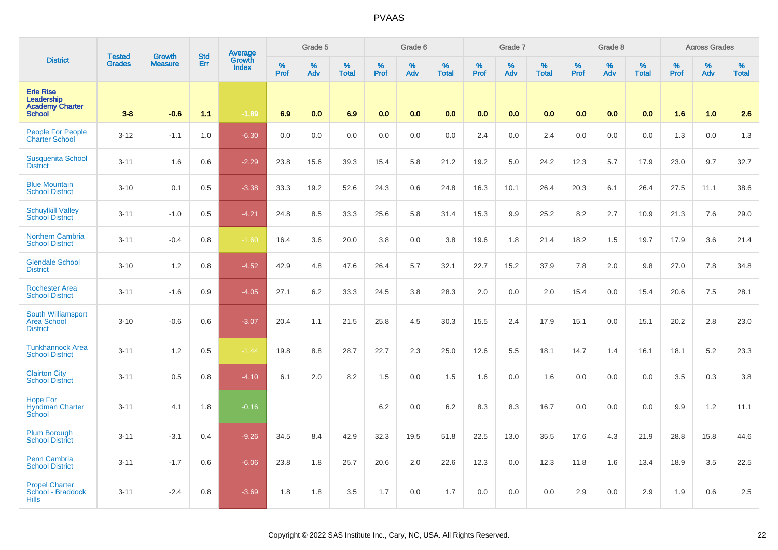|                                                                           | <b>Tested</b> |                          | <b>Std</b> | <b>Average</b>         |              | Grade 5  |                   |           | Grade 6  |                   |           | Grade 7  |                   |           | Grade 8  |                      |           | <b>Across Grades</b> |                   |
|---------------------------------------------------------------------------|---------------|--------------------------|------------|------------------------|--------------|----------|-------------------|-----------|----------|-------------------|-----------|----------|-------------------|-----------|----------|----------------------|-----------|----------------------|-------------------|
| <b>District</b>                                                           | <b>Grades</b> | Growth<br><b>Measure</b> | Err        | Growth<br><b>Index</b> | $\%$<br>Prof | %<br>Adv | %<br><b>Total</b> | %<br>Prof | %<br>Adv | %<br><b>Total</b> | %<br>Prof | %<br>Adv | %<br><b>Total</b> | %<br>Prof | %<br>Adv | $\%$<br><b>Total</b> | %<br>Prof | %<br>Adv             | %<br><b>Total</b> |
| <b>Erie Rise</b><br>Leadership<br><b>Academy Charter</b><br><b>School</b> | $3 - 8$       | $-0.6$                   | 1.1        | $-1.89$                | 6.9          | 0.0      | 6.9               | 0.0       | 0.0      | 0.0               | 0.0       | 0.0      | 0.0               | 0.0       | 0.0      | 0.0                  | 1.6       | 1.0                  | 2.6               |
| People For People<br><b>Charter School</b>                                | $3 - 12$      | $-1.1$                   | 1.0        | $-6.30$                | 0.0          | 0.0      | 0.0               | 0.0       | 0.0      | 0.0               | 2.4       | 0.0      | 2.4               | 0.0       | 0.0      | 0.0                  | 1.3       | 0.0                  | 1.3               |
| <b>Susquenita School</b><br><b>District</b>                               | $3 - 11$      | 1.6                      | 0.6        | $-2.29$                | 23.8         | 15.6     | 39.3              | 15.4      | 5.8      | 21.2              | 19.2      | 5.0      | 24.2              | 12.3      | 5.7      | 17.9                 | 23.0      | 9.7                  | 32.7              |
| <b>Blue Mountain</b><br><b>School District</b>                            | $3 - 10$      | 0.1                      | 0.5        | $-3.38$                | 33.3         | 19.2     | 52.6              | 24.3      | 0.6      | 24.8              | 16.3      | 10.1     | 26.4              | 20.3      | 6.1      | 26.4                 | 27.5      | 11.1                 | 38.6              |
| <b>Schuylkill Valley</b><br><b>School District</b>                        | $3 - 11$      | $-1.0$                   | 0.5        | $-4.21$                | 24.8         | 8.5      | 33.3              | 25.6      | 5.8      | 31.4              | 15.3      | 9.9      | 25.2              | 8.2       | 2.7      | 10.9                 | 21.3      | 7.6                  | 29.0              |
| <b>Northern Cambria</b><br><b>School District</b>                         | $3 - 11$      | $-0.4$                   | 0.8        | $-1.60$                | 16.4         | 3.6      | 20.0              | 3.8       | 0.0      | 3.8               | 19.6      | 1.8      | 21.4              | 18.2      | 1.5      | 19.7                 | 17.9      | 3.6                  | 21.4              |
| <b>Glendale School</b><br><b>District</b>                                 | $3 - 10$      | 1.2                      | 0.8        | $-4.52$                | 42.9         | 4.8      | 47.6              | 26.4      | 5.7      | 32.1              | 22.7      | 15.2     | 37.9              | 7.8       | 2.0      | 9.8                  | 27.0      | 7.8                  | 34.8              |
| <b>Rochester Area</b><br><b>School District</b>                           | $3 - 11$      | $-1.6$                   | 0.9        | $-4.05$                | 27.1         | 6.2      | 33.3              | 24.5      | 3.8      | 28.3              | 2.0       | 0.0      | 2.0               | 15.4      | 0.0      | 15.4                 | 20.6      | 7.5                  | 28.1              |
| South Williamsport<br><b>Area School</b><br><b>District</b>               | $3 - 10$      | $-0.6$                   | 0.6        | $-3.07$                | 20.4         | 1.1      | 21.5              | 25.8      | 4.5      | 30.3              | 15.5      | 2.4      | 17.9              | 15.1      | 0.0      | 15.1                 | 20.2      | 2.8                  | 23.0              |
| <b>Tunkhannock Area</b><br><b>School District</b>                         | $3 - 11$      | 1.2                      | 0.5        | $-1.44$                | 19.8         | 8.8      | 28.7              | 22.7      | 2.3      | 25.0              | 12.6      | 5.5      | 18.1              | 14.7      | 1.4      | 16.1                 | 18.1      | 5.2                  | 23.3              |
| <b>Clairton City</b><br><b>School District</b>                            | $3 - 11$      | 0.5                      | 0.8        | $-4.10$                | 6.1          | 2.0      | 8.2               | 1.5       | 0.0      | 1.5               | 1.6       | 0.0      | 1.6               | 0.0       | 0.0      | 0.0                  | 3.5       | 0.3                  | 3.8               |
| <b>Hope For</b><br><b>Hyndman Charter</b><br>School                       | $3 - 11$      | 4.1                      | 1.8        | $-0.16$                |              |          |                   | 6.2       | 0.0      | 6.2               | 8.3       | 8.3      | 16.7              | 0.0       | 0.0      | 0.0                  | 9.9       | 1.2                  | 11.1              |
| <b>Plum Borough</b><br><b>School District</b>                             | $3 - 11$      | $-3.1$                   | 0.4        | $-9.26$                | 34.5         | 8.4      | 42.9              | 32.3      | 19.5     | 51.8              | 22.5      | 13.0     | 35.5              | 17.6      | 4.3      | 21.9                 | 28.8      | 15.8                 | 44.6              |
| <b>Penn Cambria</b><br><b>School District</b>                             | $3 - 11$      | $-1.7$                   | 0.6        | $-6.06$                | 23.8         | 1.8      | 25.7              | 20.6      | 2.0      | 22.6              | 12.3      | 0.0      | 12.3              | 11.8      | 1.6      | 13.4                 | 18.9      | 3.5                  | 22.5              |
| <b>Propel Charter</b><br>School - Braddock<br><b>Hills</b>                | $3 - 11$      | $-2.4$                   | 0.8        | $-3.69$                | 1.8          | 1.8      | 3.5               | 1.7       | 0.0      | 1.7               | 0.0       | 0.0      | 0.0               | 2.9       | 0.0      | 2.9                  | 1.9       | 0.6                  | 2.5               |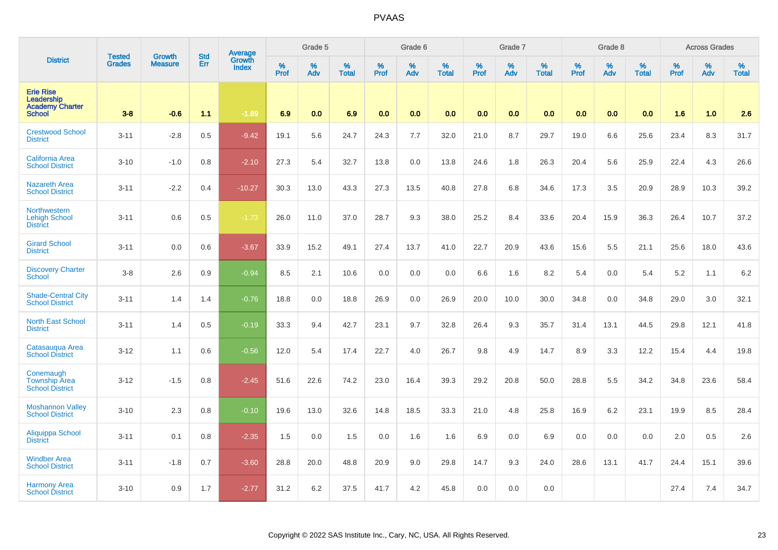|                                                                           | <b>Tested</b> | <b>Growth</b>  | <b>Std</b> | Average<br>Growth |              | Grade 5  |                   |           | Grade 6  |                   |           | Grade 7  |                   |           | Grade 8  |                   |           | <b>Across Grades</b> |                   |
|---------------------------------------------------------------------------|---------------|----------------|------------|-------------------|--------------|----------|-------------------|-----------|----------|-------------------|-----------|----------|-------------------|-----------|----------|-------------------|-----------|----------------------|-------------------|
| <b>District</b>                                                           | <b>Grades</b> | <b>Measure</b> | Err        | <b>Index</b>      | $\%$<br>Prof | %<br>Adv | %<br><b>Total</b> | %<br>Prof | %<br>Adv | %<br><b>Total</b> | %<br>Prof | %<br>Adv | %<br><b>Total</b> | %<br>Prof | %<br>Adv | %<br><b>Total</b> | %<br>Prof | %<br>Adv             | %<br><b>Total</b> |
| <b>Erie Rise</b><br>Leadership<br><b>Academy Charter</b><br><b>School</b> | $3 - 8$       | $-0.6$         | 1.1        | $-1.89$           | 6.9          | 0.0      | 6.9               | 0.0       | 0.0      | 0.0               | 0.0       | 0.0      | 0.0               | 0.0       | 0.0      | 0.0               | 1.6       | 1.0                  | 2.6               |
| <b>Crestwood School</b><br><b>District</b>                                | $3 - 11$      | $-2.8$         | 0.5        | $-9.42$           | 19.1         | 5.6      | 24.7              | 24.3      | 7.7      | 32.0              | 21.0      | 8.7      | 29.7              | 19.0      | 6.6      | 25.6              | 23.4      | 8.3                  | 31.7              |
| <b>California Area</b><br><b>School District</b>                          | $3 - 10$      | $-1.0$         | 0.8        | $-2.10$           | 27.3         | 5.4      | 32.7              | 13.8      | 0.0      | 13.8              | 24.6      | 1.8      | 26.3              | 20.4      | 5.6      | 25.9              | 22.4      | 4.3                  | 26.6              |
| <b>Nazareth Area</b><br><b>School District</b>                            | $3 - 11$      | $-2.2$         | 0.4        | $-10.27$          | 30.3         | 13.0     | 43.3              | 27.3      | 13.5     | 40.8              | 27.8      | 6.8      | 34.6              | 17.3      | 3.5      | 20.9              | 28.9      | 10.3                 | 39.2              |
| <b>Northwestern</b><br><b>Lehigh School</b><br><b>District</b>            | $3 - 11$      | 0.6            | 0.5        | $-1.73$           | 26.0         | 11.0     | 37.0              | 28.7      | 9.3      | 38.0              | 25.2      | 8.4      | 33.6              | 20.4      | 15.9     | 36.3              | 26.4      | 10.7                 | 37.2              |
| <b>Girard School</b><br><b>District</b>                                   | $3 - 11$      | 0.0            | 0.6        | $-3.67$           | 33.9         | 15.2     | 49.1              | 27.4      | 13.7     | 41.0              | 22.7      | 20.9     | 43.6              | 15.6      | 5.5      | 21.1              | 25.6      | 18.0                 | 43.6              |
| <b>Discovery Charter</b><br><b>School</b>                                 | $3 - 8$       | 2.6            | 0.9        | $-0.94$           | 8.5          | 2.1      | 10.6              | 0.0       | 0.0      | 0.0               | 6.6       | 1.6      | 8.2               | 5.4       | 0.0      | 5.4               | 5.2       | 1.1                  | $6.2\,$           |
| <b>Shade-Central City</b><br><b>School District</b>                       | $3 - 11$      | 1.4            | 1.4        | $-0.76$           | 18.8         | 0.0      | 18.8              | 26.9      | 0.0      | 26.9              | 20.0      | 10.0     | 30.0              | 34.8      | 0.0      | 34.8              | 29.0      | 3.0                  | 32.1              |
| <b>North East School</b><br><b>District</b>                               | $3 - 11$      | 1.4            | 0.5        | $-0.19$           | 33.3         | 9.4      | 42.7              | 23.1      | 9.7      | 32.8              | 26.4      | 9.3      | 35.7              | 31.4      | 13.1     | 44.5              | 29.8      | 12.1                 | 41.8              |
| Catasaugua Area<br><b>School District</b>                                 | $3 - 12$      | 1.1            | 0.6        | $-0.56$           | 12.0         | 5.4      | 17.4              | 22.7      | 4.0      | 26.7              | 9.8       | 4.9      | 14.7              | 8.9       | 3.3      | 12.2              | 15.4      | 4.4                  | 19.8              |
| Conemaugh<br><b>Township Area</b><br><b>School District</b>               | $3 - 12$      | $-1.5$         | 0.8        | $-2.45$           | 51.6         | 22.6     | 74.2              | 23.0      | 16.4     | 39.3              | 29.2      | 20.8     | 50.0              | 28.8      | 5.5      | 34.2              | 34.8      | 23.6                 | 58.4              |
| <b>Moshannon Valley</b><br><b>School District</b>                         | $3 - 10$      | 2.3            | 0.8        | $-0.10$           | 19.6         | 13.0     | 32.6              | 14.8      | 18.5     | 33.3              | 21.0      | 4.8      | 25.8              | 16.9      | 6.2      | 23.1              | 19.9      | 8.5                  | 28.4              |
| <b>Aliquippa School</b><br><b>District</b>                                | $3 - 11$      | 0.1            | 0.8        | $-2.35$           | 1.5          | 0.0      | 1.5               | 0.0       | 1.6      | 1.6               | 6.9       | 0.0      | 6.9               | 0.0       | 0.0      | 0.0               | 2.0       | 0.5                  | 2.6               |
| <b>Windber Area</b><br><b>School District</b>                             | $3 - 11$      | $-1.8$         | 0.7        | $-3.60$           | 28.8         | 20.0     | 48.8              | 20.9      | 9.0      | 29.8              | 14.7      | 9.3      | 24.0              | 28.6      | 13.1     | 41.7              | 24.4      | 15.1                 | 39.6              |
| <b>Harmony Area</b><br><b>School District</b>                             | $3 - 10$      | 0.9            | 1.7        | $-2.77$           | 31.2         | 6.2      | 37.5              | 41.7      | 4.2      | 45.8              | 0.0       | 0.0      | 0.0               |           |          |                   | 27.4      | 7.4                  | 34.7              |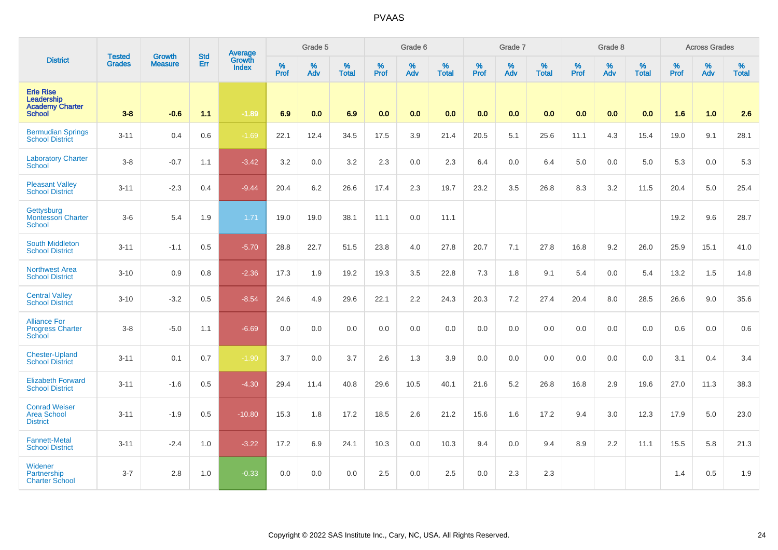|                                                                           |                                |                                 | <b>Std</b> | Average                |              | Grade 5  |                   |           | Grade 6  |                   |           | Grade 7  |                   |           | Grade 8  |                   |           | <b>Across Grades</b> |                   |
|---------------------------------------------------------------------------|--------------------------------|---------------------------------|------------|------------------------|--------------|----------|-------------------|-----------|----------|-------------------|-----------|----------|-------------------|-----------|----------|-------------------|-----------|----------------------|-------------------|
| <b>District</b>                                                           | <b>Tested</b><br><b>Grades</b> | <b>Growth</b><br><b>Measure</b> | Err        | Growth<br><b>Index</b> | $\%$<br>Prof | %<br>Adv | %<br><b>Total</b> | %<br>Prof | %<br>Adv | %<br><b>Total</b> | %<br>Prof | %<br>Adv | %<br><b>Total</b> | %<br>Prof | %<br>Adv | %<br><b>Total</b> | %<br>Prof | %<br>Adv             | %<br><b>Total</b> |
| <b>Erie Rise</b><br>Leadership<br><b>Academy Charter</b><br><b>School</b> | $3-8$                          | $-0.6$                          | 1.1        | $-1.89$                | 6.9          | 0.0      | 6.9               | 0.0       | 0.0      | 0.0               | 0.0       | 0.0      | 0.0               | 0.0       | 0.0      | 0.0               | 1.6       | 1.0                  | 2.6               |
| <b>Bermudian Springs</b><br><b>School District</b>                        | $3 - 11$                       | 0.4                             | 0.6        | $-1.69$                | 22.1         | 12.4     | 34.5              | 17.5      | 3.9      | 21.4              | 20.5      | 5.1      | 25.6              | 11.1      | 4.3      | 15.4              | 19.0      | 9.1                  | 28.1              |
| <b>Laboratory Charter</b><br><b>School</b>                                | $3-8$                          | $-0.7$                          | 1.1        | $-3.42$                | 3.2          | 0.0      | 3.2               | 2.3       | 0.0      | 2.3               | 6.4       | 0.0      | 6.4               | 5.0       | 0.0      | 5.0               | 5.3       | 0.0                  | 5.3               |
| <b>Pleasant Valley</b><br><b>School District</b>                          | $3 - 11$                       | $-2.3$                          | 0.4        | $-9.44$                | 20.4         | 6.2      | 26.6              | 17.4      | 2.3      | 19.7              | 23.2      | 3.5      | 26.8              | 8.3       | 3.2      | 11.5              | 20.4      | 5.0                  | 25.4              |
| Gettysburg<br><b>Montessori Charter</b><br><b>School</b>                  | $3-6$                          | 5.4                             | 1.9        | 1.71                   | 19.0         | 19.0     | 38.1              | 11.1      | 0.0      | 11.1              |           |          |                   |           |          |                   | 19.2      | 9.6                  | 28.7              |
| <b>South Middleton</b><br><b>School District</b>                          | $3 - 11$                       | $-1.1$                          | 0.5        | $-5.70$                | 28.8         | 22.7     | 51.5              | 23.8      | 4.0      | 27.8              | 20.7      | 7.1      | 27.8              | 16.8      | 9.2      | 26.0              | 25.9      | 15.1                 | 41.0              |
| <b>Northwest Area</b><br><b>School District</b>                           | $3 - 10$                       | 0.9                             | 0.8        | $-2.36$                | 17.3         | 1.9      | 19.2              | 19.3      | 3.5      | 22.8              | 7.3       | 1.8      | 9.1               | 5.4       | 0.0      | 5.4               | 13.2      | 1.5                  | 14.8              |
| <b>Central Valley</b><br><b>School District</b>                           | $3 - 10$                       | $-3.2$                          | 0.5        | $-8.54$                | 24.6         | 4.9      | 29.6              | 22.1      | 2.2      | 24.3              | 20.3      | 7.2      | 27.4              | 20.4      | 8.0      | 28.5              | 26.6      | 9.0                  | 35.6              |
| <b>Alliance For</b><br><b>Progress Charter</b><br><b>School</b>           | $3-8$                          | $-5.0$                          | 1.1        | $-6.69$                | 0.0          | 0.0      | 0.0               | 0.0       | 0.0      | 0.0               | 0.0       | 0.0      | 0.0               | 0.0       | 0.0      | 0.0               | 0.6       | 0.0                  | 0.6               |
| <b>Chester-Upland</b><br><b>School District</b>                           | $3 - 11$                       | 0.1                             | 0.7        | $-1.90$                | 3.7          | 0.0      | 3.7               | 2.6       | 1.3      | 3.9               | 0.0       | 0.0      | 0.0               | 0.0       | 0.0      | 0.0               | 3.1       | 0.4                  | 3.4               |
| <b>Elizabeth Forward</b><br><b>School District</b>                        | $3 - 11$                       | $-1.6$                          | 0.5        | $-4.30$                | 29.4         | 11.4     | 40.8              | 29.6      | 10.5     | 40.1              | 21.6      | 5.2      | 26.8              | 16.8      | 2.9      | 19.6              | 27.0      | 11.3                 | 38.3              |
| <b>Conrad Weiser</b><br><b>Area School</b><br><b>District</b>             | $3 - 11$                       | $-1.9$                          | 0.5        | $-10.80$               | 15.3         | 1.8      | 17.2              | 18.5      | 2.6      | 21.2              | 15.6      | 1.6      | 17.2              | 9.4       | 3.0      | 12.3              | 17.9      | 5.0                  | 23.0              |
| <b>Fannett-Metal</b><br><b>School District</b>                            | $3 - 11$                       | $-2.4$                          | 1.0        | $-3.22$                | 17.2         | 6.9      | 24.1              | 10.3      | 0.0      | 10.3              | 9.4       | 0.0      | 9.4               | 8.9       | 2.2      | 11.1              | 15.5      | 5.8                  | 21.3              |
| Widener<br>Partnership<br><b>Charter School</b>                           | $3 - 7$                        | 2.8                             | 1.0        | $-0.33$                | 0.0          | 0.0      | 0.0               | 2.5       | 0.0      | 2.5               | 0.0       | 2.3      | 2.3               |           |          |                   | 1.4       | 0.5                  | 1.9               |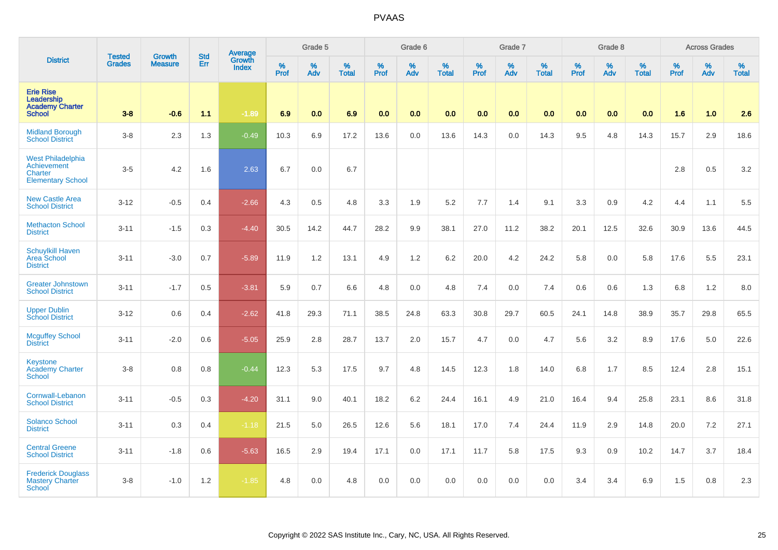|                                                                                | <b>Tested</b> | <b>Growth</b>  | <b>Std</b> | Average                |                     | Grade 5  |                   |                  | Grade 6  |                   |                  | Grade 7  |                   |           | Grade 8  |                   |           | <b>Across Grades</b> |                   |
|--------------------------------------------------------------------------------|---------------|----------------|------------|------------------------|---------------------|----------|-------------------|------------------|----------|-------------------|------------------|----------|-------------------|-----------|----------|-------------------|-----------|----------------------|-------------------|
| <b>District</b>                                                                | <b>Grades</b> | <b>Measure</b> | Err        | Growth<br><b>Index</b> | $\%$<br><b>Prof</b> | %<br>Adv | %<br><b>Total</b> | %<br><b>Prof</b> | %<br>Adv | %<br><b>Total</b> | %<br><b>Prof</b> | %<br>Adv | %<br><b>Total</b> | %<br>Prof | %<br>Adv | %<br><b>Total</b> | %<br>Prof | %<br>Adv             | %<br><b>Total</b> |
| <b>Erie Rise</b><br>Leadership<br><b>Academy Charter</b><br><b>School</b>      | $3 - 8$       | $-0.6$         | 1.1        | $-1.89$                | 6.9                 | 0.0      | 6.9               | 0.0              | 0.0      | 0.0 <sub>1</sub>  | 0.0              | 0.0      | 0.0               | 0.0       | 0.0      | 0.0               | 1.6       | 1.0                  | 2.6               |
| <b>Midland Borough</b><br><b>School District</b>                               | $3-8$         | 2.3            | 1.3        | $-0.49$                | 10.3                | 6.9      | 17.2              | 13.6             | 0.0      | 13.6              | 14.3             | 0.0      | 14.3              | 9.5       | 4.8      | 14.3              | 15.7      | 2.9                  | 18.6              |
| <b>West Philadelphia</b><br>Achievement<br>Charter<br><b>Elementary School</b> | $3-5$         | 4.2            | 1.6        | 2.63                   | 6.7                 | 0.0      | 6.7               |                  |          |                   |                  |          |                   |           |          |                   | 2.8       | 0.5                  | 3.2               |
| <b>New Castle Area</b><br><b>School District</b>                               | $3 - 12$      | $-0.5$         | 0.4        | $-2.66$                | 4.3                 | 0.5      | 4.8               | 3.3              | 1.9      | 5.2               | 7.7              | 1.4      | 9.1               | 3.3       | 0.9      | 4.2               | 4.4       | 1.1                  | 5.5               |
| <b>Methacton School</b><br><b>District</b>                                     | $3 - 11$      | $-1.5$         | 0.3        | $-4.40$                | 30.5                | 14.2     | 44.7              | 28.2             | 9.9      | 38.1              | 27.0             | 11.2     | 38.2              | 20.1      | 12.5     | 32.6              | 30.9      | 13.6                 | 44.5              |
| <b>Schuylkill Haven</b><br><b>Area School</b><br><b>District</b>               | $3 - 11$      | $-3.0$         | 0.7        | $-5.89$                | 11.9                | 1.2      | 13.1              | 4.9              | 1.2      | 6.2               | 20.0             | 4.2      | 24.2              | 5.8       | 0.0      | 5.8               | 17.6      | 5.5                  | 23.1              |
| <b>Greater Johnstown</b><br><b>School District</b>                             | $3 - 11$      | $-1.7$         | 0.5        | $-3.81$                | 5.9                 | 0.7      | 6.6               | 4.8              | 0.0      | 4.8               | 7.4              | 0.0      | 7.4               | 0.6       | 0.6      | 1.3               | 6.8       | 1.2                  | 8.0               |
| <b>Upper Dublin</b><br><b>School District</b>                                  | $3 - 12$      | 0.6            | 0.4        | $-2.62$                | 41.8                | 29.3     | 71.1              | 38.5             | 24.8     | 63.3              | 30.8             | 29.7     | 60.5              | 24.1      | 14.8     | 38.9              | 35.7      | 29.8                 | 65.5              |
| <b>Mcguffey School</b><br><b>District</b>                                      | $3 - 11$      | $-2.0$         | 0.6        | $-5.05$                | 25.9                | 2.8      | 28.7              | 13.7             | 2.0      | 15.7              | 4.7              | 0.0      | 4.7               | 5.6       | 3.2      | 8.9               | 17.6      | $5.0\,$              | 22.6              |
| <b>Keystone</b><br><b>Academy Charter</b><br>School                            | $3 - 8$       | 0.8            | 0.8        | $-0.44$                | 12.3                | 5.3      | 17.5              | 9.7              | 4.8      | 14.5              | 12.3             | 1.8      | 14.0              | 6.8       | 1.7      | 8.5               | 12.4      | 2.8                  | 15.1              |
| Cornwall-Lebanon<br><b>School District</b>                                     | $3 - 11$      | $-0.5$         | 0.3        | $-4.20$                | 31.1                | 9.0      | 40.1              | 18.2             | 6.2      | 24.4              | 16.1             | 4.9      | 21.0              | 16.4      | 9.4      | 25.8              | 23.1      | 8.6                  | 31.8              |
| <b>Solanco School</b><br><b>District</b>                                       | $3 - 11$      | 0.3            | 0.4        | $-1.18$                | 21.5                | 5.0      | 26.5              | 12.6             | 5.6      | 18.1              | 17.0             | 7.4      | 24.4              | 11.9      | 2.9      | 14.8              | 20.0      | 7.2                  | 27.1              |
| <b>Central Greene</b><br><b>School District</b>                                | $3 - 11$      | $-1.8$         | 0.6        | $-5.63$                | 16.5                | 2.9      | 19.4              | 17.1             | 0.0      | 17.1              | 11.7             | 5.8      | 17.5              | 9.3       | 0.9      | 10.2              | 14.7      | 3.7                  | 18.4              |
| <b>Frederick Douglass</b><br><b>Mastery Charter</b><br>School                  | $3 - 8$       | $-1.0$         | 1.2        | $-1.85$                | 4.8                 | 0.0      | 4.8               | 0.0              | 0.0      | 0.0               | 0.0              | 0.0      | 0.0               | 3.4       | 3.4      | 6.9               | 1.5       | $0.8\,$              | 2.3               |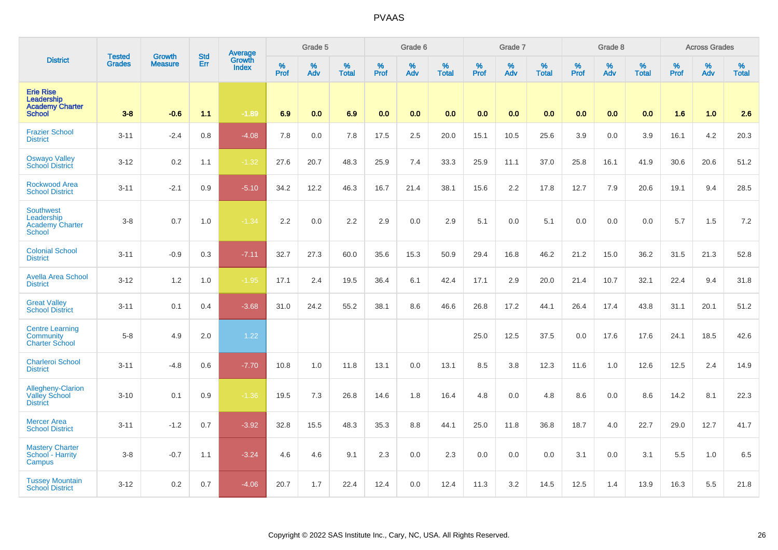|                                                                           | <b>Tested</b> | <b>Growth</b>  | <b>Std</b> | Average         |              | Grade 5  |                      |              | Grade 6  |                   |              | Grade 7  |                   |              | Grade 8     |                      |              | <b>Across Grades</b> |                   |
|---------------------------------------------------------------------------|---------------|----------------|------------|-----------------|--------------|----------|----------------------|--------------|----------|-------------------|--------------|----------|-------------------|--------------|-------------|----------------------|--------------|----------------------|-------------------|
| <b>District</b>                                                           | Grades        | <b>Measure</b> | Err        | Growth<br>Index | $\%$<br>Prof | %<br>Adv | $\%$<br><b>Total</b> | $\%$<br>Prof | %<br>Adv | %<br><b>Total</b> | $\%$<br>Prof | %<br>Adv | %<br><b>Total</b> | $\%$<br>Prof | $\%$<br>Adv | $\%$<br><b>Total</b> | $\%$<br>Prof | %<br>Adv             | %<br><b>Total</b> |
| <b>Erie Rise</b><br>Leadership<br><b>Academy Charter</b><br><b>School</b> | $3-8$         | $-0.6$         | 1.1        | $-1.89$         | 6.9          | 0.0      | 6.9                  | 0.0          | 0.0      | 0.0               | 0.0          | 0.0      | 0.0               | 0.0          | 0.0         | 0.0                  | 1.6          | 1.0                  | 2.6               |
| <b>Frazier School</b><br><b>District</b>                                  | $3 - 11$      | $-2.4$         | 0.8        | $-4.08$         | 7.8          | 0.0      | 7.8                  | 17.5         | 2.5      | 20.0              | 15.1         | 10.5     | 25.6              | 3.9          | 0.0         | 3.9                  | 16.1         | 4.2                  | 20.3              |
| <b>Oswayo Valley</b><br>School District                                   | $3 - 12$      | 0.2            | 1.1        | $-1.32$         | 27.6         | 20.7     | 48.3                 | 25.9         | 7.4      | 33.3              | 25.9         | 11.1     | 37.0              | 25.8         | 16.1        | 41.9                 | 30.6         | 20.6                 | 51.2              |
| <b>Rockwood Area</b><br><b>School District</b>                            | $3 - 11$      | $-2.1$         | 0.9        | $-5.10$         | 34.2         | 12.2     | 46.3                 | 16.7         | 21.4     | 38.1              | 15.6         | 2.2      | 17.8              | 12.7         | 7.9         | 20.6                 | 19.1         | 9.4                  | 28.5              |
| <b>Southwest</b><br>Leadership<br><b>Academy Charter</b><br><b>School</b> | $3-8$         | 0.7            | 1.0        | $-1.34$         | 2.2          | 0.0      | 2.2                  | 2.9          | 0.0      | 2.9               | 5.1          | 0.0      | 5.1               | 0.0          | 0.0         | 0.0                  | 5.7          | 1.5                  | 7.2               |
| <b>Colonial School</b><br><b>District</b>                                 | $3 - 11$      | $-0.9$         | 0.3        | $-7.11$         | 32.7         | 27.3     | 60.0                 | 35.6         | 15.3     | 50.9              | 29.4         | 16.8     | 46.2              | 21.2         | 15.0        | 36.2                 | 31.5         | 21.3                 | 52.8              |
| <b>Avella Area School</b><br><b>District</b>                              | $3 - 12$      | 1.2            | 1.0        | $-1.95$         | 17.1         | 2.4      | 19.5                 | 36.4         | 6.1      | 42.4              | 17.1         | 2.9      | 20.0              | 21.4         | 10.7        | 32.1                 | 22.4         | 9.4                  | 31.8              |
| <b>Great Valley</b><br><b>School District</b>                             | $3 - 11$      | 0.1            | 0.4        | $-3.68$         | 31.0         | 24.2     | 55.2                 | 38.1         | 8.6      | 46.6              | 26.8         | 17.2     | 44.1              | 26.4         | 17.4        | 43.8                 | 31.1         | 20.1                 | 51.2              |
| <b>Centre Learning</b><br>Community<br><b>Charter School</b>              | $5-8$         | 4.9            | 2.0        | 1.22            |              |          |                      |              |          |                   | 25.0         | 12.5     | 37.5              | 0.0          | 17.6        | 17.6                 | 24.1         | 18.5                 | 42.6              |
| <b>Charleroi School</b><br><b>District</b>                                | $3 - 11$      | $-4.8$         | 0.6        | $-7.70$         | 10.8         | 1.0      | 11.8                 | 13.1         | 0.0      | 13.1              | 8.5          | 3.8      | 12.3              | 11.6         | 1.0         | 12.6                 | 12.5         | 2.4                  | 14.9              |
| Allegheny-Clarion<br><b>Valley School</b><br><b>District</b>              | $3 - 10$      | 0.1            | 0.9        | $-1.36$         | 19.5         | 7.3      | 26.8                 | 14.6         | 1.8      | 16.4              | 4.8          | 0.0      | 4.8               | 8.6          | 0.0         | 8.6                  | 14.2         | 8.1                  | 22.3              |
| <b>Mercer Area</b><br><b>School District</b>                              | $3 - 11$      | $-1.2$         | 0.7        | $-3.92$         | 32.8         | 15.5     | 48.3                 | 35.3         | 8.8      | 44.1              | 25.0         | 11.8     | 36.8              | 18.7         | 4.0         | 22.7                 | 29.0         | 12.7                 | 41.7              |
| <b>Mastery Charter</b><br>School - Harrity<br>Campus                      | $3-8$         | $-0.7$         | 1.1        | $-3.24$         | 4.6          | 4.6      | 9.1                  | 2.3          | 0.0      | 2.3               | 0.0          | 0.0      | 0.0               | 3.1          | 0.0         | 3.1                  | 5.5          | 1.0                  | 6.5               |
| <b>Tussey Mountain</b><br><b>School District</b>                          | $3 - 12$      | 0.2            | 0.7        | $-4.06$         | 20.7         | 1.7      | 22.4                 | 12.4         | 0.0      | 12.4              | 11.3         | 3.2      | 14.5              | 12.5         | 1.4         | 13.9                 | 16.3         | 5.5                  | 21.8              |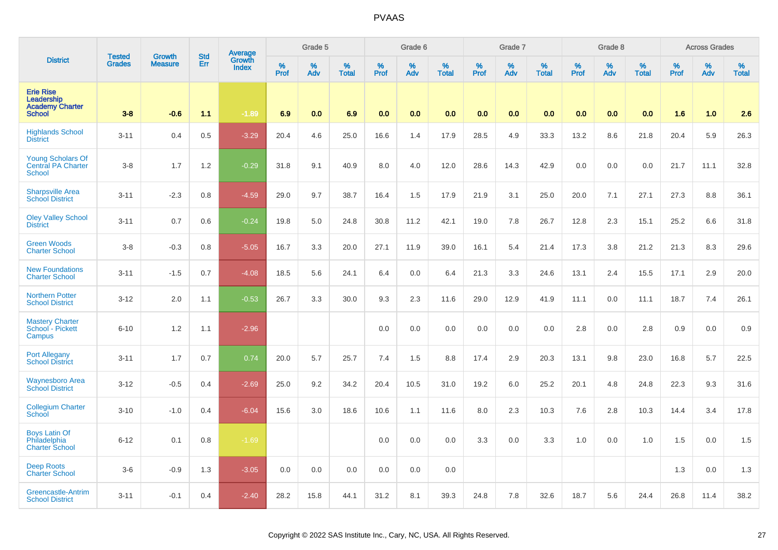|                                                                           | <b>Tested</b> | Growth         | <b>Std</b> | Average                |              | Grade 5  |                   |                  | Grade 6  |                   |                  | Grade 7  |                   |           | Grade 8  |                   |           | <b>Across Grades</b> |                   |
|---------------------------------------------------------------------------|---------------|----------------|------------|------------------------|--------------|----------|-------------------|------------------|----------|-------------------|------------------|----------|-------------------|-----------|----------|-------------------|-----------|----------------------|-------------------|
| <b>District</b>                                                           | <b>Grades</b> | <b>Measure</b> | Err        | Growth<br><b>Index</b> | $\%$<br>Prof | %<br>Adv | %<br><b>Total</b> | %<br><b>Prof</b> | %<br>Adv | %<br><b>Total</b> | %<br><b>Prof</b> | %<br>Adv | %<br><b>Total</b> | %<br>Prof | %<br>Adv | %<br><b>Total</b> | %<br>Prof | %<br>Adv             | %<br><b>Total</b> |
| <b>Erie Rise</b><br>Leadership<br><b>Academy Charter</b><br><b>School</b> | $3 - 8$       | $-0.6$         | 1.1        | $-1.89$                | 6.9          | 0.0      | 6.9               | 0.0              | 0.0      | 0.0               | 0.0              | 0.0      | 0.0               | 0.0       | 0.0      | 0.0               | 1.6       | 1.0                  | 2.6               |
| <b>Highlands School</b><br><b>District</b>                                | $3 - 11$      | 0.4            | 0.5        | $-3.29$                | 20.4         | 4.6      | 25.0              | 16.6             | 1.4      | 17.9              | 28.5             | 4.9      | 33.3              | 13.2      | 8.6      | 21.8              | 20.4      | 5.9                  | 26.3              |
| <b>Young Scholars Of</b><br><b>Central PA Charter</b><br><b>School</b>    | $3 - 8$       | 1.7            | 1.2        | $-0.29$                | 31.8         | 9.1      | 40.9              | 8.0              | 4.0      | 12.0              | 28.6             | 14.3     | 42.9              | 0.0       | 0.0      | 0.0               | 21.7      | 11.1                 | 32.8              |
| <b>Sharpsville Area</b><br><b>School District</b>                         | $3 - 11$      | $-2.3$         | 0.8        | $-4.59$                | 29.0         | 9.7      | 38.7              | 16.4             | 1.5      | 17.9              | 21.9             | 3.1      | 25.0              | 20.0      | 7.1      | 27.1              | 27.3      | 8.8                  | 36.1              |
| <b>Oley Valley School</b><br><b>District</b>                              | $3 - 11$      | 0.7            | 0.6        | $-0.24$                | 19.8         | 5.0      | 24.8              | 30.8             | 11.2     | 42.1              | 19.0             | 7.8      | 26.7              | 12.8      | 2.3      | 15.1              | 25.2      | 6.6                  | 31.8              |
| <b>Green Woods</b><br><b>Charter School</b>                               | $3 - 8$       | $-0.3$         | 0.8        | $-5.05$                | 16.7         | 3.3      | 20.0              | 27.1             | 11.9     | 39.0              | 16.1             | 5.4      | 21.4              | 17.3      | 3.8      | 21.2              | 21.3      | 8.3                  | 29.6              |
| <b>New Foundations</b><br><b>Charter School</b>                           | $3 - 11$      | $-1.5$         | 0.7        | $-4.08$                | 18.5         | 5.6      | 24.1              | 6.4              | 0.0      | 6.4               | 21.3             | 3.3      | 24.6              | 13.1      | 2.4      | 15.5              | 17.1      | 2.9                  | 20.0              |
| <b>Northern Potter</b><br><b>School District</b>                          | $3 - 12$      | 2.0            | 1.1        | $-0.53$                | 26.7         | 3.3      | 30.0              | 9.3              | 2.3      | 11.6              | 29.0             | 12.9     | 41.9              | 11.1      | 0.0      | 11.1              | 18.7      | 7.4                  | 26.1              |
| <b>Mastery Charter</b><br>School - Pickett<br>Campus                      | $6 - 10$      | 1.2            | 1.1        | $-2.96$                |              |          |                   | 0.0              | 0.0      | 0.0               | 0.0              | 0.0      | 0.0               | 2.8       | 0.0      | 2.8               | 0.9       | 0.0                  | 0.9               |
| Port Allegany<br><b>School District</b>                                   | $3 - 11$      | 1.7            | 0.7        | 0.74                   | 20.0         | 5.7      | 25.7              | 7.4              | 1.5      | 8.8               | 17.4             | 2.9      | 20.3              | 13.1      | 9.8      | 23.0              | 16.8      | 5.7                  | 22.5              |
| <b>Waynesboro Area</b><br><b>School District</b>                          | $3 - 12$      | $-0.5$         | 0.4        | $-2.69$                | 25.0         | 9.2      | 34.2              | 20.4             | 10.5     | 31.0              | 19.2             | 6.0      | 25.2              | 20.1      | 4.8      | 24.8              | 22.3      | 9.3                  | 31.6              |
| <b>Collegium Charter</b><br><b>School</b>                                 | $3 - 10$      | $-1.0$         | 0.4        | $-6.04$                | 15.6         | 3.0      | 18.6              | 10.6             | 1.1      | 11.6              | 8.0              | 2.3      | 10.3              | 7.6       | 2.8      | 10.3              | 14.4      | 3.4                  | 17.8              |
| <b>Boys Latin Of</b><br>Philadelphia<br><b>Charter School</b>             | $6 - 12$      | 0.1            | 0.8        | $-1.69$                |              |          |                   | 0.0              | 0.0      | 0.0               | 3.3              | 0.0      | 3.3               | 1.0       | 0.0      | 1.0               | 1.5       | 0.0                  | 1.5               |
| <b>Deep Roots</b><br><b>Charter School</b>                                | $3-6$         | $-0.9$         | 1.3        | $-3.05$                | 0.0          | 0.0      | 0.0               | 0.0              | 0.0      | 0.0               |                  |          |                   |           |          |                   | 1.3       | 0.0                  | 1.3               |
| Greencastle-Antrim<br><b>School District</b>                              | $3 - 11$      | $-0.1$         | 0.4        | $-2.40$                | 28.2         | 15.8     | 44.1              | 31.2             | 8.1      | 39.3              | 24.8             | 7.8      | 32.6              | 18.7      | 5.6      | 24.4              | 26.8      | 11.4                 | 38.2              |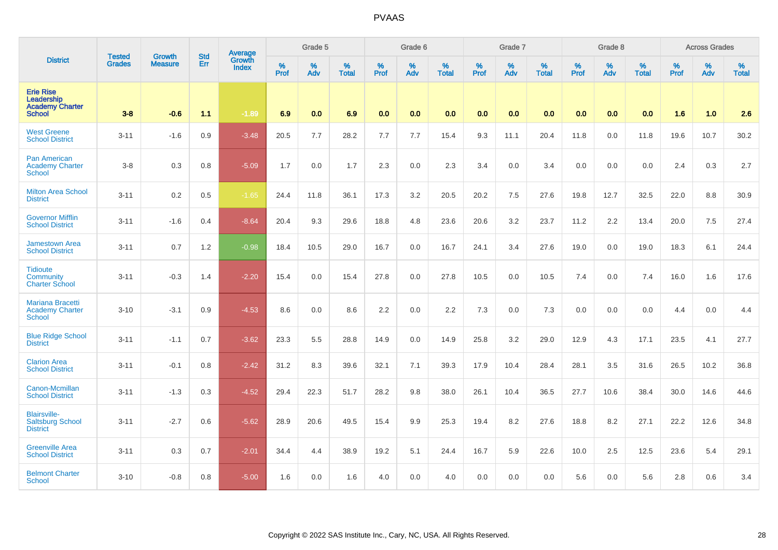|                                                                           | <b>Tested</b> |                                 | <b>Std</b> | Average                       |              | Grade 5  |                   |           | Grade 6  |                   |           | Grade 7  |                   |           | Grade 8  |                   |           | <b>Across Grades</b> |                   |
|---------------------------------------------------------------------------|---------------|---------------------------------|------------|-------------------------------|--------------|----------|-------------------|-----------|----------|-------------------|-----------|----------|-------------------|-----------|----------|-------------------|-----------|----------------------|-------------------|
| <b>District</b>                                                           | <b>Grades</b> | <b>Growth</b><br><b>Measure</b> | Err        | <b>Growth</b><br><b>Index</b> | $\%$<br>Prof | %<br>Adv | %<br><b>Total</b> | %<br>Prof | %<br>Adv | %<br><b>Total</b> | %<br>Prof | %<br>Adv | %<br><b>Total</b> | %<br>Prof | %<br>Adv | %<br><b>Total</b> | %<br>Prof | %<br>Adv             | %<br><b>Total</b> |
| <b>Erie Rise</b><br>Leadership<br><b>Academy Charter</b><br><b>School</b> | $3-8$         | $-0.6$                          | 1.1        | $-1.89$                       | 6.9          | 0.0      | 6.9               | 0.0       | 0.0      | 0.0               | 0.0       | 0.0      | 0.0               | 0.0       | 0.0      | 0.0               | 1.6       | 1.0                  | 2.6               |
| <b>West Greene</b><br><b>School District</b>                              | $3 - 11$      | $-1.6$                          | 0.9        | $-3.48$                       | 20.5         | 7.7      | 28.2              | 7.7       | 7.7      | 15.4              | 9.3       | 11.1     | 20.4              | 11.8      | 0.0      | 11.8              | 19.6      | 10.7                 | 30.2              |
| <b>Pan American</b><br><b>Academy Charter</b><br>School                   | $3-8$         | 0.3                             | 0.8        | $-5.09$                       | 1.7          | 0.0      | 1.7               | 2.3       | 0.0      | 2.3               | 3.4       | 0.0      | 3.4               | 0.0       | 0.0      | 0.0               | 2.4       | 0.3                  | 2.7               |
| <b>Milton Area School</b><br><b>District</b>                              | $3 - 11$      | 0.2                             | 0.5        | $-1.65$                       | 24.4         | 11.8     | 36.1              | 17.3      | 3.2      | 20.5              | 20.2      | 7.5      | 27.6              | 19.8      | 12.7     | 32.5              | 22.0      | 8.8                  | 30.9              |
| <b>Governor Mifflin</b><br><b>School District</b>                         | $3 - 11$      | $-1.6$                          | 0.4        | $-8.64$                       | 20.4         | 9.3      | 29.6              | 18.8      | 4.8      | 23.6              | 20.6      | 3.2      | 23.7              | 11.2      | 2.2      | 13.4              | 20.0      | 7.5                  | 27.4              |
| <b>Jamestown Area</b><br><b>School District</b>                           | $3 - 11$      | 0.7                             | 1.2        | $-0.98$                       | 18.4         | 10.5     | 29.0              | 16.7      | 0.0      | 16.7              | 24.1      | 3.4      | 27.6              | 19.0      | 0.0      | 19.0              | 18.3      | 6.1                  | 24.4              |
| <b>Tidioute</b><br>Community<br><b>Charter School</b>                     | $3 - 11$      | $-0.3$                          | 1.4        | $-2.20$                       | 15.4         | 0.0      | 15.4              | 27.8      | 0.0      | 27.8              | 10.5      | 0.0      | 10.5              | 7.4       | 0.0      | 7.4               | 16.0      | 1.6                  | 17.6              |
| <b>Mariana Bracetti</b><br><b>Academy Charter</b><br><b>School</b>        | $3 - 10$      | $-3.1$                          | 0.9        | $-4.53$                       | 8.6          | 0.0      | 8.6               | 2.2       | 0.0      | 2.2               | 7.3       | 0.0      | 7.3               | 0.0       | 0.0      | 0.0               | 4.4       | 0.0                  | 4.4               |
| <b>Blue Ridge School</b><br><b>District</b>                               | $3 - 11$      | $-1.1$                          | 0.7        | $-3.62$                       | 23.3         | 5.5      | 28.8              | 14.9      | 0.0      | 14.9              | 25.8      | 3.2      | 29.0              | 12.9      | 4.3      | 17.1              | 23.5      | 4.1                  | 27.7              |
| <b>Clarion Area</b><br><b>School District</b>                             | $3 - 11$      | $-0.1$                          | 0.8        | $-2.42$                       | 31.2         | 8.3      | 39.6              | 32.1      | 7.1      | 39.3              | 17.9      | 10.4     | 28.4              | 28.1      | 3.5      | 31.6              | 26.5      | 10.2                 | 36.8              |
| Canon-Mcmillan<br><b>School District</b>                                  | $3 - 11$      | $-1.3$                          | 0.3        | $-4.52$                       | 29.4         | 22.3     | 51.7              | 28.2      | 9.8      | 38.0              | 26.1      | 10.4     | 36.5              | 27.7      | 10.6     | 38.4              | 30.0      | 14.6                 | 44.6              |
| <b>Blairsville-</b><br><b>Saltsburg School</b><br><b>District</b>         | $3 - 11$      | $-2.7$                          | 0.6        | $-5.62$                       | 28.9         | 20.6     | 49.5              | 15.4      | 9.9      | 25.3              | 19.4      | 8.2      | 27.6              | 18.8      | 8.2      | 27.1              | 22.2      | 12.6                 | 34.8              |
| <b>Greenville Area</b><br><b>School District</b>                          | $3 - 11$      | 0.3                             | 0.7        | $-2.01$                       | 34.4         | 4.4      | 38.9              | 19.2      | 5.1      | 24.4              | 16.7      | 5.9      | 22.6              | 10.0      | 2.5      | 12.5              | 23.6      | 5.4                  | 29.1              |
| <b>Belmont Charter</b><br>School                                          | $3 - 10$      | $-0.8$                          | 0.8        | $-5.00$                       | 1.6          | 0.0      | 1.6               | 4.0       | 0.0      | 4.0               | 0.0       | 0.0      | 0.0               | 5.6       | 0.0      | 5.6               | 2.8       | 0.6                  | 3.4               |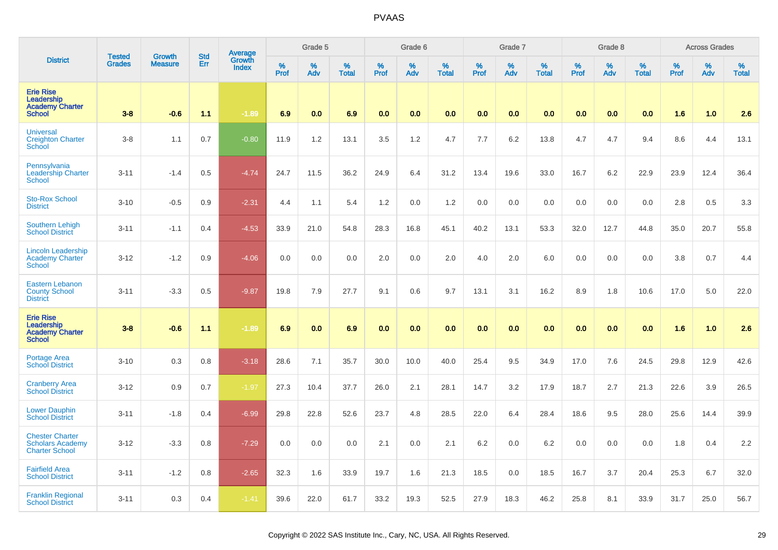|                                                                            | <b>Tested</b> | <b>Growth</b>  | <b>Std</b> | Average<br>Growth |                     | Grade 5  |                   |                  | Grade 6  |                   |                     | Grade 7  |                   |                  | Grade 8  |                   |              | <b>Across Grades</b> |                   |
|----------------------------------------------------------------------------|---------------|----------------|------------|-------------------|---------------------|----------|-------------------|------------------|----------|-------------------|---------------------|----------|-------------------|------------------|----------|-------------------|--------------|----------------------|-------------------|
| <b>District</b>                                                            | <b>Grades</b> | <b>Measure</b> | Err        | <b>Index</b>      | $\%$<br><b>Prof</b> | %<br>Adv | %<br><b>Total</b> | %<br><b>Prof</b> | %<br>Adv | %<br><b>Total</b> | $\%$<br><b>Prof</b> | %<br>Adv | %<br><b>Total</b> | %<br><b>Prof</b> | %<br>Adv | %<br><b>Total</b> | $\%$<br>Prof | %<br>Adv             | %<br><b>Total</b> |
| <b>Erie Rise</b><br>Leadership<br><b>Academy Charter</b><br><b>School</b>  | $3 - 8$       | $-0.6$         | 1.1        | $-1.89$           | 6.9                 | 0.0      | 6.9               | 0.0              | 0.0      | 0.0               | 0.0                 | 0.0      | 0.0               | 0.0              | 0.0      | 0.0               | 1.6          | 1.0                  | 2.6               |
| <b>Universal</b><br><b>Creighton Charter</b><br><b>School</b>              | $3 - 8$       | 1.1            | 0.7        | $-0.80$           | 11.9                | 1.2      | 13.1              | 3.5              | 1.2      | 4.7               | 7.7                 | 6.2      | 13.8              | 4.7              | 4.7      | 9.4               | 8.6          | 4.4                  | 13.1              |
| Pennsylvania<br>Leadership Charter<br>School                               | $3 - 11$      | $-1.4$         | 0.5        | $-4.74$           | 24.7                | 11.5     | 36.2              | 24.9             | 6.4      | 31.2              | 13.4                | 19.6     | 33.0              | 16.7             | 6.2      | 22.9              | 23.9         | 12.4                 | 36.4              |
| <b>Sto-Rox School</b><br><b>District</b>                                   | $3 - 10$      | $-0.5$         | 0.9        | $-2.31$           | 4.4                 | 1.1      | 5.4               | 1.2              | 0.0      | 1.2               | 0.0                 | 0.0      | 0.0               | 0.0              | 0.0      | 0.0               | 2.8          | 0.5                  | 3.3               |
| Southern Lehigh<br><b>School District</b>                                  | $3 - 11$      | $-1.1$         | 0.4        | $-4.53$           | 33.9                | 21.0     | 54.8              | 28.3             | 16.8     | 45.1              | 40.2                | 13.1     | 53.3              | 32.0             | 12.7     | 44.8              | 35.0         | 20.7                 | 55.8              |
| <b>Lincoln Leadership</b><br><b>Academy Charter</b><br><b>School</b>       | $3 - 12$      | $-1.2$         | 0.9        | $-4.06$           | 0.0                 | 0.0      | 0.0               | 2.0              | 0.0      | 2.0               | 4.0                 | 2.0      | 6.0               | 0.0              | 0.0      | 0.0               | 3.8          | 0.7                  | 4.4               |
| <b>Eastern Lebanon</b><br><b>County School</b><br><b>District</b>          | $3 - 11$      | $-3.3$         | 0.5        | $-9.87$           | 19.8                | 7.9      | 27.7              | 9.1              | 0.6      | 9.7               | 13.1                | 3.1      | 16.2              | 8.9              | 1.8      | 10.6              | 17.0         | 5.0                  | 22.0              |
| <b>Erie Rise</b><br>Leadership<br><b>Academy Charter</b><br><b>School</b>  | $3 - 8$       | $-0.6$         | 11         | $-1.89$           | 6.9                 | 0.0      | 6.9               | 0.0              | 0.0      | 0.0               | 0.0                 | 0.0      | 0.0               | 0.0              | 0.0      | 0.0               | 1.6          | 1.0                  | 2.6               |
| <b>Portage Area</b><br><b>School District</b>                              | $3 - 10$      | 0.3            | 0.8        | $-3.18$           | 28.6                | 7.1      | 35.7              | 30.0             | 10.0     | 40.0              | 25.4                | 9.5      | 34.9              | 17.0             | 7.6      | 24.5              | 29.8         | 12.9                 | 42.6              |
| <b>Cranberry Area</b><br><b>School District</b>                            | $3 - 12$      | 0.9            | 0.7        | $-1.97$           | 27.3                | 10.4     | 37.7              | 26.0             | 2.1      | 28.1              | 14.7                | 3.2      | 17.9              | 18.7             | 2.7      | 21.3              | 22.6         | 3.9                  | 26.5              |
| <b>Lower Dauphin</b><br><b>School District</b>                             | $3 - 11$      | $-1.8$         | 0.4        | $-6.99$           | 29.8                | 22.8     | 52.6              | 23.7             | 4.8      | 28.5              | 22.0                | 6.4      | 28.4              | 18.6             | 9.5      | 28.0              | 25.6         | 14.4                 | 39.9              |
| <b>Chester Charter</b><br><b>Scholars Academy</b><br><b>Charter School</b> | $3 - 12$      | $-3.3$         | 0.8        | $-7.29$           | 0.0                 | 0.0      | 0.0               | 2.1              | 0.0      | 2.1               | 6.2                 | 0.0      | 6.2               | 0.0              | 0.0      | 0.0               | 1.8          | 0.4                  | 2.2               |
| <b>Fairfield Area</b><br><b>School District</b>                            | $3 - 11$      | $-1.2$         | 0.8        | $-2.65$           | 32.3                | 1.6      | 33.9              | 19.7             | 1.6      | 21.3              | 18.5                | 0.0      | 18.5              | 16.7             | 3.7      | 20.4              | 25.3         | 6.7                  | 32.0              |
| <b>Franklin Regional</b><br><b>School District</b>                         | $3 - 11$      | 0.3            | 0.4        | $-1.41$           | 39.6                | 22.0     | 61.7              | 33.2             | 19.3     | 52.5              | 27.9                | 18.3     | 46.2              | 25.8             | 8.1      | 33.9              | 31.7         | 25.0                 | 56.7              |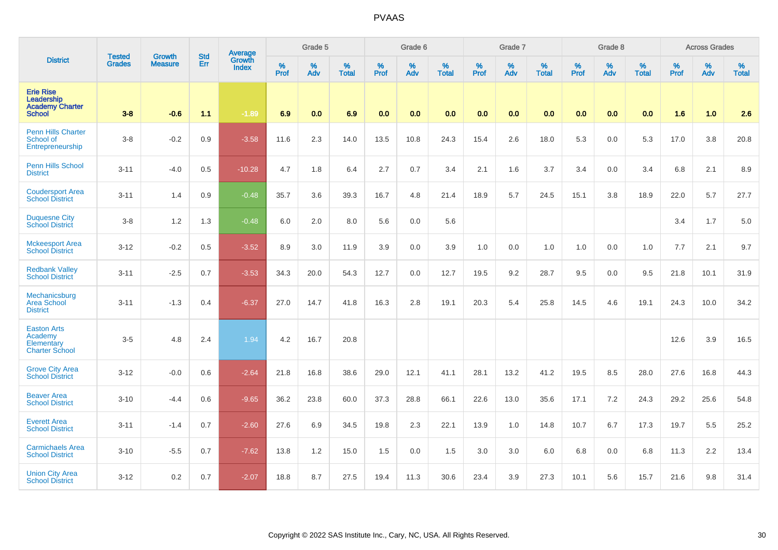|                                                                      |                                |                                 | <b>Std</b> | Average                       |              | Grade 5  |                   |           | Grade 6  |                   |           | Grade 7  |                   |           | Grade 8  |                   |           | <b>Across Grades</b> |                   |
|----------------------------------------------------------------------|--------------------------------|---------------------------------|------------|-------------------------------|--------------|----------|-------------------|-----------|----------|-------------------|-----------|----------|-------------------|-----------|----------|-------------------|-----------|----------------------|-------------------|
| <b>District</b>                                                      | <b>Tested</b><br><b>Grades</b> | <b>Growth</b><br><b>Measure</b> | Err        | <b>Growth</b><br><b>Index</b> | $\%$<br>Prof | %<br>Adv | %<br><b>Total</b> | %<br>Prof | %<br>Adv | %<br><b>Total</b> | %<br>Prof | %<br>Adv | %<br><b>Total</b> | %<br>Prof | %<br>Adv | %<br><b>Total</b> | %<br>Prof | %<br>Adv             | %<br><b>Total</b> |
| <b>Erie Rise</b><br>Leadership<br><b>Academy Charter</b><br>School   | $3-8$                          | $-0.6$                          | 1.1        | $-1.89$                       | 6.9          | 0.0      | 6.9               | 0.0       | 0.0      | 0.0               | 0.0       | 0.0      | 0.0               | 0.0       | 0.0      | 0.0               | 1.6       | 1.0                  | 2.6               |
| <b>Penn Hills Charter</b><br>School of<br>Entrepreneurship           | $3-8$                          | $-0.2$                          | 0.9        | $-3.58$                       | 11.6         | 2.3      | 14.0              | 13.5      | 10.8     | 24.3              | 15.4      | 2.6      | 18.0              | 5.3       | 0.0      | 5.3               | 17.0      | 3.8                  | 20.8              |
| <b>Penn Hills School</b><br><b>District</b>                          | $3 - 11$                       | $-4.0$                          | 0.5        | $-10.28$                      | 4.7          | 1.8      | 6.4               | 2.7       | 0.7      | 3.4               | 2.1       | 1.6      | 3.7               | 3.4       | 0.0      | 3.4               | 6.8       | 2.1                  | 8.9               |
| <b>Coudersport Area</b><br><b>School District</b>                    | $3 - 11$                       | 1.4                             | 0.9        | $-0.48$                       | 35.7         | 3.6      | 39.3              | 16.7      | 4.8      | 21.4              | 18.9      | 5.7      | 24.5              | 15.1      | 3.8      | 18.9              | 22.0      | 5.7                  | 27.7              |
| <b>Duquesne City</b><br><b>School District</b>                       | $3-8$                          | 1.2                             | 1.3        | $-0.48$                       | 6.0          | 2.0      | 8.0               | 5.6       | 0.0      | 5.6               |           |          |                   |           |          |                   | 3.4       | 1.7                  | 5.0               |
| <b>Mckeesport Area</b><br><b>School District</b>                     | $3 - 12$                       | $-0.2$                          | 0.5        | $-3.52$                       | 8.9          | 3.0      | 11.9              | 3.9       | 0.0      | 3.9               | 1.0       | 0.0      | 1.0               | 1.0       | 0.0      | 1.0               | 7.7       | 2.1                  | 9.7               |
| <b>Redbank Valley</b><br><b>School District</b>                      | $3 - 11$                       | $-2.5$                          | 0.7        | $-3.53$                       | 34.3         | 20.0     | 54.3              | 12.7      | 0.0      | 12.7              | 19.5      | 9.2      | 28.7              | 9.5       | 0.0      | 9.5               | 21.8      | 10.1                 | 31.9              |
| Mechanicsburg<br><b>Area School</b><br><b>District</b>               | $3 - 11$                       | $-1.3$                          | 0.4        | $-6.37$                       | 27.0         | 14.7     | 41.8              | 16.3      | 2.8      | 19.1              | 20.3      | 5.4      | 25.8              | 14.5      | 4.6      | 19.1              | 24.3      | 10.0                 | 34.2              |
| <b>Easton Arts</b><br>Academy<br>Elementary<br><b>Charter School</b> | $3-5$                          | 4.8                             | 2.4        | 1.94                          | 4.2          | 16.7     | 20.8              |           |          |                   |           |          |                   |           |          |                   | 12.6      | 3.9                  | 16.5              |
| <b>Grove City Area</b><br><b>School District</b>                     | $3 - 12$                       | $-0.0$                          | 0.6        | $-2.64$                       | 21.8         | 16.8     | 38.6              | 29.0      | 12.1     | 41.1              | 28.1      | 13.2     | 41.2              | 19.5      | 8.5      | 28.0              | 27.6      | 16.8                 | 44.3              |
| <b>Beaver Area</b><br><b>School District</b>                         | $3 - 10$                       | $-4.4$                          | 0.6        | $-9.65$                       | 36.2         | 23.8     | 60.0              | 37.3      | 28.8     | 66.1              | 22.6      | 13.0     | 35.6              | 17.1      | 7.2      | 24.3              | 29.2      | 25.6                 | 54.8              |
| <b>Everett Area</b><br><b>School District</b>                        | $3 - 11$                       | $-1.4$                          | 0.7        | $-2.60$                       | 27.6         | 6.9      | 34.5              | 19.8      | 2.3      | 22.1              | 13.9      | 1.0      | 14.8              | 10.7      | 6.7      | 17.3              | 19.7      | 5.5                  | 25.2              |
| <b>Carmichaels Area</b><br><b>School District</b>                    | $3 - 10$                       | $-5.5$                          | 0.7        | $-7.62$                       | 13.8         | 1.2      | 15.0              | 1.5       | 0.0      | 1.5               | 3.0       | 3.0      | 6.0               | 6.8       | 0.0      | 6.8               | 11.3      | 2.2                  | 13.4              |
| <b>Union City Area</b><br><b>School District</b>                     | $3 - 12$                       | 0.2                             | 0.7        | $-2.07$                       | 18.8         | 8.7      | 27.5              | 19.4      | 11.3     | 30.6              | 23.4      | 3.9      | 27.3              | 10.1      | 5.6      | 15.7              | 21.6      | 9.8                  | 31.4              |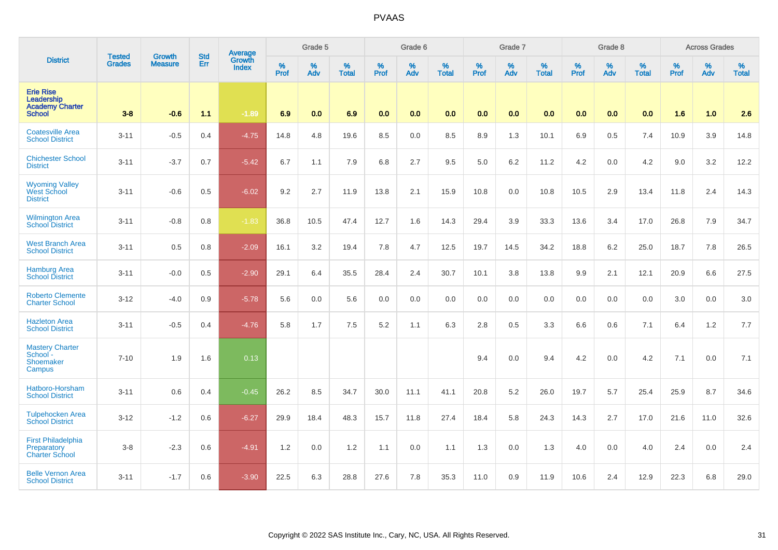|                                                                           | <b>Tested</b> |                                 | <b>Std</b> | Average                       |              | Grade 5  |                   |           | Grade 6  |                   |           | Grade 7  |                   |           | Grade 8  |                   |           | <b>Across Grades</b> |                   |
|---------------------------------------------------------------------------|---------------|---------------------------------|------------|-------------------------------|--------------|----------|-------------------|-----------|----------|-------------------|-----------|----------|-------------------|-----------|----------|-------------------|-----------|----------------------|-------------------|
| <b>District</b>                                                           | <b>Grades</b> | <b>Growth</b><br><b>Measure</b> | Err        | <b>Growth</b><br><b>Index</b> | $\%$<br>Prof | %<br>Adv | %<br><b>Total</b> | %<br>Prof | %<br>Adv | %<br><b>Total</b> | %<br>Prof | %<br>Adv | %<br><b>Total</b> | %<br>Prof | %<br>Adv | %<br><b>Total</b> | %<br>Prof | %<br>Adv             | %<br><b>Total</b> |
| <b>Erie Rise</b><br>Leadership<br><b>Academy Charter</b><br><b>School</b> | $3-8$         | $-0.6$                          | 1.1        | $-1.89$                       | 6.9          | 0.0      | 6.9               | 0.0       | 0.0      | 0.0               | 0.0       | 0.0      | 0.0               | 0.0       | 0.0      | 0.0               | 1.6       | 1.0                  | 2.6               |
| <b>Coatesville Area</b><br><b>School District</b>                         | $3 - 11$      | $-0.5$                          | 0.4        | $-4.75$                       | 14.8         | 4.8      | 19.6              | 8.5       | 0.0      | 8.5               | 8.9       | 1.3      | 10.1              | 6.9       | 0.5      | 7.4               | 10.9      | 3.9                  | 14.8              |
| <b>Chichester School</b><br><b>District</b>                               | $3 - 11$      | $-3.7$                          | 0.7        | $-5.42$                       | 6.7          | 1.1      | 7.9               | 6.8       | 2.7      | 9.5               | 5.0       | 6.2      | 11.2              | 4.2       | 0.0      | 4.2               | 9.0       | 3.2                  | 12.2              |
| Wyoming Valley<br>West School<br><b>District</b>                          | $3 - 11$      | $-0.6$                          | 0.5        | $-6.02$                       | 9.2          | 2.7      | 11.9              | 13.8      | 2.1      | 15.9              | 10.8      | 0.0      | 10.8              | 10.5      | 2.9      | 13.4              | 11.8      | 2.4                  | 14.3              |
| <b>Wilmington Area</b><br><b>School District</b>                          | $3 - 11$      | $-0.8$                          | 0.8        | $-1.83$                       | 36.8         | 10.5     | 47.4              | 12.7      | 1.6      | 14.3              | 29.4      | 3.9      | 33.3              | 13.6      | 3.4      | 17.0              | 26.8      | 7.9                  | 34.7              |
| <b>West Branch Area</b><br><b>School District</b>                         | $3 - 11$      | 0.5                             | 0.8        | $-2.09$                       | 16.1         | 3.2      | 19.4              | 7.8       | 4.7      | 12.5              | 19.7      | 14.5     | 34.2              | 18.8      | 6.2      | 25.0              | 18.7      | 7.8                  | 26.5              |
| <b>Hamburg Area</b><br><b>School District</b>                             | $3 - 11$      | $-0.0$                          | 0.5        | $-2.90$                       | 29.1         | 6.4      | 35.5              | 28.4      | 2.4      | 30.7              | 10.1      | 3.8      | 13.8              | 9.9       | 2.1      | 12.1              | 20.9      | 6.6                  | 27.5              |
| <b>Roberto Clemente</b><br><b>Charter School</b>                          | $3 - 12$      | $-4.0$                          | 0.9        | $-5.78$                       | 5.6          | 0.0      | 5.6               | 0.0       | 0.0      | 0.0               | 0.0       | 0.0      | 0.0               | 0.0       | 0.0      | 0.0               | 3.0       | 0.0                  | 3.0               |
| <b>Hazleton Area</b><br><b>School District</b>                            | $3 - 11$      | $-0.5$                          | 0.4        | $-4.76$                       | 5.8          | 1.7      | 7.5               | 5.2       | 1.1      | 6.3               | 2.8       | 0.5      | 3.3               | 6.6       | 0.6      | 7.1               | 6.4       | 1.2                  | 7.7               |
| <b>Mastery Charter</b><br>School -<br>Shoemaker<br>Campus                 | $7 - 10$      | 1.9                             | 1.6        | 0.13                          |              |          |                   |           |          |                   | 9.4       | 0.0      | 9.4               | 4.2       | 0.0      | 4.2               | 7.1       | 0.0                  | 7.1               |
| Hatboro-Horsham<br><b>School District</b>                                 | $3 - 11$      | 0.6                             | 0.4        | $-0.45$                       | 26.2         | 8.5      | 34.7              | 30.0      | 11.1     | 41.1              | 20.8      | 5.2      | 26.0              | 19.7      | 5.7      | 25.4              | 25.9      | 8.7                  | 34.6              |
| <b>Tulpehocken Area</b><br><b>School District</b>                         | $3 - 12$      | $-1.2$                          | 0.6        | $-6.27$                       | 29.9         | 18.4     | 48.3              | 15.7      | 11.8     | 27.4              | 18.4      | 5.8      | 24.3              | 14.3      | 2.7      | 17.0              | 21.6      | 11.0                 | 32.6              |
| <b>First Philadelphia</b><br>Preparatory<br><b>Charter School</b>         | $3-8$         | $-2.3$                          | 0.6        | $-4.91$                       | 1.2          | 0.0      | 1.2               | 1.1       | 0.0      | 1.1               | 1.3       | 0.0      | 1.3               | 4.0       | 0.0      | 4.0               | 2.4       | 0.0                  | 2.4               |
| <b>Belle Vernon Area</b><br><b>School District</b>                        | $3 - 11$      | $-1.7$                          | 0.6        | $-3.90$                       | 22.5         | 6.3      | 28.8              | 27.6      | 7.8      | 35.3              | 11.0      | 0.9      | 11.9              | 10.6      | 2.4      | 12.9              | 22.3      | 6.8                  | 29.0              |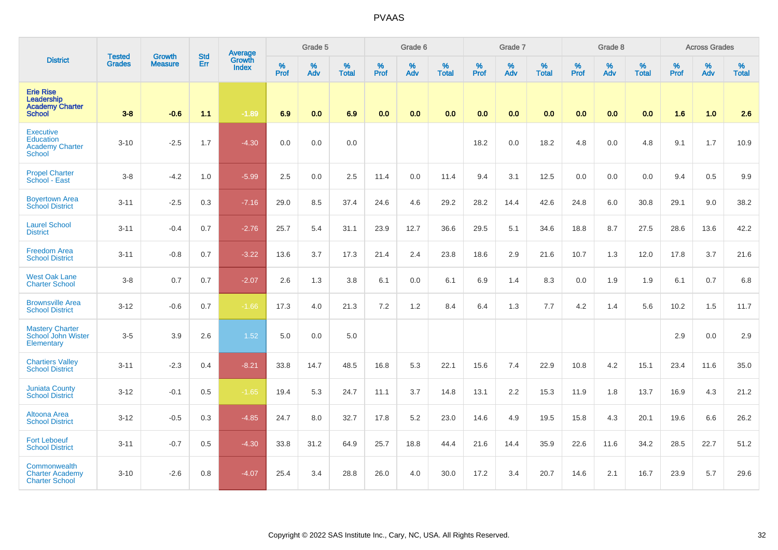|                                                                                 | <b>Tested</b> |                                 | <b>Std</b> | Average                       |              | Grade 5  |                   |           | Grade 6  |                   |           | Grade 7  |                   |           | Grade 8  |                   |           | <b>Across Grades</b> |                   |
|---------------------------------------------------------------------------------|---------------|---------------------------------|------------|-------------------------------|--------------|----------|-------------------|-----------|----------|-------------------|-----------|----------|-------------------|-----------|----------|-------------------|-----------|----------------------|-------------------|
| <b>District</b>                                                                 | <b>Grades</b> | <b>Growth</b><br><b>Measure</b> | Err        | <b>Growth</b><br><b>Index</b> | $\%$<br>Prof | %<br>Adv | %<br><b>Total</b> | %<br>Prof | %<br>Adv | %<br><b>Total</b> | %<br>Prof | %<br>Adv | %<br><b>Total</b> | %<br>Prof | %<br>Adv | %<br><b>Total</b> | %<br>Prof | %<br>Adv             | %<br><b>Total</b> |
| <b>Erie Rise</b><br>Leadership<br><b>Academy Charter</b><br><b>School</b>       | $3-8$         | $-0.6$                          | 1.1        | $-1.89$                       | 6.9          | 0.0      | 6.9               | 0.0       | 0.0      | 0.0               | 0.0       | 0.0      | 0.0               | 0.0       | 0.0      | 0.0               | 1.6       | 1.0                  | 2.6               |
| <b>Executive</b><br><b>Education</b><br><b>Academy Charter</b><br><b>School</b> | $3 - 10$      | $-2.5$                          | 1.7        | $-4.30$                       | 0.0          | 0.0      | 0.0               |           |          |                   | 18.2      | 0.0      | 18.2              | 4.8       | 0.0      | 4.8               | 9.1       | 1.7                  | 10.9              |
| <b>Propel Charter</b><br>School - East                                          | $3 - 8$       | $-4.2$                          | 1.0        | $-5.99$                       | 2.5          | 0.0      | 2.5               | 11.4      | 0.0      | 11.4              | 9.4       | 3.1      | 12.5              | 0.0       | 0.0      | 0.0               | 9.4       | 0.5                  | 9.9               |
| <b>Boyertown Area</b><br><b>School District</b>                                 | $3 - 11$      | $-2.5$                          | 0.3        | $-7.16$                       | 29.0         | 8.5      | 37.4              | 24.6      | 4.6      | 29.2              | 28.2      | 14.4     | 42.6              | 24.8      | 6.0      | 30.8              | 29.1      | 9.0                  | 38.2              |
| <b>Laurel School</b><br><b>District</b>                                         | $3 - 11$      | $-0.4$                          | 0.7        | $-2.76$                       | 25.7         | 5.4      | 31.1              | 23.9      | 12.7     | 36.6              | 29.5      | 5.1      | 34.6              | 18.8      | 8.7      | 27.5              | 28.6      | 13.6                 | 42.2              |
| <b>Freedom Area</b><br><b>School District</b>                                   | $3 - 11$      | $-0.8$                          | 0.7        | $-3.22$                       | 13.6         | 3.7      | 17.3              | 21.4      | 2.4      | 23.8              | 18.6      | 2.9      | 21.6              | 10.7      | 1.3      | 12.0              | 17.8      | 3.7                  | 21.6              |
| <b>West Oak Lane</b><br><b>Charter School</b>                                   | $3-8$         | 0.7                             | 0.7        | $-2.07$                       | 2.6          | 1.3      | 3.8               | 6.1       | 0.0      | 6.1               | 6.9       | 1.4      | 8.3               | 0.0       | 1.9      | 1.9               | 6.1       | 0.7                  | 6.8               |
| <b>Brownsville Area</b><br><b>School District</b>                               | $3 - 12$      | $-0.6$                          | 0.7        | $-1.66$                       | 17.3         | 4.0      | 21.3              | 7.2       | 1.2      | 8.4               | 6.4       | 1.3      | 7.7               | 4.2       | 1.4      | 5.6               | 10.2      | 1.5                  | 11.7              |
| <b>Mastery Charter</b><br>School John Wister<br>Elementary                      | $3-5$         | 3.9                             | 2.6        | 1.52                          | 5.0          | 0.0      | 5.0               |           |          |                   |           |          |                   |           |          |                   | 2.9       | 0.0                  | 2.9               |
| <b>Chartiers Valley</b><br><b>School District</b>                               | $3 - 11$      | $-2.3$                          | 0.4        | $-8.21$                       | 33.8         | 14.7     | 48.5              | 16.8      | 5.3      | 22.1              | 15.6      | 7.4      | 22.9              | 10.8      | 4.2      | 15.1              | 23.4      | 11.6                 | 35.0              |
| <b>Juniata County</b><br><b>School District</b>                                 | $3 - 12$      | $-0.1$                          | 0.5        | $-1.65$                       | 19.4         | 5.3      | 24.7              | 11.1      | 3.7      | 14.8              | 13.1      | 2.2      | 15.3              | 11.9      | 1.8      | 13.7              | 16.9      | 4.3                  | 21.2              |
| <b>Altoona Area</b><br><b>School District</b>                                   | $3 - 12$      | $-0.5$                          | 0.3        | $-4.85$                       | 24.7         | 8.0      | 32.7              | 17.8      | 5.2      | 23.0              | 14.6      | 4.9      | 19.5              | 15.8      | 4.3      | 20.1              | 19.6      | 6.6                  | 26.2              |
| <b>Fort Leboeuf</b><br><b>School District</b>                                   | $3 - 11$      | $-0.7$                          | 0.5        | $-4.30$                       | 33.8         | 31.2     | 64.9              | 25.7      | 18.8     | 44.4              | 21.6      | 14.4     | 35.9              | 22.6      | 11.6     | 34.2              | 28.5      | 22.7                 | 51.2              |
| Commonwealth<br><b>Charter Academy</b><br><b>Charter School</b>                 | $3 - 10$      | $-2.6$                          | 0.8        | $-4.07$                       | 25.4         | 3.4      | 28.8              | 26.0      | 4.0      | 30.0              | 17.2      | 3.4      | 20.7              | 14.6      | 2.1      | 16.7              | 23.9      | 5.7                  | 29.6              |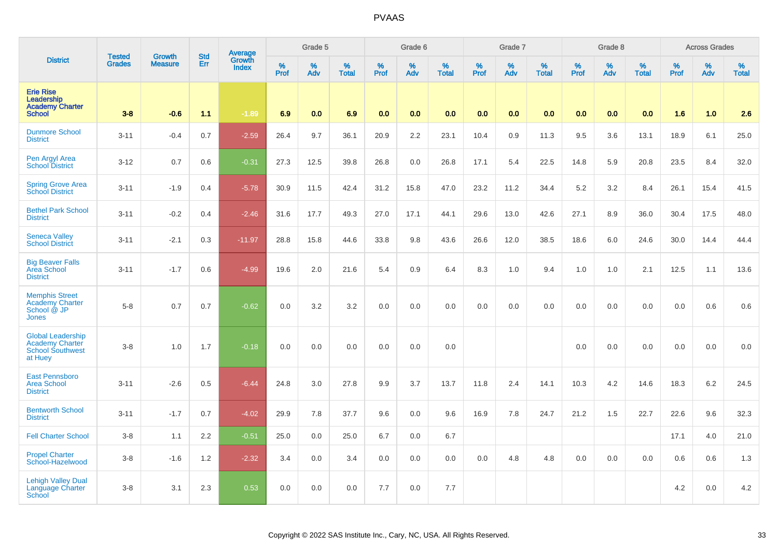|                                                                                          | <b>Tested</b> | <b>Growth</b>  | <b>Std</b> | Average<br>Growth |              | Grade 5  |                   |              | Grade 6  |                   |              | Grade 7  |                   |              | Grade 8  |                   |              | <b>Across Grades</b> |                   |
|------------------------------------------------------------------------------------------|---------------|----------------|------------|-------------------|--------------|----------|-------------------|--------------|----------|-------------------|--------------|----------|-------------------|--------------|----------|-------------------|--------------|----------------------|-------------------|
| <b>District</b>                                                                          | <b>Grades</b> | <b>Measure</b> | Err        | <b>Index</b>      | $\%$<br>Prof | %<br>Adv | %<br><b>Total</b> | $\%$<br>Prof | %<br>Adv | %<br><b>Total</b> | $\%$<br>Prof | %<br>Adv | %<br><b>Total</b> | $\%$<br>Prof | %<br>Adv | %<br><b>Total</b> | $\%$<br>Prof | %<br>Adv             | %<br><b>Total</b> |
| <b>Erie Rise</b><br>Leadership<br><b>Academy Charter</b><br><b>School</b>                | $3 - 8$       | $-0.6$         | 1.1        | $-1.89$           | 6.9          | 0.0      | 6.9               | 0.0          | 0.0      | 0.0               | 0.0          | 0.0      | 0.0               | 0.0          | 0.0      | 0.0               | 1.6          | 1.0                  | 2.6               |
| <b>Dunmore School</b><br><b>District</b>                                                 | $3 - 11$      | $-0.4$         | 0.7        | $-2.59$           | 26.4         | 9.7      | 36.1              | 20.9         | 2.2      | 23.1              | 10.4         | 0.9      | 11.3              | 9.5          | 3.6      | 13.1              | 18.9         | 6.1                  | 25.0              |
| Pen Argyl Area<br>School District                                                        | $3-12$        | 0.7            | 0.6        | $-0.31$           | 27.3         | 12.5     | 39.8              | 26.8         | 0.0      | 26.8              | 17.1         | 5.4      | 22.5              | 14.8         | 5.9      | 20.8              | 23.5         | 8.4                  | 32.0              |
| <b>Spring Grove Area</b><br><b>School District</b>                                       | $3 - 11$      | $-1.9$         | 0.4        | $-5.78$           | 30.9         | 11.5     | 42.4              | 31.2         | 15.8     | 47.0              | 23.2         | 11.2     | 34.4              | 5.2          | 3.2      | 8.4               | 26.1         | 15.4                 | 41.5              |
| <b>Bethel Park School</b><br><b>District</b>                                             | $3 - 11$      | $-0.2$         | 0.4        | $-2.46$           | 31.6         | 17.7     | 49.3              | 27.0         | 17.1     | 44.1              | 29.6         | 13.0     | 42.6              | 27.1         | 8.9      | 36.0              | 30.4         | 17.5                 | 48.0              |
| <b>Seneca Valley</b><br><b>School District</b>                                           | $3 - 11$      | $-2.1$         | 0.3        | $-11.97$          | 28.8         | 15.8     | 44.6              | 33.8         | 9.8      | 43.6              | 26.6         | 12.0     | 38.5              | 18.6         | 6.0      | 24.6              | 30.0         | 14.4                 | 44.4              |
| <b>Big Beaver Falls</b><br>Area School<br><b>District</b>                                | $3 - 11$      | $-1.7$         | 0.6        | $-4.99$           | 19.6         | 2.0      | 21.6              | 5.4          | 0.9      | 6.4               | 8.3          | 1.0      | 9.4               | 1.0          | 1.0      | 2.1               | 12.5         | 1.1                  | 13.6              |
| <b>Memphis Street</b><br><b>Academy Charter</b><br>School @ JP<br><b>Jones</b>           | $5 - 8$       | 0.7            | 0.7        | $-0.62$           | 0.0          | 3.2      | 3.2               | 0.0          | 0.0      | 0.0               | 0.0          | 0.0      | 0.0               | 0.0          | 0.0      | 0.0               | 0.0          | 0.6                  | 0.6               |
| <b>Global Leadership</b><br><b>Academy Charter</b><br><b>School Southwest</b><br>at Huey | $3 - 8$       | 1.0            | 1.7        | $-0.18$           | 0.0          | 0.0      | 0.0               | 0.0          | 0.0      | 0.0               |              |          |                   | 0.0          | 0.0      | 0.0               | 0.0          | 0.0                  | 0.0               |
| <b>East Pennsboro</b><br><b>Area School</b><br><b>District</b>                           | $3 - 11$      | $-2.6$         | 0.5        | $-6.44$           | 24.8         | 3.0      | 27.8              | 9.9          | 3.7      | 13.7              | 11.8         | 2.4      | 14.1              | 10.3         | 4.2      | 14.6              | 18.3         | 6.2                  | 24.5              |
| <b>Bentworth School</b><br><b>District</b>                                               | $3 - 11$      | $-1.7$         | 0.7        | $-4.02$           | 29.9         | 7.8      | 37.7              | 9.6          | 0.0      | 9.6               | 16.9         | 7.8      | 24.7              | 21.2         | 1.5      | 22.7              | 22.6         | 9.6                  | 32.3              |
| <b>Fell Charter School</b>                                                               | $3-8$         | 1.1            | 2.2        | $-0.51$           | 25.0         | 0.0      | 25.0              | 6.7          | 0.0      | 6.7               |              |          |                   |              |          |                   | 17.1         | 4.0                  | 21.0              |
| <b>Propel Charter</b><br>School-Hazelwood                                                | $3-8$         | $-1.6$         | 1.2        | $-2.32$           | 3.4          | 0.0      | 3.4               | 0.0          | 0.0      | 0.0               | 0.0          | 4.8      | 4.8               | 0.0          | 0.0      | 0.0               | 0.6          | 0.6                  | 1.3               |
| <b>Lehigh Valley Dual</b><br>Language Charter<br>School                                  | $3 - 8$       | 3.1            | 2.3        | 0.53              | 0.0          | 0.0      | 0.0               | 7.7          | 0.0      | 7.7               |              |          |                   |              |          |                   | 4.2          | 0.0                  | 4.2               |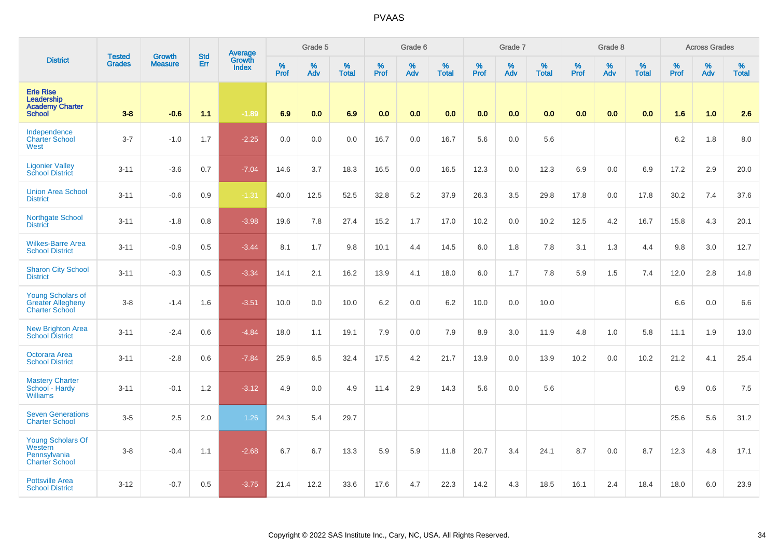|                                                                               | <b>Tested</b> | <b>Growth</b>  | <b>Std</b> |                                          |              | Grade 5  |                   |              | Grade 6  |                   |              | Grade 7  |                      |              | Grade 8  |                   |              | <b>Across Grades</b> |                   |
|-------------------------------------------------------------------------------|---------------|----------------|------------|------------------------------------------|--------------|----------|-------------------|--------------|----------|-------------------|--------------|----------|----------------------|--------------|----------|-------------------|--------------|----------------------|-------------------|
| <b>District</b>                                                               | <b>Grades</b> | <b>Measure</b> | Err        | <b>Average</b><br>Growth<br><b>Index</b> | $\%$<br>Prof | %<br>Adv | %<br><b>Total</b> | $\%$<br>Prof | %<br>Adv | %<br><b>Total</b> | $\%$<br>Prof | %<br>Adv | $\%$<br><b>Total</b> | $\%$<br>Prof | %<br>Adv | %<br><b>Total</b> | $\%$<br>Prof | $\%$<br>Adv          | %<br><b>Total</b> |
| <b>Erie Rise</b><br>Leadership<br><b>Academy Charter</b><br><b>School</b>     | $3 - 8$       | $-0.6$         | 1.1        | $-1.89$                                  | 6.9          | 0.0      | 6.9               | 0.0          | 0.0      | 0.0               | 0.0          | 0.0      | 0.0                  | 0.0          | 0.0      | 0.0               | 1.6          | 1.0                  | 2.6               |
| Independence<br><b>Charter School</b><br>West                                 | $3 - 7$       | $-1.0$         | 1.7        | $-2.25$                                  | 0.0          | 0.0      | 0.0               | 16.7         | 0.0      | 16.7              | 5.6          | 0.0      | 5.6                  |              |          |                   | 6.2          | 1.8                  | 8.0               |
| <b>Ligonier Valley</b><br><b>School District</b>                              | $3 - 11$      | $-3.6$         | 0.7        | $-7.04$                                  | 14.6         | 3.7      | 18.3              | 16.5         | 0.0      | 16.5              | 12.3         | 0.0      | 12.3                 | 6.9          | 0.0      | 6.9               | 17.2         | 2.9                  | 20.0              |
| <b>Union Area School</b><br><b>District</b>                                   | $3 - 11$      | $-0.6$         | 0.9        | $-1.31$                                  | 40.0         | 12.5     | 52.5              | 32.8         | 5.2      | 37.9              | 26.3         | 3.5      | 29.8                 | 17.8         | 0.0      | 17.8              | 30.2         | 7.4                  | 37.6              |
| <b>Northgate School</b><br><b>District</b>                                    | $3 - 11$      | $-1.8$         | 0.8        | $-3.98$                                  | 19.6         | 7.8      | 27.4              | 15.2         | 1.7      | 17.0              | 10.2         | 0.0      | 10.2                 | 12.5         | 4.2      | 16.7              | 15.8         | 4.3                  | 20.1              |
| <b>Wilkes-Barre Area</b><br><b>School District</b>                            | $3 - 11$      | $-0.9$         | 0.5        | $-3.44$                                  | 8.1          | 1.7      | 9.8               | 10.1         | 4.4      | 14.5              | 6.0          | 1.8      | 7.8                  | 3.1          | 1.3      | 4.4               | 9.8          | 3.0                  | 12.7              |
| <b>Sharon City School</b><br><b>District</b>                                  | $3 - 11$      | $-0.3$         | 0.5        | $-3.34$                                  | 14.1         | 2.1      | 16.2              | 13.9         | 4.1      | 18.0              | 6.0          | 1.7      | 7.8                  | 5.9          | 1.5      | 7.4               | 12.0         | 2.8                  | 14.8              |
| <b>Young Scholars of</b><br><b>Greater Allegheny</b><br><b>Charter School</b> | $3-8$         | $-1.4$         | 1.6        | $-3.51$                                  | 10.0         | 0.0      | 10.0              | 6.2          | 0.0      | 6.2               | 10.0         | 0.0      | 10.0                 |              |          |                   | 6.6          | 0.0                  | 6.6               |
| <b>New Brighton Area</b><br><b>School District</b>                            | $3 - 11$      | $-2.4$         | 0.6        | $-4.84$                                  | 18.0         | 1.1      | 19.1              | 7.9          | 0.0      | 7.9               | 8.9          | 3.0      | 11.9                 | 4.8          | 1.0      | 5.8               | 11.1         | 1.9                  | 13.0              |
| Octorara Area<br><b>School District</b>                                       | $3 - 11$      | $-2.8$         | 0.6        | $-7.84$                                  | 25.9         | 6.5      | 32.4              | 17.5         | 4.2      | 21.7              | 13.9         | 0.0      | 13.9                 | 10.2         | 0.0      | 10.2              | 21.2         | 4.1                  | 25.4              |
| <b>Mastery Charter</b><br>School - Hardy<br><b>Williams</b>                   | $3 - 11$      | $-0.1$         | 1.2        | $-3.12$                                  | 4.9          | 0.0      | 4.9               | 11.4         | 2.9      | 14.3              | 5.6          | 0.0      | 5.6                  |              |          |                   | 6.9          | 0.6                  | 7.5               |
| <b>Seven Generations</b><br><b>Charter School</b>                             | $3-5$         | 2.5            | 2.0        | 1.26                                     | 24.3         | 5.4      | 29.7              |              |          |                   |              |          |                      |              |          |                   | 25.6         | 5.6                  | 31.2              |
| Young Scholars Of<br>Western<br>Pennsylvania<br><b>Charter School</b>         | $3-8$         | $-0.4$         | 1.1        | $-2.68$                                  | 6.7          | 6.7      | 13.3              | 5.9          | 5.9      | 11.8              | 20.7         | 3.4      | 24.1                 | 8.7          | 0.0      | 8.7               | 12.3         | 4.8                  | 17.1              |
| <b>Pottsville Area</b><br><b>School District</b>                              | $3 - 12$      | $-0.7$         | 0.5        | $-3.75$                                  | 21.4         | 12.2     | 33.6              | 17.6         | 4.7      | 22.3              | 14.2         | 4.3      | 18.5                 | 16.1         | 2.4      | 18.4              | 18.0         | 6.0                  | 23.9              |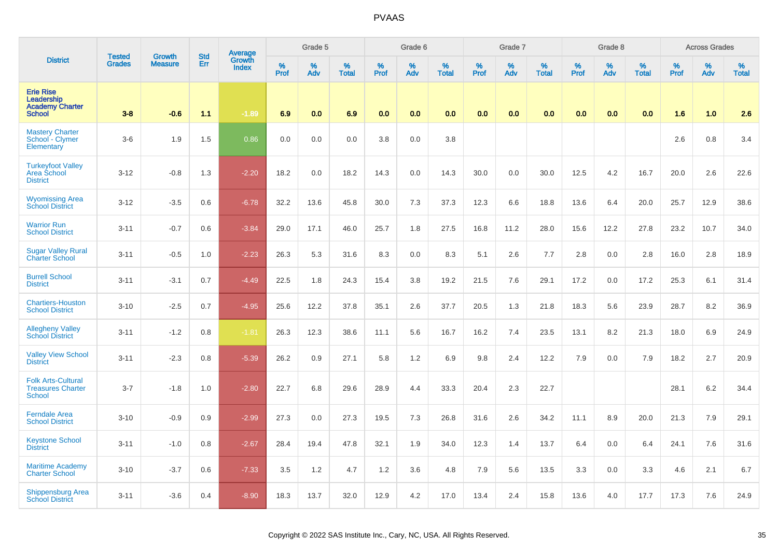|                                                                           | <b>Tested</b> | Growth         | <b>Std</b> | <b>Average</b>         |                     | Grade 5     |                   |                  | Grade 6  |                   |                  | Grade 7  |                   |           | Grade 8  |                   |           | <b>Across Grades</b> |                   |
|---------------------------------------------------------------------------|---------------|----------------|------------|------------------------|---------------------|-------------|-------------------|------------------|----------|-------------------|------------------|----------|-------------------|-----------|----------|-------------------|-----------|----------------------|-------------------|
| <b>District</b>                                                           | <b>Grades</b> | <b>Measure</b> | Err        | Growth<br><b>Index</b> | $\%$<br><b>Prof</b> | $\%$<br>Adv | %<br><b>Total</b> | %<br><b>Prof</b> | %<br>Adv | %<br><b>Total</b> | %<br><b>Prof</b> | %<br>Adv | %<br><b>Total</b> | %<br>Prof | %<br>Adv | %<br><b>Total</b> | %<br>Prof | $\%$<br>Adv          | %<br><b>Total</b> |
| <b>Erie Rise</b><br>Leadership<br><b>Academy Charter</b><br><b>School</b> | $3 - 8$       | $-0.6$         | 1.1        | $-1.89$                | 6.9                 | 0.0         | 6.9               | 0.0              | 0.0      | 0.0               | 0.0              | 0.0      | 0.0               | 0.0       | 0.0      | 0.0               | 1.6       | 1.0                  | 2.6               |
| <b>Mastery Charter</b><br>School - Clymer<br>Elementary                   | $3-6$         | 1.9            | 1.5        | 0.86                   | 0.0                 | 0.0         | 0.0               | 3.8              | 0.0      | 3.8               |                  |          |                   |           |          |                   | 2.6       | 0.8                  | 3.4               |
| <b>Turkeyfoot Valley</b><br>Area School<br><b>District</b>                | $3 - 12$      | $-0.8$         | 1.3        | $-2.20$                | 18.2                | 0.0         | 18.2              | 14.3             | 0.0      | 14.3              | 30.0             | 0.0      | 30.0              | 12.5      | 4.2      | 16.7              | 20.0      | 2.6                  | 22.6              |
| <b>Wyomissing Area</b><br><b>School District</b>                          | $3 - 12$      | $-3.5$         | 0.6        | $-6.78$                | 32.2                | 13.6        | 45.8              | 30.0             | 7.3      | 37.3              | 12.3             | 6.6      | 18.8              | 13.6      | 6.4      | 20.0              | 25.7      | 12.9                 | 38.6              |
| <b>Warrior Run</b><br><b>School District</b>                              | $3 - 11$      | $-0.7$         | 0.6        | $-3.84$                | 29.0                | 17.1        | 46.0              | 25.7             | 1.8      | 27.5              | 16.8             | 11.2     | 28.0              | 15.6      | 12.2     | 27.8              | 23.2      | 10.7                 | 34.0              |
| <b>Sugar Valley Rural</b><br><b>Charter School</b>                        | $3 - 11$      | $-0.5$         | 1.0        | $-2.23$                | 26.3                | 5.3         | 31.6              | 8.3              | 0.0      | 8.3               | 5.1              | 2.6      | 7.7               | 2.8       | 0.0      | 2.8               | 16.0      | 2.8                  | 18.9              |
| <b>Burrell School</b><br><b>District</b>                                  | $3 - 11$      | $-3.1$         | 0.7        | $-4.49$                | 22.5                | 1.8         | 24.3              | 15.4             | 3.8      | 19.2              | 21.5             | 7.6      | 29.1              | 17.2      | 0.0      | 17.2              | 25.3      | 6.1                  | 31.4              |
| <b>Chartiers-Houston</b><br><b>School District</b>                        | $3 - 10$      | $-2.5$         | 0.7        | $-4.95$                | 25.6                | 12.2        | 37.8              | 35.1             | 2.6      | 37.7              | 20.5             | 1.3      | 21.8              | 18.3      | 5.6      | 23.9              | 28.7      | 8.2                  | 36.9              |
| <b>Allegheny Valley</b><br><b>School District</b>                         | $3 - 11$      | $-1.2$         | 0.8        | $-1.81$                | 26.3                | 12.3        | 38.6              | 11.1             | 5.6      | 16.7              | 16.2             | 7.4      | 23.5              | 13.1      | 8.2      | 21.3              | 18.0      | 6.9                  | 24.9              |
| <b>Valley View School</b><br><b>District</b>                              | $3 - 11$      | $-2.3$         | 0.8        | $-5.39$                | 26.2                | 0.9         | 27.1              | 5.8              | 1.2      | 6.9               | 9.8              | 2.4      | 12.2              | 7.9       | 0.0      | 7.9               | 18.2      | 2.7                  | 20.9              |
| <b>Folk Arts-Cultural</b><br><b>Treasures Charter</b><br><b>School</b>    | $3 - 7$       | $-1.8$         | 1.0        | $-2.80$                | 22.7                | 6.8         | 29.6              | 28.9             | 4.4      | 33.3              | 20.4             | 2.3      | 22.7              |           |          |                   | 28.1      | $6.2\,$              | 34.4              |
| <b>Ferndale Area</b><br><b>School District</b>                            | $3 - 10$      | $-0.9$         | 0.9        | $-2.99$                | 27.3                | 0.0         | 27.3              | 19.5             | 7.3      | 26.8              | 31.6             | 2.6      | 34.2              | 11.1      | 8.9      | 20.0              | 21.3      | 7.9                  | 29.1              |
| <b>Keystone School</b><br><b>District</b>                                 | $3 - 11$      | $-1.0$         | 0.8        | $-2.67$                | 28.4                | 19.4        | 47.8              | 32.1             | 1.9      | 34.0              | 12.3             | 1.4      | 13.7              | 6.4       | 0.0      | 6.4               | 24.1      | 7.6                  | 31.6              |
| <b>Maritime Academy</b><br><b>Charter School</b>                          | $3 - 10$      | $-3.7$         | 0.6        | $-7.33$                | 3.5                 | 1.2         | 4.7               | 1.2              | 3.6      | 4.8               | 7.9              | 5.6      | 13.5              | 3.3       | 0.0      | 3.3               | 4.6       | 2.1                  | 6.7               |
| <b>Shippensburg Area</b><br><b>School District</b>                        | $3 - 11$      | $-3.6$         | 0.4        | $-8.90$                | 18.3                | 13.7        | 32.0              | 12.9             | 4.2      | 17.0              | 13.4             | 2.4      | 15.8              | 13.6      | 4.0      | 17.7              | 17.3      | 7.6                  | 24.9              |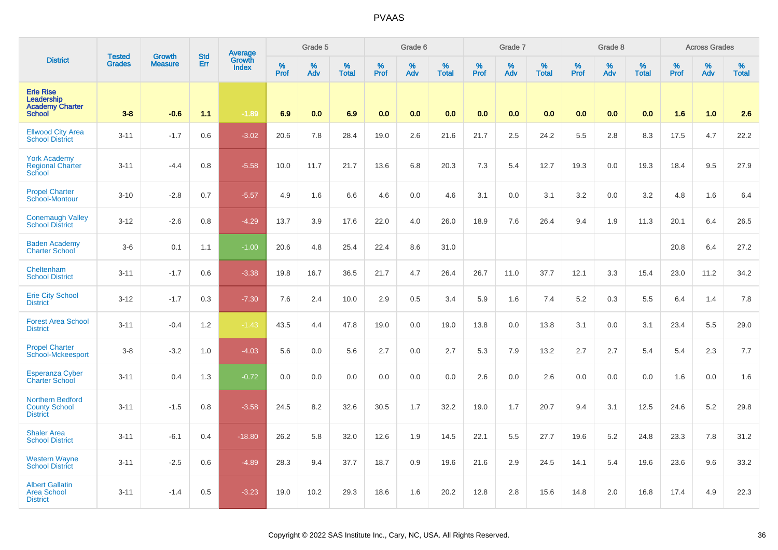|                                                                           | <b>Tested</b> | Growth         | <b>Std</b> | <b>Average</b>         |                     | Grade 5  |                   |                  | Grade 6  |                   |                  | Grade 7  |                   |           | Grade 8  |                   |           | <b>Across Grades</b> |                   |
|---------------------------------------------------------------------------|---------------|----------------|------------|------------------------|---------------------|----------|-------------------|------------------|----------|-------------------|------------------|----------|-------------------|-----------|----------|-------------------|-----------|----------------------|-------------------|
| <b>District</b>                                                           | <b>Grades</b> | <b>Measure</b> | Err        | Growth<br><b>Index</b> | $\%$<br><b>Prof</b> | %<br>Adv | %<br><b>Total</b> | %<br><b>Prof</b> | %<br>Adv | %<br><b>Total</b> | %<br><b>Prof</b> | %<br>Adv | %<br><b>Total</b> | %<br>Prof | %<br>Adv | %<br><b>Total</b> | %<br>Prof | $\%$<br>Adv          | %<br><b>Total</b> |
| <b>Erie Rise</b><br>Leadership<br><b>Academy Charter</b><br><b>School</b> | $3-8$         | $-0.6$         | 1.1        | $-1.89$                | 6.9                 | 0.0      | 6.9               | 0.0              | 0.0      | 0.0               | 0.0              | 0.0      | 0.0               | 0.0       | 0.0      | 0.0               | 1.6       | 1.0                  | 2.6               |
| <b>Ellwood City Area</b><br><b>School District</b>                        | $3 - 11$      | $-1.7$         | 0.6        | $-3.02$                | 20.6                | 7.8      | 28.4              | 19.0             | 2.6      | 21.6              | 21.7             | 2.5      | 24.2              | 5.5       | 2.8      | 8.3               | 17.5      | 4.7                  | 22.2              |
| <b>York Academy</b><br><b>Regional Charter</b><br>School                  | $3 - 11$      | $-4.4$         | 0.8        | $-5.58$                | 10.0                | 11.7     | 21.7              | 13.6             | 6.8      | 20.3              | 7.3              | 5.4      | 12.7              | 19.3      | 0.0      | 19.3              | 18.4      | 9.5                  | 27.9              |
| <b>Propel Charter</b><br>School-Montour                                   | $3 - 10$      | $-2.8$         | 0.7        | $-5.57$                | 4.9                 | 1.6      | 6.6               | 4.6              | 0.0      | 4.6               | 3.1              | 0.0      | 3.1               | 3.2       | 0.0      | 3.2               | 4.8       | 1.6                  | 6.4               |
| <b>Conemaugh Valley</b><br><b>School District</b>                         | $3 - 12$      | $-2.6$         | 0.8        | $-4.29$                | 13.7                | 3.9      | 17.6              | 22.0             | 4.0      | 26.0              | 18.9             | 7.6      | 26.4              | 9.4       | 1.9      | 11.3              | 20.1      | 6.4                  | 26.5              |
| <b>Baden Academy</b><br><b>Charter School</b>                             | $3-6$         | 0.1            | 1.1        | $-1.00$                | 20.6                | 4.8      | 25.4              | 22.4             | 8.6      | 31.0              |                  |          |                   |           |          |                   | 20.8      | 6.4                  | 27.2              |
| Cheltenham<br><b>School District</b>                                      | $3 - 11$      | $-1.7$         | 0.6        | $-3.38$                | 19.8                | 16.7     | 36.5              | 21.7             | 4.7      | 26.4              | 26.7             | 11.0     | 37.7              | 12.1      | 3.3      | 15.4              | 23.0      | 11.2                 | 34.2              |
| <b>Erie City School</b><br><b>District</b>                                | $3 - 12$      | $-1.7$         | 0.3        | $-7.30$                | 7.6                 | 2.4      | 10.0              | 2.9              | 0.5      | 3.4               | 5.9              | 1.6      | 7.4               | 5.2       | 0.3      | 5.5               | 6.4       | 1.4                  | 7.8               |
| <b>Forest Area School</b><br><b>District</b>                              | $3 - 11$      | $-0.4$         | 1.2        | $-1.43$                | 43.5                | 4.4      | 47.8              | 19.0             | 0.0      | 19.0              | 13.8             | 0.0      | 13.8              | 3.1       | 0.0      | 3.1               | 23.4      | 5.5                  | 29.0              |
| <b>Propel Charter</b><br>School-Mckeesport                                | $3-8$         | $-3.2$         | 1.0        | $-4.03$                | 5.6                 | 0.0      | 5.6               | 2.7              | 0.0      | 2.7               | 5.3              | 7.9      | 13.2              | 2.7       | 2.7      | 5.4               | 5.4       | 2.3                  | 7.7               |
| <b>Esperanza Cyber</b><br><b>Charter School</b>                           | $3 - 11$      | 0.4            | 1.3        | $-0.72$                | 0.0                 | 0.0      | 0.0               | 0.0              | 0.0      | 0.0               | 2.6              | 0.0      | 2.6               | 0.0       | 0.0      | 0.0               | 1.6       | 0.0                  | 1.6               |
| Northern Bedford<br><b>County School</b><br><b>District</b>               | $3 - 11$      | $-1.5$         | 0.8        | $-3.58$                | 24.5                | 8.2      | 32.6              | 30.5             | 1.7      | 32.2              | 19.0             | 1.7      | 20.7              | 9.4       | 3.1      | 12.5              | 24.6      | 5.2                  | 29.8              |
| <b>Shaler Area</b><br><b>School District</b>                              | $3 - 11$      | $-6.1$         | 0.4        | $-18.80$               | 26.2                | 5.8      | 32.0              | 12.6             | 1.9      | 14.5              | 22.1             | 5.5      | 27.7              | 19.6      | 5.2      | 24.8              | 23.3      | 7.8                  | 31.2              |
| <b>Western Wayne</b><br><b>School District</b>                            | $3 - 11$      | $-2.5$         | 0.6        | $-4.89$                | 28.3                | 9.4      | 37.7              | 18.7             | 0.9      | 19.6              | 21.6             | 2.9      | 24.5              | 14.1      | 5.4      | 19.6              | 23.6      | 9.6                  | 33.2              |
| <b>Albert Gallatin</b><br><b>Area School</b><br><b>District</b>           | $3 - 11$      | $-1.4$         | 0.5        | $-3.23$                | 19.0                | 10.2     | 29.3              | 18.6             | 1.6      | 20.2              | 12.8             | 2.8      | 15.6              | 14.8      | 2.0      | 16.8              | 17.4      | 4.9                  | 22.3              |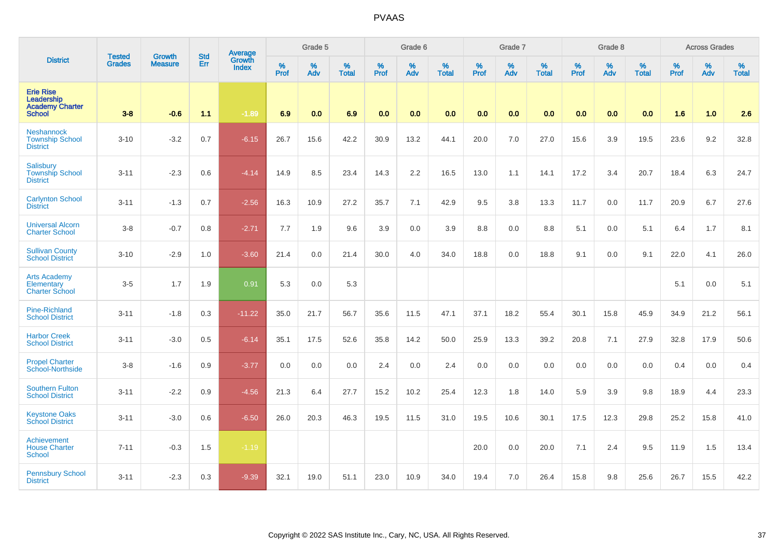|                                                                           | <b>Tested</b> |                                 | <b>Std</b> | Average                       |              | Grade 5  |                   |           | Grade 6  |                   |           | Grade 7  |                   |           | Grade 8  |                   |           | <b>Across Grades</b> |                   |
|---------------------------------------------------------------------------|---------------|---------------------------------|------------|-------------------------------|--------------|----------|-------------------|-----------|----------|-------------------|-----------|----------|-------------------|-----------|----------|-------------------|-----------|----------------------|-------------------|
| <b>District</b>                                                           | <b>Grades</b> | <b>Growth</b><br><b>Measure</b> | Err        | <b>Growth</b><br><b>Index</b> | $\%$<br>Prof | %<br>Adv | %<br><b>Total</b> | %<br>Prof | %<br>Adv | %<br><b>Total</b> | %<br>Prof | %<br>Adv | %<br><b>Total</b> | %<br>Prof | %<br>Adv | %<br><b>Total</b> | %<br>Prof | %<br>Adv             | %<br><b>Total</b> |
| <b>Erie Rise</b><br>Leadership<br><b>Academy Charter</b><br><b>School</b> | $3-8$         | $-0.6$                          | 1.1        | $-1.89$                       | 6.9          | 0.0      | 6.9               | 0.0       | 0.0      | 0.0               | 0.0       | 0.0      | 0.0               | 0.0       | 0.0      | 0.0               | 1.6       | 1.0                  | 2.6               |
| <b>Neshannock</b><br><b>Township School</b><br><b>District</b>            | $3 - 10$      | $-3.2$                          | 0.7        | $-6.15$                       | 26.7         | 15.6     | 42.2              | 30.9      | 13.2     | 44.1              | 20.0      | 7.0      | 27.0              | 15.6      | 3.9      | 19.5              | 23.6      | 9.2                  | 32.8              |
| Salisbury<br><b>Township School</b><br><b>District</b>                    | $3 - 11$      | $-2.3$                          | 0.6        | $-4.14$                       | 14.9         | 8.5      | 23.4              | 14.3      | 2.2      | 16.5              | 13.0      | 1.1      | 14.1              | 17.2      | 3.4      | 20.7              | 18.4      | 6.3                  | 24.7              |
| <b>Carlynton School</b><br><b>District</b>                                | $3 - 11$      | $-1.3$                          | 0.7        | $-2.56$                       | 16.3         | 10.9     | 27.2              | 35.7      | 7.1      | 42.9              | 9.5       | 3.8      | 13.3              | 11.7      | 0.0      | 11.7              | 20.9      | 6.7                  | 27.6              |
| <b>Universal Alcorn</b><br><b>Charter School</b>                          | $3 - 8$       | $-0.7$                          | 0.8        | $-2.71$                       | 7.7          | 1.9      | 9.6               | 3.9       | 0.0      | 3.9               | 8.8       | 0.0      | 8.8               | 5.1       | 0.0      | 5.1               | 6.4       | 1.7                  | 8.1               |
| <b>Sullivan County</b><br><b>School District</b>                          | $3 - 10$      | $-2.9$                          | 1.0        | $-3.60$                       | 21.4         | 0.0      | 21.4              | 30.0      | 4.0      | 34.0              | 18.8      | 0.0      | 18.8              | 9.1       | 0.0      | 9.1               | 22.0      | 4.1                  | 26.0              |
| <b>Arts Academy</b><br>Elementary<br><b>Charter School</b>                | $3-5$         | 1.7                             | 1.9        | 0.91                          | 5.3          | 0.0      | 5.3               |           |          |                   |           |          |                   |           |          |                   | 5.1       | 0.0                  | 5.1               |
| <b>Pine-Richland</b><br><b>School District</b>                            | $3 - 11$      | $-1.8$                          | 0.3        | $-11.22$                      | 35.0         | 21.7     | 56.7              | 35.6      | 11.5     | 47.1              | 37.1      | 18.2     | 55.4              | 30.1      | 15.8     | 45.9              | 34.9      | 21.2                 | 56.1              |
| <b>Harbor Creek</b><br><b>School District</b>                             | $3 - 11$      | $-3.0$                          | 0.5        | $-6.14$                       | 35.1         | 17.5     | 52.6              | 35.8      | 14.2     | 50.0              | 25.9      | 13.3     | 39.2              | 20.8      | 7.1      | 27.9              | 32.8      | 17.9                 | 50.6              |
| <b>Propel Charter</b><br>School-Northside                                 | $3-8$         | $-1.6$                          | 0.9        | $-3.77$                       | 0.0          | 0.0      | 0.0               | 2.4       | 0.0      | 2.4               | 0.0       | 0.0      | 0.0               | 0.0       | 0.0      | 0.0               | 0.4       | 0.0                  | 0.4               |
| <b>Southern Fulton</b><br><b>School District</b>                          | $3 - 11$      | $-2.2$                          | 0.9        | $-4.56$                       | 21.3         | 6.4      | 27.7              | 15.2      | 10.2     | 25.4              | 12.3      | 1.8      | 14.0              | 5.9       | 3.9      | 9.8               | 18.9      | 4.4                  | 23.3              |
| <b>Keystone Oaks</b><br><b>School District</b>                            | $3 - 11$      | $-3.0$                          | 0.6        | $-6.50$                       | 26.0         | 20.3     | 46.3              | 19.5      | 11.5     | 31.0              | 19.5      | 10.6     | 30.1              | 17.5      | 12.3     | 29.8              | 25.2      | 15.8                 | 41.0              |
| <b>Achievement</b><br><b>House Charter</b><br><b>School</b>               | $7 - 11$      | $-0.3$                          | 1.5        | $-1.19$                       |              |          |                   |           |          |                   | 20.0      | 0.0      | 20.0              | 7.1       | 2.4      | 9.5               | 11.9      | 1.5                  | 13.4              |
| <b>Pennsbury School</b><br><b>District</b>                                | $3 - 11$      | $-2.3$                          | 0.3        | $-9.39$                       | 32.1         | 19.0     | 51.1              | 23.0      | 10.9     | 34.0              | 19.4      | 7.0      | 26.4              | 15.8      | 9.8      | 25.6              | 26.7      | 15.5                 | 42.2              |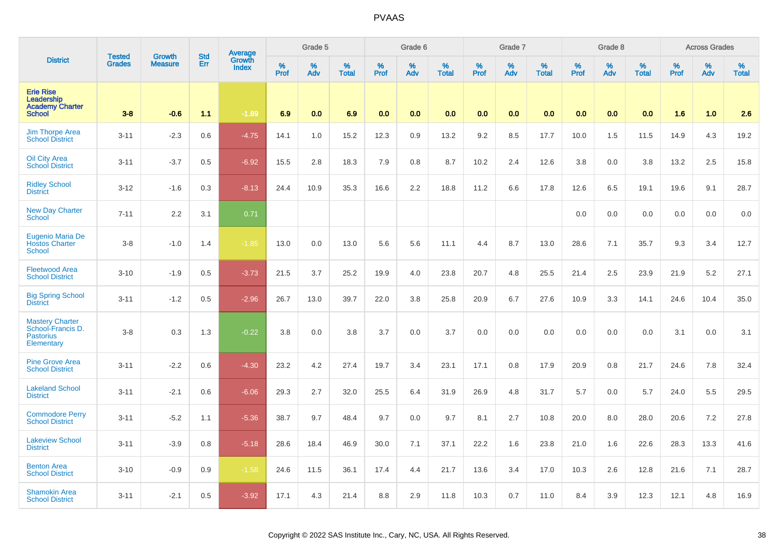|                                                                               | <b>Tested</b> | <b>Growth</b>  | <b>Std</b> |                                          |              | Grade 5  |                   |           | Grade 6  |                   |           | Grade 7  |                   |           | Grade 8  |                      |           | <b>Across Grades</b> |                   |
|-------------------------------------------------------------------------------|---------------|----------------|------------|------------------------------------------|--------------|----------|-------------------|-----------|----------|-------------------|-----------|----------|-------------------|-----------|----------|----------------------|-----------|----------------------|-------------------|
| <b>District</b>                                                               | <b>Grades</b> | <b>Measure</b> | Err        | <b>Average</b><br>Growth<br><b>Index</b> | $\%$<br>Prof | %<br>Adv | %<br><b>Total</b> | %<br>Prof | %<br>Adv | %<br><b>Total</b> | %<br>Prof | %<br>Adv | %<br><b>Total</b> | %<br>Prof | %<br>Adv | $\%$<br><b>Total</b> | %<br>Prof | %<br>Adv             | %<br><b>Total</b> |
| <b>Erie Rise</b><br>Leadership<br><b>Academy Charter</b><br><b>School</b>     | $3 - 8$       | $-0.6$         | 1.1        | $-1.89$                                  | 6.9          | 0.0      | 6.9               | 0.0       | 0.0      | 0.0               | 0.0       | 0.0      | 0.0               | 0.0       | 0.0      | 0.0                  | 1.6       | 1.0                  | 2.6               |
| <b>Jim Thorpe Area</b><br><b>School District</b>                              | $3 - 11$      | $-2.3$         | 0.6        | $-4.75$                                  | 14.1         | 1.0      | 15.2              | 12.3      | 0.9      | 13.2              | 9.2       | 8.5      | 17.7              | 10.0      | 1.5      | 11.5                 | 14.9      | 4.3                  | 19.2              |
| Oil City Area<br><b>School District</b>                                       | $3 - 11$      | $-3.7$         | 0.5        | $-6.92$                                  | 15.5         | 2.8      | 18.3              | 7.9       | 0.8      | 8.7               | 10.2      | 2.4      | 12.6              | 3.8       | 0.0      | 3.8                  | 13.2      | 2.5                  | 15.8              |
| <b>Ridley School</b><br><b>District</b>                                       | $3 - 12$      | $-1.6$         | 0.3        | $-8.13$                                  | 24.4         | 10.9     | 35.3              | 16.6      | 2.2      | 18.8              | 11.2      | 6.6      | 17.8              | 12.6      | 6.5      | 19.1                 | 19.6      | 9.1                  | 28.7              |
| <b>New Day Charter</b><br><b>School</b>                                       | $7 - 11$      | 2.2            | 3.1        | 0.71                                     |              |          |                   |           |          |                   |           |          |                   | 0.0       | 0.0      | 0.0                  | 0.0       | 0.0                  | 0.0               |
| Eugenio Maria De<br><b>Hostos Charter</b><br><b>School</b>                    | $3 - 8$       | $-1.0$         | 1.4        | $-1.85$                                  | 13.0         | 0.0      | 13.0              | 5.6       | 5.6      | 11.1              | 4.4       | 8.7      | 13.0              | 28.6      | 7.1      | 35.7                 | 9.3       | 3.4                  | 12.7              |
| <b>Fleetwood Area</b><br><b>School District</b>                               | $3 - 10$      | $-1.9$         | 0.5        | $-3.73$                                  | 21.5         | 3.7      | 25.2              | 19.9      | 4.0      | 23.8              | 20.7      | 4.8      | 25.5              | 21.4      | 2.5      | 23.9                 | 21.9      | 5.2                  | 27.1              |
| <b>Big Spring School</b><br><b>District</b>                                   | $3 - 11$      | $-1.2$         | 0.5        | $-2.96$                                  | 26.7         | 13.0     | 39.7              | 22.0      | 3.8      | 25.8              | 20.9      | 6.7      | 27.6              | 10.9      | 3.3      | 14.1                 | 24.6      | 10.4                 | 35.0              |
| <b>Mastery Charter</b><br>School-Francis D.<br><b>Pastorius</b><br>Elementary | $3-8$         | 0.3            | 1.3        | $-0.22$                                  | 3.8          | 0.0      | 3.8               | 3.7       | 0.0      | 3.7               | 0.0       | 0.0      | 0.0               | 0.0       | 0.0      | 0.0                  | 3.1       | 0.0                  | 3.1               |
| <b>Pine Grove Area</b><br><b>School District</b>                              | $3 - 11$      | $-2.2$         | 0.6        | $-4.30$                                  | 23.2         | 4.2      | 27.4              | 19.7      | 3.4      | 23.1              | 17.1      | 0.8      | 17.9              | 20.9      | 0.8      | 21.7                 | 24.6      | 7.8                  | 32.4              |
| <b>Lakeland School</b><br><b>District</b>                                     | $3 - 11$      | $-2.1$         | 0.6        | $-6.06$                                  | 29.3         | 2.7      | 32.0              | 25.5      | 6.4      | 31.9              | 26.9      | 4.8      | 31.7              | 5.7       | 0.0      | 5.7                  | 24.0      | 5.5                  | 29.5              |
| <b>Commodore Perry</b><br><b>School District</b>                              | $3 - 11$      | $-5.2$         | 1.1        | $-5.36$                                  | 38.7         | 9.7      | 48.4              | 9.7       | $0.0\,$  | 9.7               | 8.1       | 2.7      | 10.8              | 20.0      | 8.0      | 28.0                 | 20.6      | 7.2                  | 27.8              |
| <b>Lakeview School</b><br><b>District</b>                                     | $3 - 11$      | $-3.9$         | 0.8        | $-5.18$                                  | 28.6         | 18.4     | 46.9              | 30.0      | 7.1      | 37.1              | 22.2      | 1.6      | 23.8              | 21.0      | 1.6      | 22.6                 | 28.3      | 13.3                 | 41.6              |
| <b>Benton Area</b><br><b>School District</b>                                  | $3 - 10$      | $-0.9$         | 0.9        | $-1.58$                                  | 24.6         | 11.5     | 36.1              | 17.4      | 4.4      | 21.7              | 13.6      | 3.4      | 17.0              | 10.3      | 2.6      | 12.8                 | 21.6      | 7.1                  | 28.7              |
| <b>Shamokin Area</b><br><b>School District</b>                                | $3 - 11$      | $-2.1$         | 0.5        | $-3.92$                                  | 17.1         | 4.3      | 21.4              | 8.8       | 2.9      | 11.8              | 10.3      | 0.7      | 11.0              | 8.4       | 3.9      | 12.3                 | 12.1      | 4.8                  | 16.9              |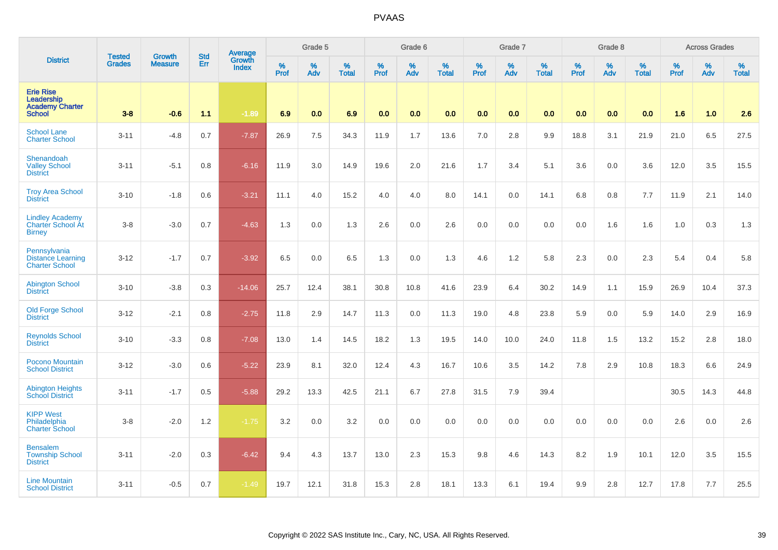|                                                                           | <b>Tested</b> | <b>Growth</b>  | <b>Std</b> | Average                |              | Grade 5     |                      |                  | Grade 6  |                   |                     | Grade 7  |                   |              | Grade 8  |                      |              | <b>Across Grades</b> |                      |
|---------------------------------------------------------------------------|---------------|----------------|------------|------------------------|--------------|-------------|----------------------|------------------|----------|-------------------|---------------------|----------|-------------------|--------------|----------|----------------------|--------------|----------------------|----------------------|
| <b>District</b>                                                           | <b>Grades</b> | <b>Measure</b> | Err        | Growth<br><b>Index</b> | $\%$<br>Prof | $\%$<br>Adv | $\%$<br><b>Total</b> | %<br><b>Prof</b> | %<br>Adv | %<br><b>Total</b> | $\%$<br><b>Prof</b> | %<br>Adv | %<br><b>Total</b> | $\%$<br>Prof | %<br>Adv | $\%$<br><b>Total</b> | $\%$<br>Prof | $\%$<br>Adv          | $\%$<br><b>Total</b> |
| <b>Erie Rise</b><br>Leadership<br><b>Academy Charter</b><br><b>School</b> | $3 - 8$       | $-0.6$         | 1.1        | $-1.89$                | 6.9          | 0.0         | 6.9                  | 0.0              | 0.0      | 0.0               | 0.0                 | 0.0      | 0.0               | 0.0          | 0.0      | 0.0                  | 1.6          | 1.0                  | 2.6                  |
| <b>School Lane</b><br><b>Charter School</b>                               | $3 - 11$      | $-4.8$         | 0.7        | $-7.87$                | 26.9         | 7.5         | 34.3                 | 11.9             | 1.7      | 13.6              | 7.0                 | 2.8      | 9.9               | 18.8         | 3.1      | 21.9                 | 21.0         | 6.5                  | 27.5                 |
| Shenandoah<br><b>Valley School</b><br><b>District</b>                     | $3 - 11$      | $-5.1$         | 0.8        | $-6.16$                | 11.9         | 3.0         | 14.9                 | 19.6             | 2.0      | 21.6              | 1.7                 | 3.4      | 5.1               | 3.6          | 0.0      | 3.6                  | 12.0         | 3.5                  | 15.5                 |
| <b>Troy Area School</b><br><b>District</b>                                | $3 - 10$      | $-1.8$         | 0.6        | $-3.21$                | 11.1         | 4.0         | 15.2                 | 4.0              | 4.0      | 8.0               | 14.1                | 0.0      | 14.1              | 6.8          | 0.8      | 7.7                  | 11.9         | 2.1                  | 14.0                 |
| <b>Lindley Academy</b><br>Charter School At<br><b>Birney</b>              | $3 - 8$       | $-3.0$         | 0.7        | $-4.63$                | 1.3          | 0.0         | 1.3                  | 2.6              | 0.0      | 2.6               | 0.0                 | 0.0      | 0.0               | 0.0          | 1.6      | 1.6                  | 1.0          | 0.3                  | 1.3                  |
| Pennsylvania<br><b>Distance Learning</b><br><b>Charter School</b>         | $3 - 12$      | $-1.7$         | 0.7        | $-3.92$                | 6.5          | 0.0         | 6.5                  | 1.3              | 0.0      | 1.3               | 4.6                 | 1.2      | 5.8               | 2.3          | 0.0      | 2.3                  | 5.4          | 0.4                  | 5.8                  |
| <b>Abington School</b><br><b>District</b>                                 | $3 - 10$      | $-3.8$         | 0.3        | $-14.06$               | 25.7         | 12.4        | 38.1                 | 30.8             | 10.8     | 41.6              | 23.9                | 6.4      | 30.2              | 14.9         | 1.1      | 15.9                 | 26.9         | 10.4                 | 37.3                 |
| Old Forge School<br><b>District</b>                                       | $3 - 12$      | $-2.1$         | 0.8        | $-2.75$                | 11.8         | 2.9         | 14.7                 | 11.3             | 0.0      | 11.3              | 19.0                | 4.8      | 23.8              | 5.9          | 0.0      | 5.9                  | 14.0         | 2.9                  | 16.9                 |
| <b>Reynolds School</b><br><b>District</b>                                 | $3 - 10$      | $-3.3$         | 0.8        | $-7.08$                | 13.0         | 1.4         | 14.5                 | 18.2             | 1.3      | 19.5              | 14.0                | 10.0     | 24.0              | 11.8         | 1.5      | 13.2                 | 15.2         | 2.8                  | 18.0                 |
| Pocono Mountain<br><b>School District</b>                                 | $3 - 12$      | $-3.0$         | 0.6        | $-5.22$                | 23.9         | 8.1         | 32.0                 | 12.4             | 4.3      | 16.7              | 10.6                | 3.5      | 14.2              | 7.8          | 2.9      | 10.8                 | 18.3         | 6.6                  | 24.9                 |
| <b>Abington Heights</b><br><b>School District</b>                         | $3 - 11$      | $-1.7$         | 0.5        | $-5.88$                | 29.2         | 13.3        | 42.5                 | 21.1             | 6.7      | 27.8              | 31.5                | 7.9      | 39.4              |              |          |                      | 30.5         | 14.3                 | 44.8                 |
| <b>KIPP West</b><br>Philadelphia<br><b>Charter School</b>                 | $3 - 8$       | $-2.0$         | 1.2        | $-1.75$                | 3.2          | 0.0         | 3.2                  | 0.0              | 0.0      | 0.0               | 0.0                 | 0.0      | 0.0               | 0.0          | 0.0      | 0.0                  | 2.6          | 0.0                  | 2.6                  |
| <b>Bensalem</b><br><b>Township School</b><br><b>District</b>              | $3 - 11$      | $-2.0$         | 0.3        | $-6.42$                | 9.4          | 4.3         | 13.7                 | 13.0             | 2.3      | 15.3              | 9.8                 | 4.6      | 14.3              | 8.2          | 1.9      | 10.1                 | 12.0         | 3.5                  | 15.5                 |
| <b>Line Mountain</b><br><b>School District</b>                            | $3 - 11$      | $-0.5$         | 0.7        | $-1.49$                | 19.7         | 12.1        | 31.8                 | 15.3             | 2.8      | 18.1              | 13.3                | 6.1      | 19.4              | 9.9          | 2.8      | 12.7                 | 17.8         | 7.7                  | 25.5                 |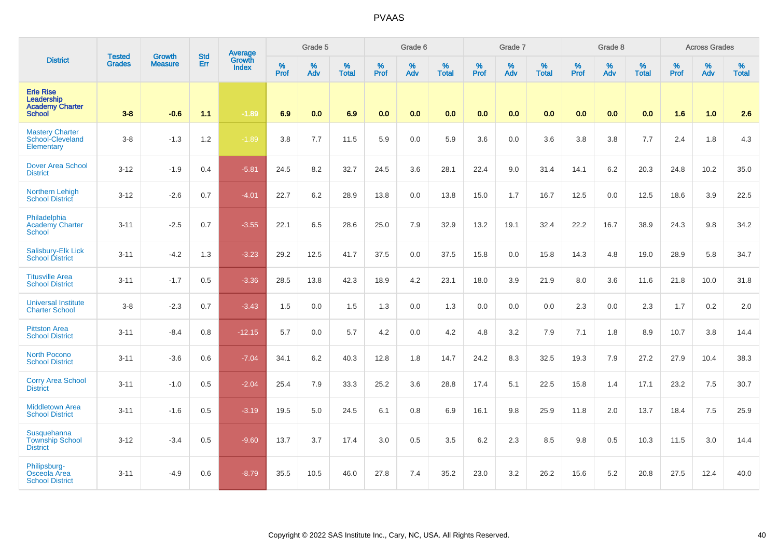|                                                                           | <b>Tested</b> |                                 | <b>Std</b> | Average                |              | Grade 5  |                   |           | Grade 6  |                   |           | Grade 7  |                   |           | Grade 8  |                   |           | <b>Across Grades</b> |                   |
|---------------------------------------------------------------------------|---------------|---------------------------------|------------|------------------------|--------------|----------|-------------------|-----------|----------|-------------------|-----------|----------|-------------------|-----------|----------|-------------------|-----------|----------------------|-------------------|
| <b>District</b>                                                           | <b>Grades</b> | <b>Growth</b><br><b>Measure</b> | Err        | Growth<br><b>Index</b> | $\%$<br>Prof | %<br>Adv | %<br><b>Total</b> | %<br>Prof | %<br>Adv | %<br><b>Total</b> | %<br>Prof | %<br>Adv | %<br><b>Total</b> | %<br>Prof | %<br>Adv | %<br><b>Total</b> | %<br>Prof | %<br>Adv             | %<br><b>Total</b> |
| <b>Erie Rise</b><br>Leadership<br><b>Academy Charter</b><br><b>School</b> | $3-8$         | $-0.6$                          | 1.1        | $-1.89$                | 6.9          | 0.0      | 6.9               | 0.0       | 0.0      | 0.0               | 0.0       | 0.0      | 0.0               | 0.0       | 0.0      | 0.0               | 1.6       | 1.0                  | 2.6               |
| <b>Mastery Charter</b><br>School-Cleveland<br>Elementary                  | $3 - 8$       | $-1.3$                          | 1.2        | $-1.89$                | 3.8          | 7.7      | 11.5              | 5.9       | 0.0      | 5.9               | 3.6       | 0.0      | 3.6               | $3.8\,$   | 3.8      | 7.7               | 2.4       | 1.8                  | 4.3               |
| <b>Dover Area School</b><br><b>District</b>                               | $3 - 12$      | $-1.9$                          | 0.4        | $-5.81$                | 24.5         | 8.2      | 32.7              | 24.5      | 3.6      | 28.1              | 22.4      | 9.0      | 31.4              | 14.1      | 6.2      | 20.3              | 24.8      | 10.2                 | 35.0              |
| Northern Lehigh<br><b>School District</b>                                 | $3 - 12$      | $-2.6$                          | 0.7        | $-4.01$                | 22.7         | 6.2      | 28.9              | 13.8      | 0.0      | 13.8              | 15.0      | 1.7      | 16.7              | 12.5      | 0.0      | 12.5              | 18.6      | 3.9                  | 22.5              |
| Philadelphia<br>Academy Charter<br><b>School</b>                          | $3 - 11$      | $-2.5$                          | 0.7        | $-3.55$                | 22.1         | 6.5      | 28.6              | 25.0      | 7.9      | 32.9              | 13.2      | 19.1     | 32.4              | 22.2      | 16.7     | 38.9              | 24.3      | 9.8                  | 34.2              |
| Salisbury-Elk Lick<br><b>School District</b>                              | $3 - 11$      | $-4.2$                          | 1.3        | $-3.23$                | 29.2         | 12.5     | 41.7              | 37.5      | 0.0      | 37.5              | 15.8      | 0.0      | 15.8              | 14.3      | 4.8      | 19.0              | 28.9      | 5.8                  | 34.7              |
| <b>Titusville Area</b><br><b>School District</b>                          | $3 - 11$      | $-1.7$                          | 0.5        | $-3.36$                | 28.5         | 13.8     | 42.3              | 18.9      | 4.2      | 23.1              | 18.0      | 3.9      | 21.9              | 8.0       | 3.6      | 11.6              | 21.8      | 10.0                 | 31.8              |
| <b>Universal Institute</b><br><b>Charter School</b>                       | $3-8$         | $-2.3$                          | 0.7        | $-3.43$                | 1.5          | 0.0      | 1.5               | 1.3       | 0.0      | 1.3               | 0.0       | $0.0\,$  | 0.0               | 2.3       | 0.0      | 2.3               | 1.7       | $0.2\,$              | $2.0\,$           |
| <b>Pittston Area</b><br><b>School District</b>                            | $3 - 11$      | $-8.4$                          | 0.8        | $-12.15$               | 5.7          | 0.0      | 5.7               | 4.2       | 0.0      | 4.2               | 4.8       | 3.2      | 7.9               | 7.1       | 1.8      | 8.9               | 10.7      | 3.8                  | 14.4              |
| North Pocono<br><b>School District</b>                                    | $3 - 11$      | $-3.6$                          | 0.6        | $-7.04$                | 34.1         | 6.2      | 40.3              | 12.8      | 1.8      | 14.7              | 24.2      | 8.3      | 32.5              | 19.3      | 7.9      | 27.2              | 27.9      | 10.4                 | 38.3              |
| <b>Corry Area School</b><br><b>District</b>                               | $3 - 11$      | $-1.0$                          | 0.5        | $-2.04$                | 25.4         | 7.9      | 33.3              | 25.2      | 3.6      | 28.8              | 17.4      | 5.1      | 22.5              | 15.8      | 1.4      | 17.1              | 23.2      | 7.5                  | 30.7              |
| <b>Middletown Area</b><br><b>School District</b>                          | $3 - 11$      | $-1.6$                          | 0.5        | $-3.19$                | 19.5         | 5.0      | 24.5              | 6.1       | 0.8      | 6.9               | 16.1      | 9.8      | 25.9              | 11.8      | 2.0      | 13.7              | 18.4      | 7.5                  | 25.9              |
| Susquehanna<br><b>Township School</b><br><b>District</b>                  | $3 - 12$      | $-3.4$                          | 0.5        | $-9.60$                | 13.7         | 3.7      | 17.4              | 3.0       | 0.5      | 3.5               | 6.2       | 2.3      | 8.5               | 9.8       | 0.5      | 10.3              | 11.5      | 3.0                  | 14.4              |
| Philipsburg-<br>Osceola Area<br><b>School District</b>                    | $3 - 11$      | $-4.9$                          | 0.6        | $-8.79$                | 35.5         | 10.5     | 46.0              | 27.8      | 7.4      | 35.2              | 23.0      | 3.2      | 26.2              | 15.6      | 5.2      | 20.8              | 27.5      | 12.4                 | 40.0              |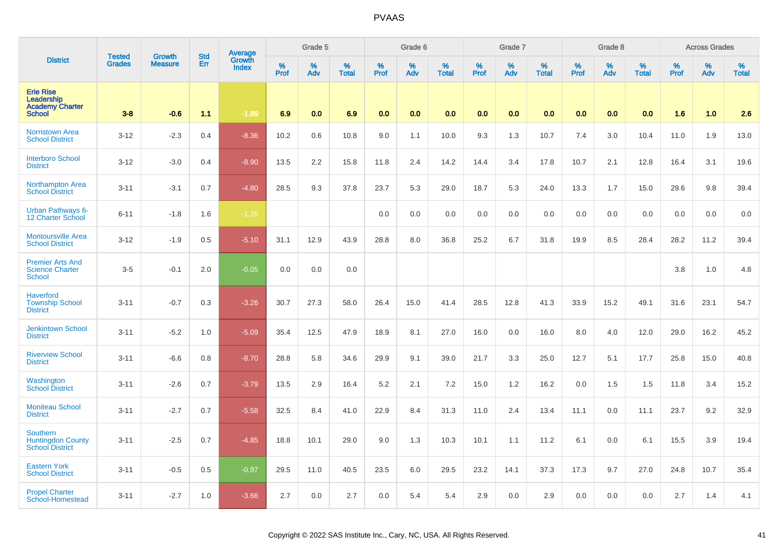|                                                                           | <b>Tested</b> | Growth         | <b>Std</b> | Average                |           | Grade 5  |                   |           | Grade 6  |                   |           | Grade 7  |                   |           | Grade 8  |                   |           | <b>Across Grades</b> |                   |
|---------------------------------------------------------------------------|---------------|----------------|------------|------------------------|-----------|----------|-------------------|-----------|----------|-------------------|-----------|----------|-------------------|-----------|----------|-------------------|-----------|----------------------|-------------------|
| <b>District</b>                                                           | <b>Grades</b> | <b>Measure</b> | Err        | Growth<br><b>Index</b> | %<br>Prof | %<br>Adv | %<br><b>Total</b> | %<br>Prof | %<br>Adv | %<br><b>Total</b> | %<br>Prof | %<br>Adv | %<br><b>Total</b> | %<br>Prof | %<br>Adv | %<br><b>Total</b> | %<br>Prof | %<br>Adv             | %<br><b>Total</b> |
| <b>Erie Rise</b><br>Leadership<br><b>Academy Charter</b><br><b>School</b> | $3 - 8$       | $-0.6$         | 1.1        | $-1.89$                | 6.9       | 0.0      | 6.9               | 0.0       | 0.0      | 0.0               | 0.0       | 0.0      | 0.0               | 0.0       | 0.0      | 0.0               | 1.6       | 1.0                  | 2.6               |
| <b>Norristown Area</b><br><b>School District</b>                          | $3 - 12$      | $-2.3$         | 0.4        | $-8.36$                | 10.2      | 0.6      | 10.8              | 9.0       | 1.1      | 10.0              | 9.3       | 1.3      | 10.7              | 7.4       | 3.0      | 10.4              | 11.0      | 1.9                  | 13.0              |
| <b>Interboro School</b><br><b>District</b>                                | $3 - 12$      | $-3.0$         | 0.4        | $-8.90$                | 13.5      | 2.2      | 15.8              | 11.8      | 2.4      | 14.2              | 14.4      | 3.4      | 17.8              | 10.7      | 2.1      | 12.8              | 16.4      | 3.1                  | 19.6              |
| <b>Northampton Area</b><br><b>School District</b>                         | $3 - 11$      | $-3.1$         | 0.7        | $-4.80$                | 28.5      | 9.3      | 37.8              | 23.7      | 5.3      | 29.0              | 18.7      | 5.3      | 24.0              | 13.3      | 1.7      | 15.0              | 29.6      | 9.8                  | 39.4              |
| <b>Urban Pathways 6-</b><br>12 Charter School                             | $6 - 11$      | $-1.8$         | 1.6        | $-1.26$                |           |          |                   | 0.0       | 0.0      | 0.0               | $0.0\,$   | 0.0      | 0.0               | 0.0       | 0.0      | 0.0               | 0.0       | 0.0                  | $0.0\,$           |
| <b>Montoursville Area</b><br><b>School District</b>                       | $3 - 12$      | $-1.9$         | 0.5        | $-5.10$                | 31.1      | 12.9     | 43.9              | 28.8      | 8.0      | 36.8              | 25.2      | 6.7      | 31.8              | 19.9      | 8.5      | 28.4              | 28.2      | 11.2                 | 39.4              |
| <b>Premier Arts And</b><br><b>Science Charter</b><br><b>School</b>        | $3-5$         | $-0.1$         | 2.0        | $-0.05$                | 0.0       | 0.0      | 0.0               |           |          |                   |           |          |                   |           |          |                   | 3.8       | 1.0                  | 4.8               |
| <b>Haverford</b><br><b>Township School</b><br><b>District</b>             | $3 - 11$      | $-0.7$         | 0.3        | $-3.26$                | 30.7      | 27.3     | 58.0              | 26.4      | 15.0     | 41.4              | 28.5      | 12.8     | 41.3              | 33.9      | 15.2     | 49.1              | 31.6      | 23.1                 | 54.7              |
| <b>Jenkintown School</b><br><b>District</b>                               | $3 - 11$      | $-5.2$         | 1.0        | $-5.09$                | 35.4      | 12.5     | 47.9              | 18.9      | 8.1      | 27.0              | 16.0      | 0.0      | 16.0              | 8.0       | 4.0      | 12.0              | 29.0      | 16.2                 | 45.2              |
| <b>Riverview School</b><br><b>District</b>                                | $3 - 11$      | $-6.6$         | 0.8        | $-8.70$                | 28.8      | 5.8      | 34.6              | 29.9      | 9.1      | 39.0              | 21.7      | 3.3      | 25.0              | 12.7      | 5.1      | 17.7              | 25.8      | 15.0                 | 40.8              |
| Washington<br><b>School District</b>                                      | $3 - 11$      | $-2.6$         | 0.7        | $-3.79$                | 13.5      | 2.9      | 16.4              | 5.2       | 2.1      | 7.2               | 15.0      | 1.2      | 16.2              | 0.0       | 1.5      | 1.5               | 11.8      | 3.4                  | 15.2              |
| <b>Moniteau School</b><br><b>District</b>                                 | $3 - 11$      | $-2.7$         | 0.7        | $-5.58$                | 32.5      | 8.4      | 41.0              | 22.9      | 8.4      | 31.3              | 11.0      | 2.4      | 13.4              | 11.1      | 0.0      | 11.1              | 23.7      | 9.2                  | 32.9              |
| <b>Southern</b><br><b>Huntingdon County</b><br><b>School District</b>     | $3 - 11$      | $-2.5$         | 0.7        | $-4.85$                | 18.8      | 10.1     | 29.0              | 9.0       | 1.3      | 10.3              | 10.1      | 1.1      | 11.2              | 6.1       | 0.0      | 6.1               | 15.5      | 3.9                  | 19.4              |
| <b>Eastern York</b><br><b>School District</b>                             | $3 - 11$      | $-0.5$         | 0.5        | $-0.97$                | 29.5      | 11.0     | 40.5              | 23.5      | 6.0      | 29.5              | 23.2      | 14.1     | 37.3              | 17.3      | 9.7      | 27.0              | 24.8      | 10.7                 | 35.4              |
| <b>Propel Charter</b><br>School-Homestead                                 | $3 - 11$      | $-2.7$         | 1.0        | $-3.66$                | 2.7       | 0.0      | 2.7               | 0.0       | 5.4      | 5.4               | 2.9       | 0.0      | 2.9               | 0.0       | 0.0      | 0.0               | 2.7       | 1.4                  | 4.1               |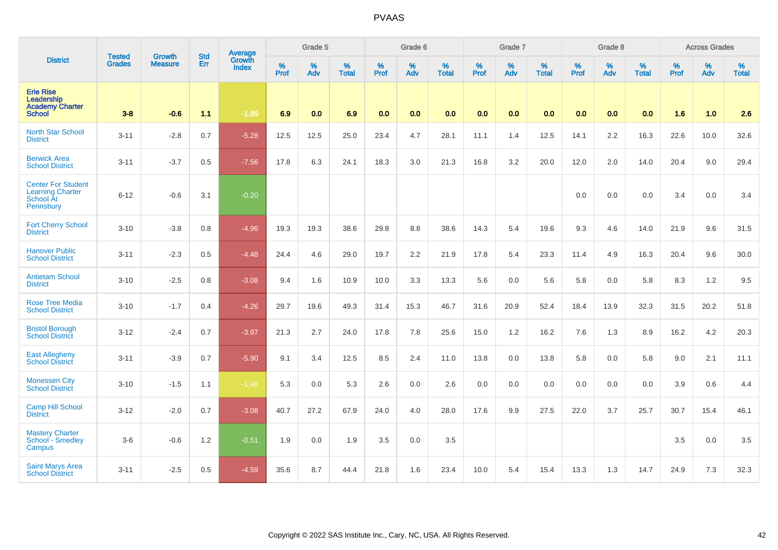|                                                                                |                                | <b>Growth</b>  | <b>Std</b> | Average                |                     | Grade 5  |                   |                  | Grade 6  |                   |                  | Grade 7  |                   |                  | Grade 8  |                   |                  | <b>Across Grades</b> |                   |
|--------------------------------------------------------------------------------|--------------------------------|----------------|------------|------------------------|---------------------|----------|-------------------|------------------|----------|-------------------|------------------|----------|-------------------|------------------|----------|-------------------|------------------|----------------------|-------------------|
| <b>District</b>                                                                | <b>Tested</b><br><b>Grades</b> | <b>Measure</b> | Err        | Growth<br><b>Index</b> | $\%$<br><b>Prof</b> | %<br>Adv | %<br><b>Total</b> | %<br><b>Prof</b> | %<br>Adv | %<br><b>Total</b> | %<br><b>Prof</b> | %<br>Adv | %<br><b>Total</b> | %<br><b>Prof</b> | %<br>Adv | %<br><b>Total</b> | %<br><b>Prof</b> | %<br>Adv             | %<br><b>Total</b> |
| <b>Erie Rise</b><br>Leadership<br><b>Academy Charter</b><br><b>School</b>      | $3 - 8$                        | $-0.6$         | 1.1        | $-1.89$                | 6.9                 | 0.0      | 6.9               | 0.0              | 0.0      | 0.0               | 0.0              | 0.0      | 0.0               | 0.0              | 0.0      | 0.0               | 1.6              | 1.0                  | 2.6               |
| <b>North Star School</b><br><b>District</b>                                    | $3 - 11$                       | $-2.8$         | 0.7        | $-5.28$                | 12.5                | 12.5     | 25.0              | 23.4             | 4.7      | 28.1              | 11.1             | 1.4      | 12.5              | 14.1             | 2.2      | 16.3              | 22.6             | 10.0                 | 32.6              |
| <b>Berwick Area</b><br><b>School District</b>                                  | $3 - 11$                       | $-3.7$         | 0.5        | $-7.56$                | 17.8                | 6.3      | 24.1              | 18.3             | 3.0      | 21.3              | 16.8             | 3.2      | 20.0              | 12.0             | 2.0      | 14.0              | 20.4             | 9.0                  | 29.4              |
| <b>Center For Student</b><br><b>Learning Charter</b><br>School At<br>Pennsbury | $6 - 12$                       | $-0.6$         | 3.1        | $-0.20$                |                     |          |                   |                  |          |                   |                  |          |                   | 0.0              | 0.0      | 0.0               | 3.4              | 0.0                  | 3.4               |
| <b>Fort Cherry School</b><br><b>District</b>                                   | $3 - 10$                       | $-3.8$         | 0.8        | $-4.96$                | 19.3                | 19.3     | 38.6              | 29.8             | 8.8      | 38.6              | 14.3             | 5.4      | 19.6              | 9.3              | 4.6      | 14.0              | 21.9             | 9.6                  | 31.5              |
| <b>Hanover Public</b><br><b>School District</b>                                | $3 - 11$                       | $-2.3$         | 0.5        | $-4.48$                | 24.4                | 4.6      | 29.0              | 19.7             | 2.2      | 21.9              | 17.8             | 5.4      | 23.3              | 11.4             | 4.9      | 16.3              | 20.4             | 9.6                  | 30.0              |
| <b>Antietam School</b><br><b>District</b>                                      | $3 - 10$                       | $-2.5$         | 0.8        | $-3.08$                | 9.4                 | 1.6      | 10.9              | 10.0             | 3.3      | 13.3              | 5.6              | 0.0      | 5.6               | 5.8              | 0.0      | 5.8               | 8.3              | 1.2                  | 9.5               |
| <b>Rose Tree Media</b><br><b>School District</b>                               | $3 - 10$                       | $-1.7$         | 0.4        | $-4.26$                | 29.7                | 19.6     | 49.3              | 31.4             | 15.3     | 46.7              | 31.6             | 20.9     | 52.4              | 18.4             | 13.9     | 32.3              | 31.5             | 20.2                 | 51.8              |
| <b>Bristol Borough</b><br><b>School District</b>                               | $3 - 12$                       | $-2.4$         | 0.7        | $-3.97$                | 21.3                | 2.7      | 24.0              | 17.8             | 7.8      | 25.6              | 15.0             | 1.2      | 16.2              | 7.6              | 1.3      | 8.9               | 16.2             | 4.2                  | 20.3              |
| <b>East Allegheny</b><br><b>School District</b>                                | $3 - 11$                       | $-3.9$         | 0.7        | $-5.90$                | 9.1                 | 3.4      | 12.5              | 8.5              | 2.4      | 11.0              | 13.8             | 0.0      | 13.8              | 5.8              | 0.0      | 5.8               | 9.0              | 2.1                  | 11.1              |
| <b>Monessen City</b><br><b>School District</b>                                 | $3 - 10$                       | $-1.5$         | 1.1        | $-1.48$                | 5.3                 | 0.0      | 5.3               | 2.6              | 0.0      | 2.6               | 0.0              | 0.0      | 0.0               | 0.0              | 0.0      | 0.0               | 3.9              | 0.6                  | 4.4               |
| <b>Camp Hill School</b><br><b>District</b>                                     | $3 - 12$                       | $-2.0$         | 0.7        | $-3.08$                | 40.7                | 27.2     | 67.9              | 24.0             | 4.0      | 28.0              | 17.6             | 9.9      | 27.5              | 22.0             | 3.7      | 25.7              | 30.7             | 15.4                 | 46.1              |
| <b>Mastery Charter</b><br>School - Smedley<br>Campus                           | $3-6$                          | $-0.6$         | 1.2        | $-0.51$                | 1.9                 | 0.0      | 1.9               | 3.5              | 0.0      | 3.5               |                  |          |                   |                  |          |                   | 3.5              | 0.0                  | 3.5               |
| <b>Saint Marys Area</b><br><b>School District</b>                              | $3 - 11$                       | $-2.5$         | 0.5        | $-4.59$                | 35.6                | 8.7      | 44.4              | 21.8             | 1.6      | 23.4              | 10.0             | 5.4      | 15.4              | 13.3             | 1.3      | 14.7              | 24.9             | 7.3                  | 32.3              |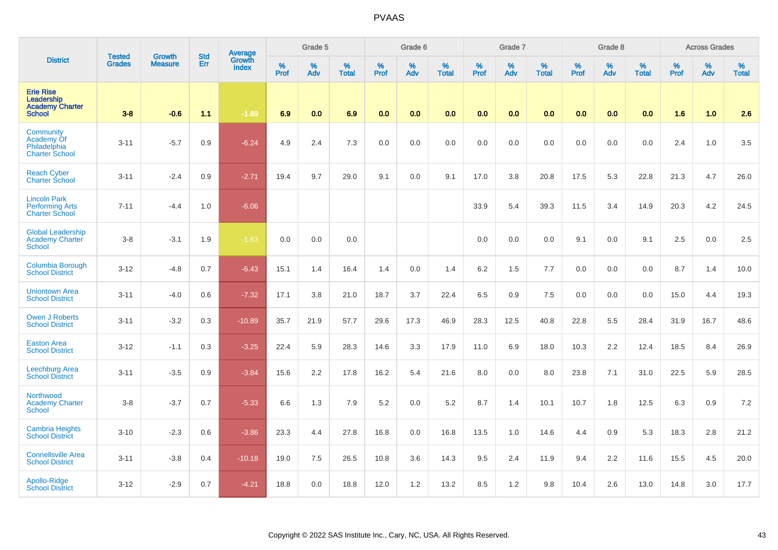|                                                                           | <b>Tested</b> | <b>Growth</b>  | <b>Std</b> | Average                |           | Grade 5  |                   |           | Grade 6  |                   |                  | Grade 7  |                   |           | Grade 8  |                   |           | <b>Across Grades</b> |                   |
|---------------------------------------------------------------------------|---------------|----------------|------------|------------------------|-----------|----------|-------------------|-----------|----------|-------------------|------------------|----------|-------------------|-----------|----------|-------------------|-----------|----------------------|-------------------|
| <b>District</b>                                                           | <b>Grades</b> | <b>Measure</b> | Err        | Growth<br><b>Index</b> | %<br>Prof | %<br>Adv | %<br><b>Total</b> | %<br>Prof | %<br>Adv | %<br><b>Total</b> | %<br><b>Prof</b> | %<br>Adv | %<br><b>Total</b> | %<br>Prof | %<br>Adv | %<br><b>Total</b> | %<br>Prof | %<br>Adv             | %<br><b>Total</b> |
| <b>Erie Rise</b><br>Leadership<br><b>Academy Charter</b><br><b>School</b> | $3 - 8$       | $-0.6$         | 1.1        | $-1.89$                | 6.9       | 0.0      | 6.9               | 0.0       | 0.0      | 0.0               | 0.0              | 0.0      | 0.0               | 0.0       | 0.0      | 0.0               | 1.6       | 1.0                  | 2.6               |
| Community<br>Academy Of<br>Philadelphia<br><b>Charter School</b>          | $3 - 11$      | $-5.7$         | 0.9        | $-6.24$                | 4.9       | 2.4      | 7.3               | 0.0       | 0.0      | 0.0               | 0.0              | 0.0      | 0.0               | 0.0       | 0.0      | 0.0               | 2.4       | 1.0                  | 3.5               |
| <b>Reach Cyber</b><br><b>Charter School</b>                               | $3 - 11$      | $-2.4$         | 0.9        | $-2.71$                | 19.4      | 9.7      | 29.0              | 9.1       | 0.0      | 9.1               | 17.0             | 3.8      | 20.8              | 17.5      | 5.3      | 22.8              | 21.3      | 4.7                  | 26.0              |
| <b>Lincoln Park</b><br><b>Performing Arts</b><br><b>Charter School</b>    | $7 - 11$      | $-4.4$         | 1.0        | $-6.06$                |           |          |                   |           |          |                   | 33.9             | 5.4      | 39.3              | 11.5      | 3.4      | 14.9              | 20.3      | 4.2                  | 24.5              |
| <b>Global Leadership</b><br><b>Academy Charter</b><br><b>School</b>       | $3-8$         | $-3.1$         | 1.9        | $-1.63$                | 0.0       | 0.0      | 0.0               |           |          |                   | 0.0              | 0.0      | 0.0               | 9.1       | 0.0      | 9.1               | 2.5       | 0.0                  | 2.5               |
| Columbia Borough<br><b>School District</b>                                | $3 - 12$      | $-4.8$         | 0.7        | $-6.43$                | 15.1      | 1.4      | 16.4              | 1.4       | 0.0      | 1.4               | 6.2              | 1.5      | 7.7               | 0.0       | 0.0      | 0.0               | 8.7       | 1.4                  | 10.0              |
| <b>Uniontown Area</b><br><b>School District</b>                           | $3 - 11$      | $-4.0$         | 0.6        | $-7.32$                | 17.1      | 3.8      | 21.0              | 18.7      | 3.7      | 22.4              | 6.5              | 0.9      | 7.5               | 0.0       | 0.0      | 0.0               | 15.0      | 4.4                  | 19.3              |
| Owen J Roberts<br><b>School District</b>                                  | $3 - 11$      | $-3.2$         | 0.3        | $-10.89$               | 35.7      | 21.9     | 57.7              | 29.6      | 17.3     | 46.9              | 28.3             | 12.5     | 40.8              | 22.8      | 5.5      | 28.4              | 31.9      | 16.7                 | 48.6              |
| <b>Easton Area</b><br><b>School District</b>                              | $3-12$        | $-1.1$         | 0.3        | $-3.25$                | 22.4      | 5.9      | 28.3              | 14.6      | 3.3      | 17.9              | 11.0             | 6.9      | 18.0              | 10.3      | 2.2      | 12.4              | 18.5      | 8.4                  | 26.9              |
| <b>Leechburg Area</b><br><b>School District</b>                           | $3 - 11$      | $-3.5$         | 0.9        | $-3.84$                | 15.6      | 2.2      | 17.8              | 16.2      | 5.4      | 21.6              | 8.0              | 0.0      | 8.0               | 23.8      | 7.1      | 31.0              | 22.5      | 5.9                  | 28.5              |
| Northwood<br><b>Academy Charter</b><br><b>School</b>                      | $3-8$         | $-3.7$         | 0.7        | $-5.33$                | 6.6       | 1.3      | 7.9               | 5.2       | 0.0      | 5.2               | 8.7              | 1.4      | 10.1              | 10.7      | 1.8      | 12.5              | 6.3       | $0.9\,$              | 7.2               |
| <b>Cambria Heights</b><br><b>School District</b>                          | $3 - 10$      | $-2.3$         | 0.6        | $-3.86$                | 23.3      | 4.4      | 27.8              | 16.8      | 0.0      | 16.8              | 13.5             | 1.0      | 14.6              | 4.4       | 0.9      | 5.3               | 18.3      | 2.8                  | 21.2              |
| <b>Connellsville Area</b><br><b>School District</b>                       | $3 - 11$      | $-3.8$         | 0.4        | $-10.18$               | 19.0      | 7.5      | 26.5              | 10.8      | 3.6      | 14.3              | 9.5              | 2.4      | 11.9              | 9.4       | 2.2      | 11.6              | 15.5      | 4.5                  | 20.0              |
| Apollo-Ridge<br><b>School District</b>                                    | $3 - 12$      | $-2.9$         | 0.7        | $-4.21$                | 18.8      | 0.0      | 18.8              | 12.0      | 1.2      | 13.2              | 8.5              | 1.2      | 9.8               | 10.4      | 2.6      | 13.0              | 14.8      | 3.0                  | 17.7              |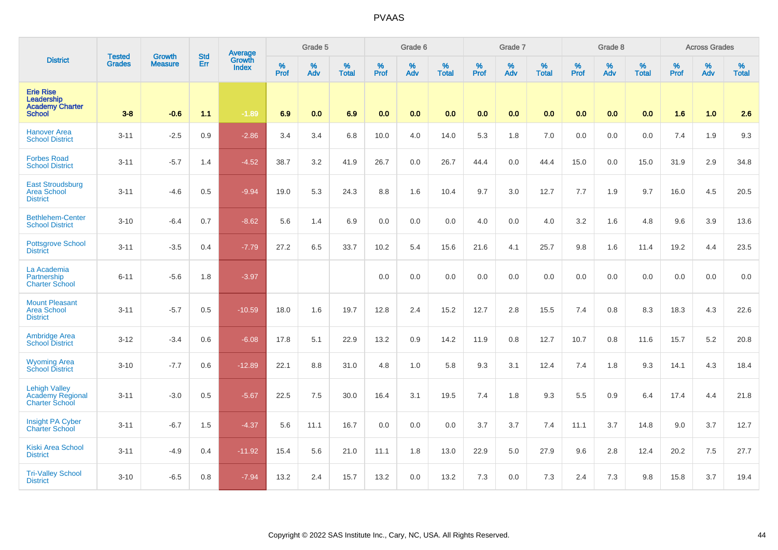|                                                                           |                                | <b>Growth</b>  | <b>Std</b> | Average                       |              | Grade 5  |                   |           | Grade 6  |                   |           | Grade 7  |                   |           | Grade 8  |                   |           | <b>Across Grades</b> |                   |
|---------------------------------------------------------------------------|--------------------------------|----------------|------------|-------------------------------|--------------|----------|-------------------|-----------|----------|-------------------|-----------|----------|-------------------|-----------|----------|-------------------|-----------|----------------------|-------------------|
| <b>District</b>                                                           | <b>Tested</b><br><b>Grades</b> | <b>Measure</b> | Err        | <b>Growth</b><br><b>Index</b> | $\%$<br>Prof | %<br>Adv | %<br><b>Total</b> | %<br>Prof | %<br>Adv | %<br><b>Total</b> | %<br>Prof | %<br>Adv | %<br><b>Total</b> | %<br>Prof | %<br>Adv | %<br><b>Total</b> | %<br>Prof | %<br>Adv             | %<br><b>Total</b> |
| <b>Erie Rise</b><br>Leadership<br><b>Academy Charter</b><br><b>School</b> | $3-8$                          | $-0.6$         | 1.1        | $-1.89$                       | 6.9          | 0.0      | 6.9               | 0.0       | 0.0      | 0.0               | 0.0       | 0.0      | 0.0               | 0.0       | 0.0      | 0.0               | 1.6       | 1.0                  | 2.6               |
| <b>Hanover Area</b><br><b>School District</b>                             | $3 - 11$                       | $-2.5$         | 0.9        | $-2.86$                       | 3.4          | 3.4      | 6.8               | 10.0      | 4.0      | 14.0              | 5.3       | 1.8      | 7.0               | 0.0       | 0.0      | 0.0               | 7.4       | 1.9                  | 9.3               |
| <b>Forbes Road</b><br><b>School District</b>                              | $3 - 11$                       | $-5.7$         | 1.4        | $-4.52$                       | 38.7         | 3.2      | 41.9              | 26.7      | 0.0      | 26.7              | 44.4      | 0.0      | 44.4              | 15.0      | 0.0      | 15.0              | 31.9      | 2.9                  | 34.8              |
| <b>East Stroudsburg</b><br><b>Area School</b><br><b>District</b>          | $3 - 11$                       | $-4.6$         | 0.5        | $-9.94$                       | 19.0         | 5.3      | 24.3              | 8.8       | 1.6      | 10.4              | 9.7       | 3.0      | 12.7              | 7.7       | 1.9      | 9.7               | 16.0      | 4.5                  | 20.5              |
| <b>Bethlehem-Center</b><br><b>School District</b>                         | $3 - 10$                       | $-6.4$         | 0.7        | $-8.62$                       | 5.6          | 1.4      | 6.9               | 0.0       | 0.0      | 0.0               | 4.0       | 0.0      | 4.0               | 3.2       | 1.6      | 4.8               | 9.6       | 3.9                  | 13.6              |
| <b>Pottsgrove School</b><br><b>District</b>                               | $3 - 11$                       | $-3.5$         | 0.4        | $-7.79$                       | 27.2         | 6.5      | 33.7              | 10.2      | 5.4      | 15.6              | 21.6      | 4.1      | 25.7              | 9.8       | 1.6      | 11.4              | 19.2      | 4.4                  | 23.5              |
| La Academia<br>Partnership<br><b>Charter School</b>                       | $6 - 11$                       | $-5.6$         | 1.8        | $-3.97$                       |              |          |                   | 0.0       | 0.0      | 0.0               | 0.0       | 0.0      | 0.0               | 0.0       | 0.0      | 0.0               | 0.0       | 0.0                  | 0.0               |
| <b>Mount Pleasant</b><br><b>Area School</b><br><b>District</b>            | $3 - 11$                       | $-5.7$         | 0.5        | $-10.59$                      | 18.0         | 1.6      | 19.7              | 12.8      | 2.4      | 15.2              | 12.7      | 2.8      | 15.5              | 7.4       | 0.8      | 8.3               | 18.3      | 4.3                  | 22.6              |
| <b>Ambridge Area</b><br><b>School District</b>                            | $3 - 12$                       | $-3.4$         | 0.6        | $-6.08$                       | 17.8         | 5.1      | 22.9              | 13.2      | $0.9\,$  | 14.2              | 11.9      | 0.8      | 12.7              | 10.7      | 0.8      | 11.6              | 15.7      | $5.2\,$              | 20.8              |
| <b>Wyoming Area</b><br><b>School District</b>                             | $3 - 10$                       | $-7.7$         | 0.6        | $-12.89$                      | 22.1         | 8.8      | 31.0              | 4.8       | 1.0      | 5.8               | 9.3       | 3.1      | 12.4              | 7.4       | 1.8      | 9.3               | 14.1      | 4.3                  | 18.4              |
| <b>Lehigh Valley</b><br><b>Academy Regional</b><br><b>Charter School</b>  | $3 - 11$                       | $-3.0$         | 0.5        | $-5.67$                       | 22.5         | 7.5      | 30.0              | 16.4      | 3.1      | 19.5              | 7.4       | 1.8      | 9.3               | 5.5       | 0.9      | 6.4               | 17.4      | 4.4                  | 21.8              |
| <b>Insight PA Cyber</b><br><b>Charter School</b>                          | $3 - 11$                       | $-6.7$         | 1.5        | $-4.37$                       | 5.6          | 11.1     | 16.7              | 0.0       | 0.0      | 0.0               | 3.7       | 3.7      | 7.4               | 11.1      | 3.7      | 14.8              | 9.0       | 3.7                  | 12.7              |
| <b>Kiski Area School</b><br><b>District</b>                               | $3 - 11$                       | $-4.9$         | 0.4        | $-11.92$                      | 15.4         | 5.6      | 21.0              | 11.1      | 1.8      | 13.0              | 22.9      | 5.0      | 27.9              | 9.6       | 2.8      | 12.4              | 20.2      | 7.5                  | 27.7              |
| <b>Tri-Valley School</b><br><b>District</b>                               | $3 - 10$                       | $-6.5$         | 0.8        | $-7.94$                       | 13.2         | 2.4      | 15.7              | 13.2      | 0.0      | 13.2              | 7.3       | 0.0      | 7.3               | 2.4       | 7.3      | 9.8               | 15.8      | 3.7                  | 19.4              |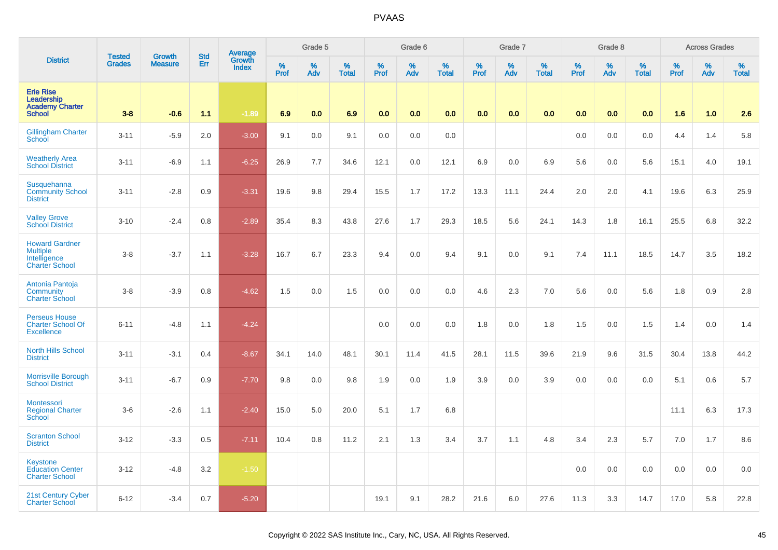|                                                                                   | <b>Tested</b> | <b>Growth</b>  | <b>Std</b> | Average<br>Growth |              | Grade 5  |                   |           | Grade 6  |                   |                  | Grade 7  |                   |           | Grade 8  |                   |           | <b>Across Grades</b> |                   |
|-----------------------------------------------------------------------------------|---------------|----------------|------------|-------------------|--------------|----------|-------------------|-----------|----------|-------------------|------------------|----------|-------------------|-----------|----------|-------------------|-----------|----------------------|-------------------|
| <b>District</b>                                                                   | <b>Grades</b> | <b>Measure</b> | Err        | <b>Index</b>      | $\%$<br>Prof | %<br>Adv | %<br><b>Total</b> | %<br>Prof | %<br>Adv | %<br><b>Total</b> | %<br><b>Prof</b> | %<br>Adv | %<br><b>Total</b> | %<br>Prof | %<br>Adv | %<br><b>Total</b> | %<br>Prof | %<br>Adv             | %<br><b>Total</b> |
| <b>Erie Rise</b><br>Leadership<br><b>Academy Charter</b><br><b>School</b>         | $3 - 8$       | $-0.6$         | 1.1        | $-1.89$           | 6.9          | 0.0      | 6.9               | 0.0       | 0.0      | 0.0               | 0.0              | 0.0      | 0.0               | 0.0       | 0.0      | 0.0               | 1.6       | 1.0                  | 2.6               |
| <b>Gillingham Charter</b><br><b>School</b>                                        | $3 - 11$      | $-5.9$         | 2.0        | $-3.00$           | 9.1          | 0.0      | 9.1               | 0.0       | 0.0      | 0.0               |                  |          |                   | 0.0       | 0.0      | 0.0               | 4.4       | 1.4                  | 5.8               |
| <b>Weatherly Area</b><br><b>School District</b>                                   | $3 - 11$      | $-6.9$         | 1.1        | $-6.25$           | 26.9         | 7.7      | 34.6              | 12.1      | 0.0      | 12.1              | 6.9              | 0.0      | 6.9               | 5.6       | 0.0      | 5.6               | 15.1      | 4.0                  | 19.1              |
| Susquehanna<br><b>Community School</b><br><b>District</b>                         | $3 - 11$      | $-2.8$         | 0.9        | $-3.31$           | 19.6         | 9.8      | 29.4              | 15.5      | 1.7      | 17.2              | 13.3             | 11.1     | 24.4              | 2.0       | 2.0      | 4.1               | 19.6      | 6.3                  | 25.9              |
| <b>Valley Grove</b><br><b>School District</b>                                     | $3 - 10$      | $-2.4$         | 0.8        | $-2.89$           | 35.4         | 8.3      | 43.8              | 27.6      | 1.7      | 29.3              | 18.5             | 5.6      | 24.1              | 14.3      | 1.8      | 16.1              | 25.5      | 6.8                  | 32.2              |
| <b>Howard Gardner</b><br><b>Multiple</b><br>Intelligence<br><b>Charter School</b> | $3 - 8$       | $-3.7$         | 1.1        | $-3.28$           | 16.7         | 6.7      | 23.3              | 9.4       | 0.0      | 9.4               | 9.1              | 0.0      | 9.1               | 7.4       | 11.1     | 18.5              | 14.7      | 3.5                  | 18.2              |
| Antonia Pantoja<br>Community<br><b>Charter School</b>                             | $3 - 8$       | $-3.9$         | 0.8        | $-4.62$           | 1.5          | 0.0      | 1.5               | 0.0       | 0.0      | 0.0               | 4.6              | 2.3      | 7.0               | 5.6       | 0.0      | 5.6               | 1.8       | 0.9                  | 2.8               |
| <b>Perseus House</b><br><b>Charter School Of</b><br><b>Excellence</b>             | $6 - 11$      | $-4.8$         | 1.1        | $-4.24$           |              |          |                   | 0.0       | 0.0      | 0.0               | 1.8              | 0.0      | 1.8               | 1.5       | 0.0      | 1.5               | 1.4       | 0.0                  | 1.4               |
| <b>North Hills School</b><br><b>District</b>                                      | $3 - 11$      | $-3.1$         | 0.4        | $-8.67$           | 34.1         | 14.0     | 48.1              | 30.1      | 11.4     | 41.5              | 28.1             | 11.5     | 39.6              | 21.9      | 9.6      | 31.5              | 30.4      | 13.8                 | 44.2              |
| <b>Morrisville Borough</b><br><b>School District</b>                              | $3 - 11$      | $-6.7$         | 0.9        | $-7.70$           | 9.8          | 0.0      | 9.8               | 1.9       | 0.0      | 1.9               | 3.9              | 0.0      | 3.9               | 0.0       | 0.0      | 0.0               | 5.1       | 0.6                  | 5.7               |
| <b>Montessori</b><br><b>Regional Charter</b><br><b>School</b>                     | $3-6$         | $-2.6$         | 1.1        | $-2.40$           | 15.0         | 5.0      | 20.0              | 5.1       | 1.7      | 6.8               |                  |          |                   |           |          |                   | 11.1      | 6.3                  | 17.3              |
| <b>Scranton School</b><br><b>District</b>                                         | $3 - 12$      | $-3.3$         | 0.5        | $-7.11$           | 10.4         | 0.8      | 11.2              | 2.1       | 1.3      | 3.4               | 3.7              | 1.1      | 4.8               | 3.4       | 2.3      | 5.7               | 7.0       | 1.7                  | 8.6               |
| <b>Keystone</b><br><b>Education Center</b><br><b>Charter School</b>               | $3 - 12$      | $-4.8$         | 3.2        | $-1.50$           |              |          |                   |           |          |                   |                  |          |                   | 0.0       | 0.0      | 0.0               | 0.0       | 0.0                  | 0.0               |
| 21st Century Cyber<br><b>Charter School</b>                                       | $6 - 12$      | $-3.4$         | 0.7        | $-5.20$           |              |          |                   | 19.1      | 9.1      | 28.2              | 21.6             | 6.0      | 27.6              | 11.3      | 3.3      | 14.7              | 17.0      | 5.8                  | 22.8              |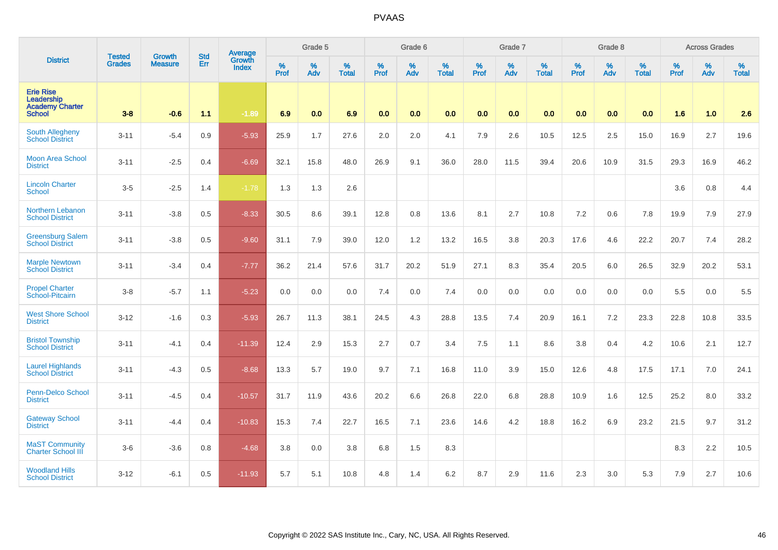|                                                                           | <b>Tested</b> | <b>Growth</b>  | <b>Std</b> | Average                       |           | Grade 5  |                   |           | Grade 6  |                   |           | Grade 7  |                   |           | Grade 8  |                   |           | <b>Across Grades</b> |                   |
|---------------------------------------------------------------------------|---------------|----------------|------------|-------------------------------|-----------|----------|-------------------|-----------|----------|-------------------|-----------|----------|-------------------|-----------|----------|-------------------|-----------|----------------------|-------------------|
| <b>District</b>                                                           | <b>Grades</b> | <b>Measure</b> | Err        | <b>Growth</b><br><b>Index</b> | %<br>Prof | %<br>Adv | %<br><b>Total</b> | %<br>Prof | %<br>Adv | %<br><b>Total</b> | %<br>Prof | %<br>Adv | %<br><b>Total</b> | %<br>Prof | %<br>Adv | %<br><b>Total</b> | %<br>Prof | %<br>Adv             | %<br><b>Total</b> |
| <b>Erie Rise</b><br>Leadership<br><b>Academy Charter</b><br><b>School</b> | $3-8$         | $-0.6$         | 1.1        | $-1.89$                       | 6.9       | 0.0      | 6.9               | 0.0       | 0.0      | 0.0               | 0.0       | 0.0      | 0.0               | 0.0       | 0.0      | 0.0               | 1.6       | 1.0                  | 2.6               |
| South Allegheny<br><b>School District</b>                                 | $3 - 11$      | $-5.4$         | 0.9        | $-5.93$                       | 25.9      | 1.7      | 27.6              | 2.0       | 2.0      | 4.1               | 7.9       | 2.6      | 10.5              | 12.5      | 2.5      | 15.0              | 16.9      | 2.7                  | 19.6              |
| <b>Moon Area School</b><br><b>District</b>                                | $3 - 11$      | $-2.5$         | 0.4        | $-6.69$                       | 32.1      | 15.8     | 48.0              | 26.9      | 9.1      | 36.0              | 28.0      | 11.5     | 39.4              | 20.6      | 10.9     | 31.5              | 29.3      | 16.9                 | 46.2              |
| <b>Lincoln Charter</b><br><b>School</b>                                   | $3-5$         | $-2.5$         | 1.4        | $-1.78$                       | 1.3       | 1.3      | 2.6               |           |          |                   |           |          |                   |           |          |                   | 3.6       | 0.8                  | 4.4               |
| <b>Northern Lebanon</b><br><b>School District</b>                         | $3 - 11$      | $-3.8$         | 0.5        | $-8.33$                       | 30.5      | 8.6      | 39.1              | 12.8      | 0.8      | 13.6              | 8.1       | 2.7      | 10.8              | 7.2       | 0.6      | 7.8               | 19.9      | 7.9                  | 27.9              |
| <b>Greensburg Salem</b><br><b>School District</b>                         | $3 - 11$      | $-3.8$         | 0.5        | $-9.60$                       | 31.1      | 7.9      | 39.0              | 12.0      | 1.2      | 13.2              | 16.5      | 3.8      | 20.3              | 17.6      | 4.6      | 22.2              | 20.7      | 7.4                  | 28.2              |
| <b>Marple Newtown</b><br><b>School District</b>                           | $3 - 11$      | $-3.4$         | 0.4        | $-7.77$                       | 36.2      | 21.4     | 57.6              | 31.7      | 20.2     | 51.9              | 27.1      | 8.3      | 35.4              | 20.5      | 6.0      | 26.5              | 32.9      | 20.2                 | 53.1              |
| <b>Propel Charter</b><br>School-Pitcairn                                  | $3-8$         | $-5.7$         | 1.1        | $-5.23$                       | 0.0       | 0.0      | 0.0               | 7.4       | 0.0      | 7.4               | 0.0       | 0.0      | 0.0               | 0.0       | 0.0      | 0.0               | 5.5       | 0.0                  | 5.5               |
| <b>West Shore School</b><br><b>District</b>                               | $3 - 12$      | $-1.6$         | 0.3        | $-5.93$                       | 26.7      | 11.3     | 38.1              | 24.5      | 4.3      | 28.8              | 13.5      | 7.4      | 20.9              | 16.1      | 7.2      | 23.3              | 22.8      | 10.8                 | 33.5              |
| <b>Bristol Township</b><br><b>School District</b>                         | $3 - 11$      | $-4.1$         | 0.4        | $-11.39$                      | 12.4      | 2.9      | 15.3              | 2.7       | 0.7      | 3.4               | 7.5       | 1.1      | 8.6               | 3.8       | 0.4      | 4.2               | 10.6      | 2.1                  | 12.7              |
| <b>Laurel Highlands</b><br><b>School District</b>                         | $3 - 11$      | $-4.3$         | 0.5        | $-8.68$                       | 13.3      | 5.7      | 19.0              | 9.7       | 7.1      | 16.8              | 11.0      | 3.9      | 15.0              | 12.6      | 4.8      | 17.5              | 17.1      | 7.0                  | 24.1              |
| <b>Penn-Delco School</b><br><b>District</b>                               | $3 - 11$      | $-4.5$         | 0.4        | $-10.57$                      | 31.7      | 11.9     | 43.6              | 20.2      | 6.6      | 26.8              | 22.0      | 6.8      | 28.8              | 10.9      | 1.6      | 12.5              | 25.2      | 8.0                  | 33.2              |
| <b>Gateway School</b><br><b>District</b>                                  | $3 - 11$      | $-4.4$         | 0.4        | $-10.83$                      | 15.3      | 7.4      | 22.7              | 16.5      | 7.1      | 23.6              | 14.6      | 4.2      | 18.8              | 16.2      | 6.9      | 23.2              | 21.5      | 9.7                  | 31.2              |
| <b>MaST Community</b><br><b>Charter School III</b>                        | $3-6$         | $-3.6$         | 0.8        | $-4.68$                       | 3.8       | 0.0      | 3.8               | 6.8       | 1.5      | 8.3               |           |          |                   |           |          |                   | 8.3       | 2.2                  | 10.5              |
| <b>Woodland Hills</b><br><b>School District</b>                           | $3 - 12$      | $-6.1$         | 0.5        | $-11.93$                      | 5.7       | 5.1      | 10.8              | 4.8       | 1.4      | 6.2               | 8.7       | 2.9      | 11.6              | 2.3       | 3.0      | 5.3               | 7.9       | 2.7                  | 10.6              |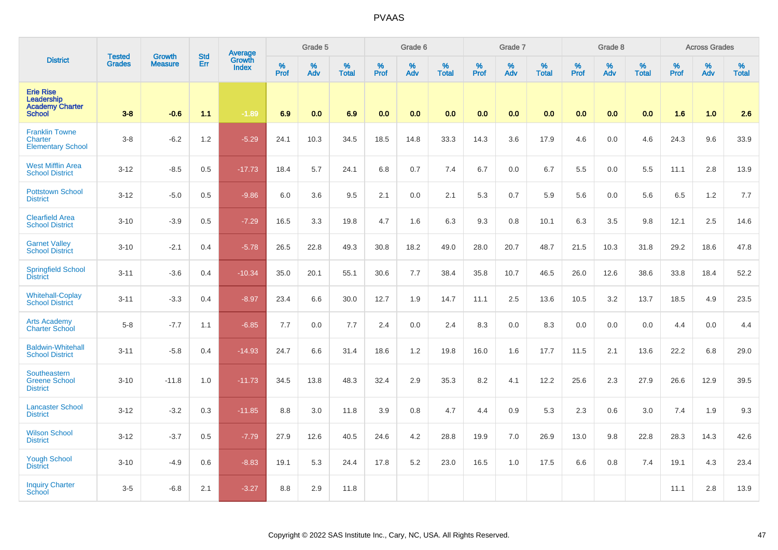|                                                                           | <b>Tested</b> | <b>Growth</b>  | <b>Std</b> | <b>Average</b><br>Growth |              | Grade 5  |                   |           | Grade 6  |                   |           | Grade 7  |                   |           | Grade 8  |                   |           | <b>Across Grades</b> |                   |
|---------------------------------------------------------------------------|---------------|----------------|------------|--------------------------|--------------|----------|-------------------|-----------|----------|-------------------|-----------|----------|-------------------|-----------|----------|-------------------|-----------|----------------------|-------------------|
| <b>District</b>                                                           | <b>Grades</b> | <b>Measure</b> | Err        | <b>Index</b>             | $\%$<br>Prof | %<br>Adv | %<br><b>Total</b> | %<br>Prof | %<br>Adv | %<br><b>Total</b> | %<br>Prof | %<br>Adv | %<br><b>Total</b> | %<br>Prof | %<br>Adv | %<br><b>Total</b> | %<br>Prof | %<br>Adv             | %<br><b>Total</b> |
| <b>Erie Rise</b><br>Leadership<br><b>Academy Charter</b><br><b>School</b> | $3 - 8$       | $-0.6$         | 1.1        | $-1.89$                  | 6.9          | 0.0      | 6.9               | 0.0       | 0.0      | 0.0               | 0.0       | 0.0      | 0.0               | 0.0       | 0.0      | 0.0               | 1.6       | 1.0                  | 2.6               |
| <b>Franklin Towne</b><br>Charter<br><b>Elementary School</b>              | $3-8$         | $-6.2$         | 1.2        | $-5.29$                  | 24.1         | 10.3     | 34.5              | 18.5      | 14.8     | 33.3              | 14.3      | 3.6      | 17.9              | 4.6       | 0.0      | 4.6               | 24.3      | 9.6                  | 33.9              |
| <b>West Mifflin Area</b><br><b>School District</b>                        | $3 - 12$      | $-8.5$         | 0.5        | $-17.73$                 | 18.4         | 5.7      | 24.1              | 6.8       | 0.7      | 7.4               | 6.7       | 0.0      | 6.7               | 5.5       | 0.0      | 5.5               | 11.1      | 2.8                  | 13.9              |
| <b>Pottstown School</b><br><b>District</b>                                | $3 - 12$      | $-5.0$         | 0.5        | $-9.86$                  | 6.0          | 3.6      | 9.5               | 2.1       | 0.0      | 2.1               | 5.3       | 0.7      | 5.9               | 5.6       | 0.0      | 5.6               | 6.5       | 1.2                  | 7.7               |
| <b>Clearfield Area</b><br><b>School District</b>                          | $3 - 10$      | $-3.9$         | 0.5        | $-7.29$                  | 16.5         | 3.3      | 19.8              | 4.7       | 1.6      | 6.3               | 9.3       | 0.8      | 10.1              | 6.3       | 3.5      | 9.8               | 12.1      | 2.5                  | 14.6              |
| <b>Garnet Valley</b><br><b>School District</b>                            | $3 - 10$      | $-2.1$         | 0.4        | $-5.78$                  | 26.5         | 22.8     | 49.3              | 30.8      | 18.2     | 49.0              | 28.0      | 20.7     | 48.7              | 21.5      | 10.3     | 31.8              | 29.2      | 18.6                 | 47.8              |
| <b>Springfield School</b><br><b>District</b>                              | $3 - 11$      | $-3.6$         | 0.4        | $-10.34$                 | 35.0         | 20.1     | 55.1              | 30.6      | 7.7      | 38.4              | 35.8      | 10.7     | 46.5              | 26.0      | 12.6     | 38.6              | 33.8      | 18.4                 | 52.2              |
| <b>Whitehall-Coplay</b><br><b>School District</b>                         | $3 - 11$      | $-3.3$         | 0.4        | $-8.97$                  | 23.4         | 6.6      | 30.0              | 12.7      | 1.9      | 14.7              | 11.1      | 2.5      | 13.6              | 10.5      | 3.2      | 13.7              | 18.5      | 4.9                  | 23.5              |
| <b>Arts Academy</b><br><b>Charter School</b>                              | $5-8$         | $-7.7$         | 1.1        | $-6.85$                  | 7.7          | 0.0      | 7.7               | 2.4       | 0.0      | 2.4               | 8.3       | 0.0      | 8.3               | 0.0       | 0.0      | 0.0               | 4.4       | 0.0                  | 4.4               |
| <b>Baldwin-Whitehall</b><br><b>School District</b>                        | $3 - 11$      | $-5.8$         | 0.4        | $-14.93$                 | 24.7         | 6.6      | 31.4              | 18.6      | 1.2      | 19.8              | 16.0      | 1.6      | 17.7              | 11.5      | 2.1      | 13.6              | 22.2      | 6.8                  | 29.0              |
| Southeastern<br><b>Greene School</b><br><b>District</b>                   | $3 - 10$      | $-11.8$        | 1.0        | $-11.73$                 | 34.5         | 13.8     | 48.3              | 32.4      | 2.9      | 35.3              | 8.2       | 4.1      | 12.2              | 25.6      | 2.3      | 27.9              | 26.6      | 12.9                 | 39.5              |
| <b>Lancaster School</b><br><b>District</b>                                | $3 - 12$      | $-3.2$         | 0.3        | $-11.85$                 | 8.8          | 3.0      | 11.8              | 3.9       | 0.8      | 4.7               | 4.4       | 0.9      | 5.3               | 2.3       | 0.6      | 3.0               | 7.4       | 1.9                  | 9.3               |
| <b>Wilson School</b><br><b>District</b>                                   | $3 - 12$      | $-3.7$         | 0.5        | $-7.79$                  | 27.9         | 12.6     | 40.5              | 24.6      | 4.2      | 28.8              | 19.9      | 7.0      | 26.9              | 13.0      | 9.8      | 22.8              | 28.3      | 14.3                 | 42.6              |
| <b>Yough School</b><br><b>District</b>                                    | $3 - 10$      | $-4.9$         | 0.6        | $-8.83$                  | 19.1         | 5.3      | 24.4              | 17.8      | 5.2      | 23.0              | 16.5      | 1.0      | 17.5              | 6.6       | 0.8      | 7.4               | 19.1      | 4.3                  | 23.4              |
| <b>Inquiry Charter</b><br>School                                          | $3-5$         | $-6.8$         | 2.1        | $-3.27$                  | 8.8          | 2.9      | 11.8              |           |          |                   |           |          |                   |           |          |                   | 11.1      | 2.8                  | 13.9              |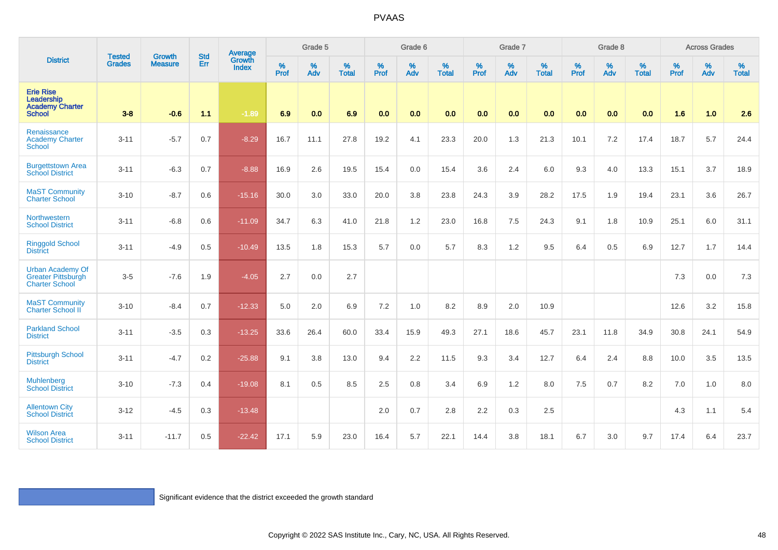| <b>District</b>                                                               | <b>Tested</b><br><b>Grades</b> | Growth<br><b>Measure</b> | <b>Std</b><br>Err | Average<br>Growth<br><b>Index</b>                                   | Grade 5      |          |                      | Grade 6   |          |                   | Grade 7   |          |                   | Grade 8   |          |                   | <b>Across Grades</b> |          |                   |
|-------------------------------------------------------------------------------|--------------------------------|--------------------------|-------------------|---------------------------------------------------------------------|--------------|----------|----------------------|-----------|----------|-------------------|-----------|----------|-------------------|-----------|----------|-------------------|----------------------|----------|-------------------|
|                                                                               |                                |                          |                   |                                                                     | $\%$<br>Prof | %<br>Adv | $\%$<br><b>Total</b> | %<br>Prof | %<br>Adv | %<br><b>Total</b> | %<br>Prof | %<br>Adv | %<br><b>Total</b> | %<br>Prof | %<br>Adv | %<br><b>Total</b> | %<br>Prof            | %<br>Adv | %<br><b>Total</b> |
| <b>Erie Rise</b><br>Leadership<br><b>Academy Charter</b><br><b>School</b>     | $3 - 8$                        | $-0.6$                   | 1.1               | $-1.89$                                                             | 6.9          | 0.0      | 6.9                  | 0.0       | 0.0      | 0.0               | 0.0       | 0.0      | 0.0               | 0.0       | 0.0      | 0.0               | 1.6                  | 1.0      | 2.6               |
| Renaissance<br><b>Academy Charter</b><br><b>School</b>                        | $3 - 11$                       | $-5.7$                   | 0.7               | $-8.29$                                                             | 16.7         | 11.1     | 27.8                 | 19.2      | 4.1      | 23.3              | 20.0      | 1.3      | 21.3              | 10.1      | 7.2      | 17.4              | 18.7                 | 5.7      | 24.4              |
| <b>Burgettstown Area</b><br><b>School District</b>                            | $3 - 11$                       | $-6.3$                   | 0.7               | $-8.88$                                                             | 16.9         | 2.6      | 19.5                 | 15.4      | 0.0      | 15.4              | 3.6       | 2.4      | 6.0               | 9.3       | 4.0      | 13.3              | 15.1                 | 3.7      | 18.9              |
| <b>MaST Community</b><br><b>Charter School</b>                                | $3 - 10$                       | $-8.7$                   | 0.6               | $-15.16$                                                            | 30.0         | 3.0      | 33.0                 | 20.0      | 3.8      | 23.8              | 24.3      | 3.9      | 28.2              | 17.5      | 1.9      | 19.4              | 23.1                 | 3.6      | 26.7              |
| Northwestern<br><b>School District</b>                                        | $3 - 11$                       | $-6.8$                   | 0.6               | $-11.09$                                                            | 34.7         | 6.3      | 41.0                 | 21.8      | 1.2      | 23.0              | 16.8      | 7.5      | 24.3              | 9.1       | 1.8      | 10.9              | 25.1                 | 6.0      | 31.1              |
| <b>Ringgold School</b><br><b>District</b>                                     | $3 - 11$                       | $-4.9$                   | 0.5               | $-10.49$                                                            | 13.5         | 1.8      | 15.3                 | 5.7       | 0.0      | 5.7               | 8.3       | 1.2      | 9.5               | 6.4       | 0.5      | 6.9               | 12.7                 | 1.7      | 14.4              |
| <b>Urban Academy Of</b><br><b>Greater Pittsburgh</b><br><b>Charter School</b> | $3 - 5$                        | $-7.6$                   | 1.9               | $-4.05$                                                             | 2.7          | 0.0      | 2.7                  |           |          |                   |           |          |                   |           |          |                   | 7.3                  | 0.0      | 7.3               |
| <b>MaST Community</b><br><b>Charter School II</b>                             | $3 - 10$                       | $-8.4$                   | 0.7               | $-12.33$                                                            | 5.0          | 2.0      | 6.9                  | 7.2       | 1.0      | 8.2               | 8.9       | 2.0      | 10.9              |           |          |                   | 12.6                 | 3.2      | 15.8              |
| <b>Parkland School</b><br><b>District</b>                                     | $3 - 11$                       | $-3.5$                   | 0.3               | $-13.25$                                                            | 33.6         | 26.4     | 60.0                 | 33.4      | 15.9     | 49.3              | 27.1      | 18.6     | 45.7              | 23.1      | 11.8     | 34.9              | 30.8                 | 24.1     | 54.9              |
| <b>Pittsburgh School</b><br><b>District</b>                                   | $3 - 11$                       | $-4.7$                   | 0.2               | $-25.88$                                                            | 9.1          | 3.8      | 13.0                 | 9.4       | 2.2      | 11.5              | 9.3       | 3.4      | 12.7              | 6.4       | 2.4      | 8.8               | 10.0                 | 3.5      | 13.5              |
| <b>Muhlenberg</b><br><b>School District</b>                                   | $3 - 10$                       | $-7.3$                   | 0.4               | $-19.08$                                                            | 8.1          | 0.5      | 8.5                  | 2.5       | 0.8      | 3.4               | 6.9       | 1.2      | 8.0               | 7.5       | 0.7      | 8.2               | 7.0                  | 1.0      | 8.0               |
| <b>Allentown City</b><br><b>School District</b>                               | $3 - 12$                       | $-4.5$                   | 0.3               | $-13.48$                                                            |              |          |                      | 2.0       | 0.7      | 2.8               | 2.2       | 0.3      | 2.5               |           |          |                   | 4.3                  | 1.1      | 5.4               |
| <b>Wilson Area</b><br><b>School District</b>                                  | $3 - 11$                       | $-11.7$                  | 0.5               | $-22.42$                                                            | 17.1         | 5.9      | 23.0                 | 16.4      | 5.7      | 22.1              | 14.4      | 3.8      | 18.1              | 6.7       | $3.0\,$  | 9.7               | 17.4                 | 6.4      | 23.7              |
|                                                                               |                                |                          |                   | Significant evidence that the district exceeded the growth standard |              |          |                      |           |          |                   |           |          |                   |           |          |                   |                      |          |                   |